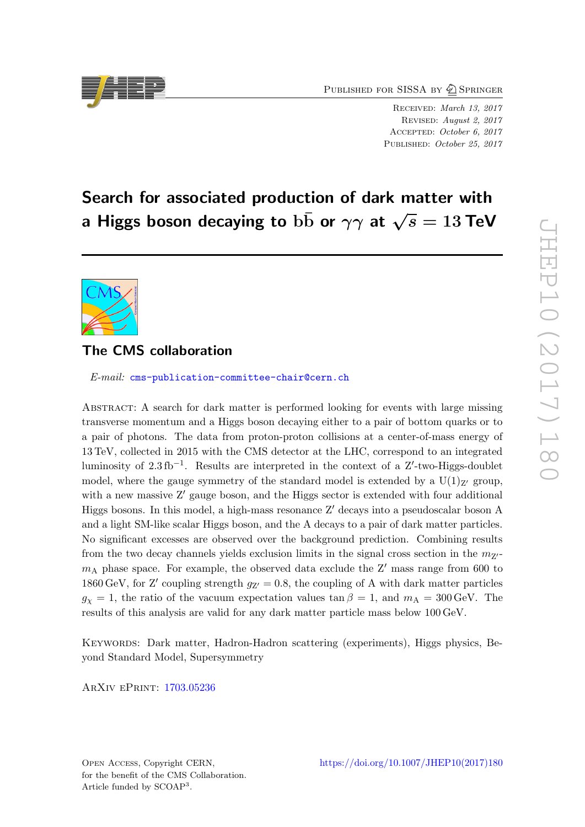PUBLISHED FOR SISSA BY 2 SPRINGER

Received: March 13, 2017 Revised: August 2, 2017 Accepted: October 6, 2017 PUBLISHED: October 25, 2017

# Search for associated production of dark matter with a Higgs boson decaying to bb or  $\gamma\gamma$  at  $\sqrt{s} = 13$  TeV



### The CMS collaboration

E-mail: [cms-publication-committee-chair@cern.ch](mailto:cms-publication-committee-chair@cern.ch)

Abstract: A search for dark matter is performed looking for events with large missing transverse momentum and a Higgs boson decaying either to a pair of bottom quarks or to a pair of photons. The data from proton-proton collisions at a center-of-mass energy of 13 TeV, collected in 2015 with the CMS detector at the LHC, correspond to an integrated luminosity of  $2.3 \text{ fb}^{-1}$ . Results are interpreted in the context of a Z'-two-Higgs-doublet model, where the gauge symmetry of the standard model is extended by a  $U(1)_{Z}$  group, with a new massive  $Z<sup>'</sup>$  gauge boson, and the Higgs sector is extended with four additional Higgs bosons. In this model, a high-mass resonance  $Z'$  decays into a pseudoscalar boson A and a light SM-like scalar Higgs boson, and the A decays to a pair of dark matter particles. No significant excesses are observed over the background prediction. Combining results from the two decay channels yields exclusion limits in the signal cross section in the  $m_{Z}$  $m_A$  phase space. For example, the observed data exclude the Z' mass range from 600 to 1860 GeV, for Z' coupling strength  $g_{Z'} = 0.8$ , the coupling of A with dark matter particles  $g_{\chi} = 1$ , the ratio of the vacuum expectation values tan  $\beta = 1$ , and  $m_A = 300 \,\text{GeV}$ . The results of this analysis are valid for any dark matter particle mass below 100 GeV.

KEYWORDS: Dark matter, Hadron-Hadron scattering (experiments), Higgs physics, Beyond Standard Model, Supersymmetry

ArXiv ePrint: [1703.05236](https://arxiv.org/abs/1703.05236)

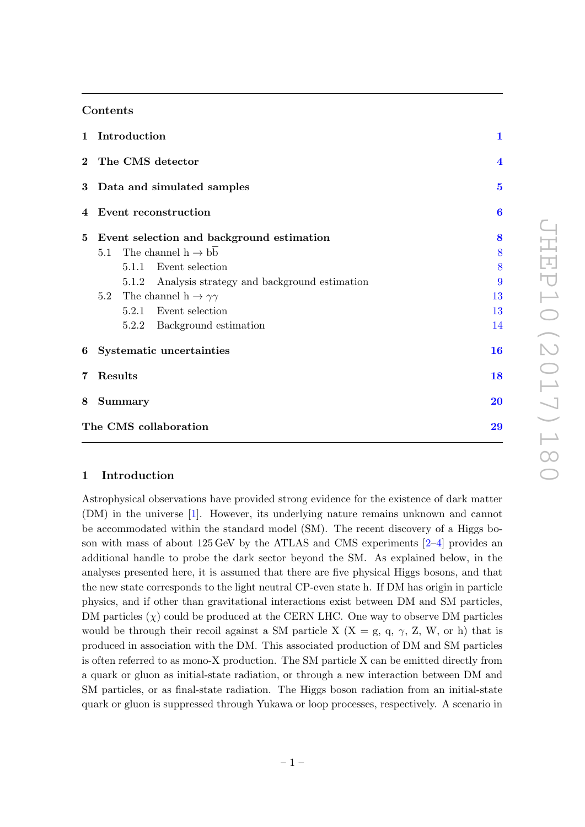#### Contents

|                              | 1 Introduction                               |                  |                                                   | $\mathbf{1}$ |  |  |  |
|------------------------------|----------------------------------------------|------------------|---------------------------------------------------|--------------|--|--|--|
|                              | 2 The CMS detector                           |                  |                                                   |              |  |  |  |
| 3 Data and simulated samples | $\overline{5}$                               |                  |                                                   |              |  |  |  |
|                              | 4 Event reconstruction                       | $\boldsymbol{6}$ |                                                   |              |  |  |  |
|                              |                                              |                  | 5 Event selection and background estimation       | 8            |  |  |  |
|                              |                                              |                  | 5.1 The channel $h \rightarrow b\overline{b}$     | 8            |  |  |  |
|                              |                                              |                  | 5.1.1 Event selection                             | 8            |  |  |  |
|                              |                                              |                  | 5.1.2 Analysis strategy and background estimation | 9            |  |  |  |
|                              | 5.2 The channel h $\rightarrow \gamma\gamma$ | 13               |                                                   |              |  |  |  |
|                              |                                              |                  | 5.2.1 Event selection                             | 13           |  |  |  |
|                              |                                              |                  | 5.2.2 Background estimation                       | 14           |  |  |  |
|                              |                                              |                  | 6 Systematic uncertainties                        | 16           |  |  |  |
| Results<br>7                 |                                              |                  |                                                   |              |  |  |  |
| 8 Summary                    |                                              |                  |                                                   |              |  |  |  |
|                              | The CMS collaboration<br>29                  |                  |                                                   |              |  |  |  |
|                              |                                              |                  |                                                   |              |  |  |  |

#### <span id="page-1-0"></span>1 Introduction

Astrophysical observations have provided strong evidence for the existence of dark matter (DM) in the universe [\[1\]](#page-24-0). However, its underlying nature remains unknown and cannot be accommodated within the standard model (SM). The recent discovery of a Higgs boson with mass of about 125 GeV by the ATLAS and CMS experiments [\[2–](#page-24-1)[4\]](#page-24-2) provides an additional handle to probe the dark sector beyond the SM. As explained below, in the analyses presented here, it is assumed that there are five physical Higgs bosons, and that the new state corresponds to the light neutral CP-even state h. If DM has origin in particle physics, and if other than gravitational interactions exist between DM and SM particles, DM particles  $(\chi)$  could be produced at the CERN LHC. One way to observe DM particles would be through their recoil against a SM particle X (X = g, q,  $\gamma$ , Z, W, or h) that is produced in association with the DM. This associated production of DM and SM particles is often referred to as mono-X production. The SM particle X can be emitted directly from a quark or gluon as initial-state radiation, or through a new interaction between DM and SM particles, or as final-state radiation. The Higgs boson radiation from an initial-state quark or gluon is suppressed through Yukawa or loop processes, respectively. A scenario in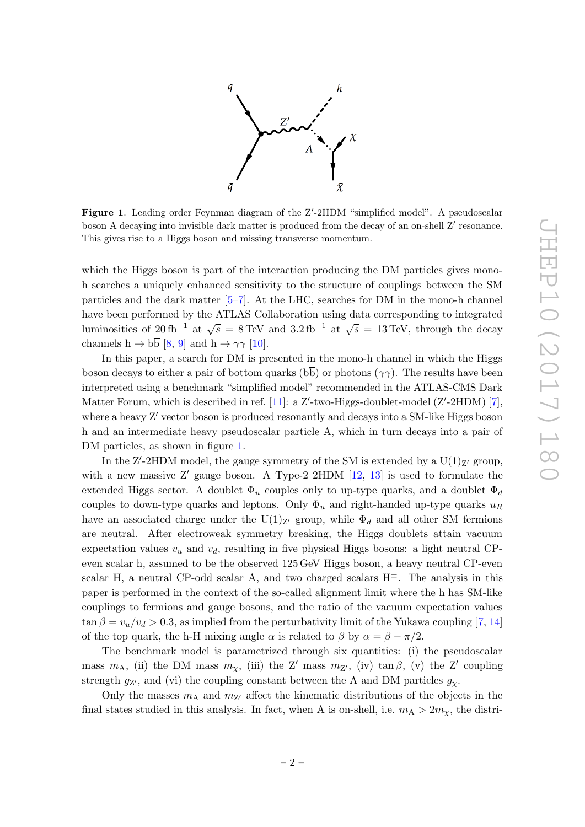

<span id="page-2-0"></span>Figure 1. Leading order Feynman diagram of the Z'-2HDM "simplified model". A pseudoscalar boson A decaying into invisible dark matter is produced from the decay of an on-shell Z' resonance. This gives rise to a Higgs boson and missing transverse momentum.

which the Higgs boson is part of the interaction producing the DM particles gives monoh searches a uniquely enhanced sensitivity to the structure of couplings between the SM particles and the dark matter [\[5](#page-24-3)[–7\]](#page-24-4). At the LHC, searches for DM in the mono-h channel have been performed by the ATLAS Collaboration using data corresponding to integrated luminosities of 20 fb<sup>-1</sup> at  $\sqrt{s}$  = 8 TeV and 3.2 fb<sup>-1</sup> at  $\sqrt{s}$  = 13 TeV, through the decay channels h  $\rightarrow$  bb [\[8,](#page-24-5) [9\]](#page-24-6) and h  $\rightarrow$   $\gamma\gamma$  [\[10\]](#page-24-7).

In this paper, a search for DM is presented in the mono-h channel in which the Higgs boson decays to either a pair of bottom quarks (bb) or photons  $(\gamma \gamma)$ . The results have been interpreted using a benchmark "simplified model" recommended in the ATLAS-CMS Dark Matter Forum, which is described in ref.  $[11]$ : a Z'-two-Higgs-doublet-model  $(Z'-2HDM)$  [\[7\]](#page-24-4), where a heavy  $Z'$  vector boson is produced resonantly and decays into a SM-like Higgs boson h and an intermediate heavy pseudoscalar particle A, which in turn decays into a pair of DM particles, as shown in figure [1.](#page-2-0)

In the Z'-2HDM model, the gauge symmetry of the SM is extended by a  $U(1)_{Z'}$  group, with a new massive Z' gauge boson. A Type-2 2HDM  $[12, 13]$  $[12, 13]$  $[12, 13]$  is used to formulate the extended Higgs sector. A doublet  $\Phi_u$  couples only to up-type quarks, and a doublet  $\Phi_d$ couples to down-type quarks and leptons. Only  $\Phi_u$  and right-handed up-type quarks  $u_R$ have an associated charge under the U(1)<sub>Z'</sub> group, while  $\Phi_d$  and all other SM fermions are neutral. After electroweak symmetry breaking, the Higgs doublets attain vacuum expectation values  $v_u$  and  $v_d$ , resulting in five physical Higgs bosons: a light neutral CPeven scalar h, assumed to be the observed 125 GeV Higgs boson, a heavy neutral CP-even scalar H, a neutral CP-odd scalar A, and two charged scalars  $H^{\pm}$ . The analysis in this paper is performed in the context of the so-called alignment limit where the h has SM-like couplings to fermions and gauge bosons, and the ratio of the vacuum expectation values  $\tan \beta = v_u/v_d > 0.3$ , as implied from the perturbativity limit of the Yukawa coupling [\[7,](#page-24-4) [14\]](#page-25-2) of the top quark, the h-H mixing angle  $\alpha$  is related to  $\beta$  by  $\alpha = \beta - \pi/2$ .

The benchmark model is parametrized through six quantities: (i) the pseudoscalar mass  $m_A$ , (ii) the DM mass  $m_\chi$ , (iii) the Z' mass  $m_{Z'}$ , (iv) tan  $\beta$ , (v) the Z' coupling strength  $g_{Z'}$ , and (vi) the coupling constant between the A and DM particles  $g_{\chi}$ .

Only the masses  $m_A$  and  $m_{Z'}$  affect the kinematic distributions of the objects in the final states studied in this analysis. In fact, when A is on-shell, i.e.  $m_A > 2m_\chi$ , the distri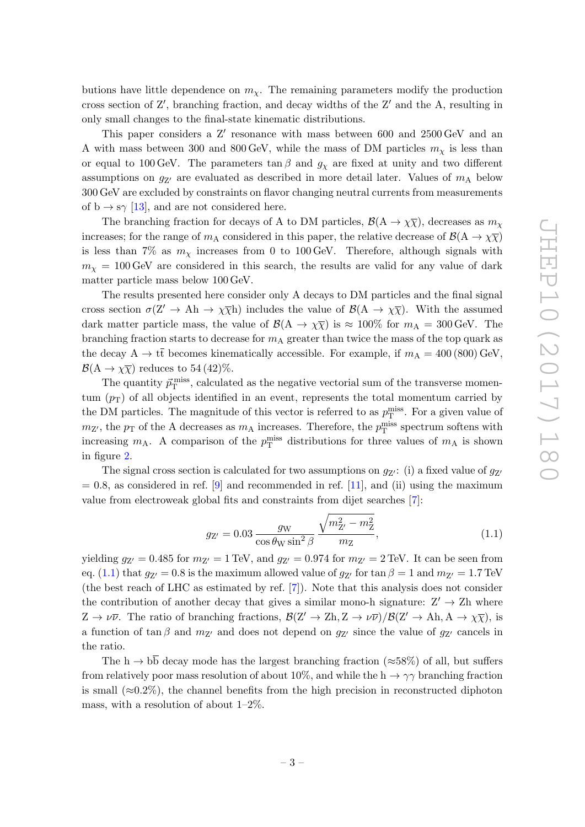butions have little dependence on  $m<sub>x</sub>$ . The remaining parameters modify the production cross section of  $Z'$ , branching fraction, and decay widths of the  $Z'$  and the A, resulting in only small changes to the final-state kinematic distributions.

This paper considers a  $Z'$  resonance with mass between 600 and 2500 GeV and an A with mass between 300 and 800 GeV, while the mass of DM particles  $m<sub>\gamma</sub>$  is less than or equal to 100 GeV. The parameters tan  $\beta$  and  $g_{\chi}$  are fixed at unity and two different assumptions on  $q_{Z'}$  are evaluated as described in more detail later. Values of  $m_A$  below 300 GeV are excluded by constraints on flavor changing neutral currents from measurements of  $b \rightarrow s\gamma$  [\[13\]](#page-25-1), and are not considered here.

The branching fraction for decays of A to DM particles,  $\mathcal{B}(A \to \chi \overline{\chi})$ , decreases as  $m_{\chi}$ increases; for the range of  $m_A$  considered in this paper, the relative decrease of  $\mathcal{B}(A \to \chi \overline{\chi})$ is less than 7% as  $m<sub>\chi</sub>$  increases from 0 to 100 GeV. Therefore, although signals with  $m<sub>x</sub> = 100$  GeV are considered in this search, the results are valid for any value of dark matter particle mass below 100 GeV.

The results presented here consider only A decays to DM particles and the final signal cross section  $\sigma(Z' \to Ah \to \chi \overline{\chi} h)$  includes the value of  $\mathcal{B}(A \to \chi \overline{\chi})$ . With the assumed dark matter particle mass, the value of  $\mathcal{B}(A \to \chi \overline{\chi})$  is  $\approx 100\%$  for  $m_A = 300$  GeV. The branching fraction starts to decrease for  $m_A$  greater than twice the mass of the top quark as the decay A  $\rightarrow$  tt becomes kinematically accessible. For example, if  $m_A = 400 (800) \text{ GeV}$ ,  $\mathcal{B}(A \to \chi \overline{\chi})$  reduces to 54 (42)%.

The quantity  $\vec{p}_{\rm T}^{\rm miss}$ , calculated as the negative vectorial sum of the transverse momentum  $(p_T)$  of all objects identified in an event, represents the total momentum carried by the DM particles. The magnitude of this vector is referred to as  $p_T^{\text{miss}}$ . For a given value of  $m_{\text{Z}'},$  the  $p_{\text{T}}$  of the A decreases as  $m_{\text{A}}$  increases. Therefore, the  $p_{\text{T}}^{\text{miss}}$  spectrum softens with increasing  $m_A$ . A comparison of the  $p_T^{\text{miss}}$  distributions for three values of  $m_A$  is shown in figure [2.](#page-4-1)

The signal cross section is calculated for two assumptions on  $g_{Z'}$ : (i) a fixed value of  $g_{Z'}$  $= 0.8$ , as considered in ref. [\[9\]](#page-24-6) and recommended in ref. [\[11\]](#page-24-8), and (ii) using the maximum value from electroweak global fits and constraints from dijet searches [\[7\]](#page-24-4):

<span id="page-3-0"></span>
$$
g_{Z'} = 0.03 \frac{g_W}{\cos \theta_W \sin^2 \beta} \frac{\sqrt{m_{Z'}^2 - m_Z^2}}{m_Z},
$$
\n(1.1)

yielding  $g_{Z'} = 0.485$  for  $m_{Z'} = 1$  TeV, and  $g_{Z'} = 0.974$  for  $m_{Z'} = 2$  TeV. It can be seen from eq. [\(1.1\)](#page-3-0) that  $g_{Z'} = 0.8$  is the maximum allowed value of  $g_{Z'}$  for tan  $\beta = 1$  and  $m_{Z'} = 1.7$  TeV (the best reach of LHC as estimated by ref. [\[7\]](#page-24-4)). Note that this analysis does not consider the contribution of another decay that gives a similar mono-h signature:  $Z' \rightarrow Zh$  where  $Z \to \nu\bar{\nu}$ . The ratio of branching fractions,  $\mathcal{B}(Z' \to Zh, Z \to \nu\bar{\nu})/\mathcal{B}(Z' \to Ah, A \to \chi\bar{\chi})$ , is a function of  $\tan \beta$  and  $m_{Z'}$  and does not depend on  $g_{Z'}$  since the value of  $g_{Z'}$  cancels in the ratio.

The h  $\rightarrow$  bb decay mode has the largest branching fraction ( $\approx$ 58%) of all, but suffers from relatively poor mass resolution of about 10%, and while the h  $\rightarrow \gamma \gamma$  branching fraction is small  $(\approx 0.2\%)$ , the channel benefits from the high precision in reconstructed diphoton mass, with a resolution of about  $1-2\%$ .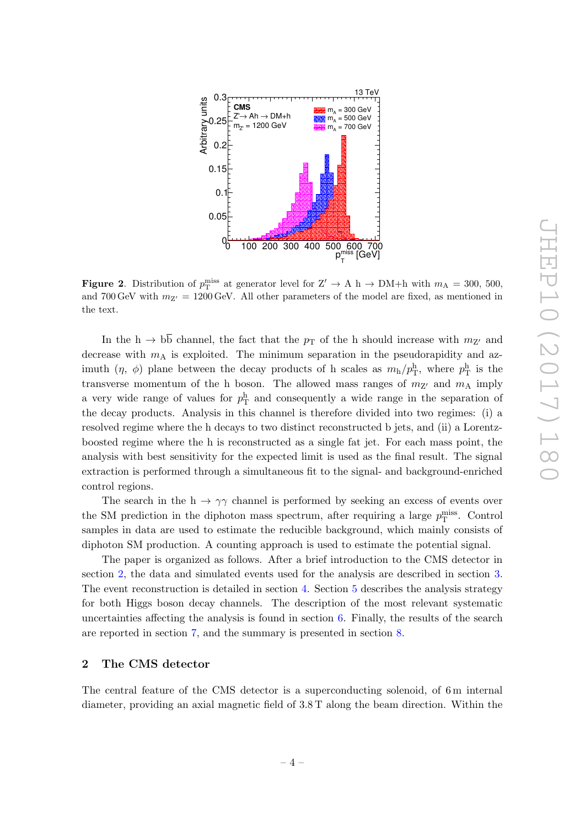

<span id="page-4-1"></span>**Figure 2**. Distribution of  $p_T^{\text{miss}}$  at generator level for  $Z' \to A h \to DM+h$  with  $m_A = 300, 500,$ and 700 GeV with  $m_{Z'} = 1200$  GeV. All other parameters of the model are fixed, as mentioned in the text.

In the h  $\rightarrow$  bb channel, the fact that the  $p_T$  of the h should increase with  $m_{Z'}$  and decrease with  $m_A$  is exploited. The minimum separation in the pseudorapidity and azimuth  $(\eta, \phi)$  plane between the decay products of h scales as  $m_h/p_T^h$ , where  $p_T^h$  is the transverse momentum of the h boson. The allowed mass ranges of  $m_{Z'}$  and  $m_A$  imply a very wide range of values for  $p_T^{\rm h}$  and consequently a wide range in the separation of the decay products. Analysis in this channel is therefore divided into two regimes: (i) a resolved regime where the h decays to two distinct reconstructed b jets, and (ii) a Lorentzboosted regime where the h is reconstructed as a single fat jet. For each mass point, the analysis with best sensitivity for the expected limit is used as the final result. The signal extraction is performed through a simultaneous fit to the signal- and background-enriched control regions.

The search in the  $h \to \gamma\gamma$  channel is performed by seeking an excess of events over the SM prediction in the diphoton mass spectrum, after requiring a large  $p_T^{\text{miss}}$ . Control samples in data are used to estimate the reducible background, which mainly consists of diphoton SM production. A counting approach is used to estimate the potential signal.

The paper is organized as follows. After a brief introduction to the CMS detector in section [2,](#page-4-0) the data and simulated events used for the analysis are described in section [3.](#page-5-0) The event reconstruction is detailed in section [4.](#page-6-0) Section [5](#page-8-0) describes the analysis strategy for both Higgs boson decay channels. The description of the most relevant systematic uncertainties affecting the analysis is found in section [6.](#page-16-0) Finally, the results of the search are reported in section [7,](#page-18-0) and the summary is presented in section [8.](#page-20-0)

#### <span id="page-4-0"></span>2 The CMS detector

The central feature of the CMS detector is a superconducting solenoid, of 6 m internal diameter, providing an axial magnetic field of 3.8 T along the beam direction. Within the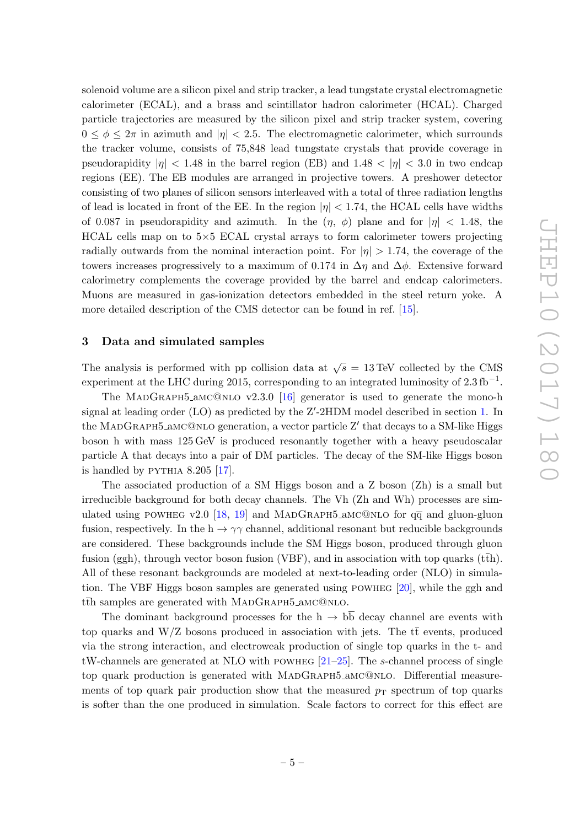solenoid volume are a silicon pixel and strip tracker, a lead tungstate crystal electromagnetic calorimeter (ECAL), and a brass and scintillator hadron calorimeter (HCAL). Charged particle trajectories are measured by the silicon pixel and strip tracker system, covering  $0 \leq \phi \leq 2\pi$  in azimuth and  $|\eta| < 2.5$ . The electromagnetic calorimeter, which surrounds the tracker volume, consists of 75,848 lead tungstate crystals that provide coverage in pseudorapidity  $|\eta| < 1.48$  in the barrel region (EB) and 1.48  $\langle |\eta| < 3.0$  in two endcap regions (EE). The EB modules are arranged in projective towers. A preshower detector consisting of two planes of silicon sensors interleaved with a total of three radiation lengths of lead is located in front of the EE. In the region  $|\eta| < 1.74$ , the HCAL cells have widths of 0.087 in pseudorapidity and azimuth. In the  $(\eta, \phi)$  plane and for  $|\eta| < 1.48$ , the HCAL cells map on to  $5\times5$  ECAL crystal arrays to form calorimeter towers projecting radially outwards from the nominal interaction point. For  $|\eta| > 1.74$ , the coverage of the towers increases progressively to a maximum of 0.174 in  $\Delta \eta$  and  $\Delta \phi$ . Extensive forward calorimetry complements the coverage provided by the barrel and endcap calorimeters. Muons are measured in gas-ionization detectors embedded in the steel return yoke. A more detailed description of the CMS detector can be found in ref. [\[15\]](#page-25-3).

#### <span id="page-5-0"></span>3 Data and simulated samples

The analysis is performed with pp collision data at  $\sqrt{s} = 13 \text{ TeV}$  collected by the CMS experiment at the LHC during 2015, corresponding to an integrated luminosity of  $2.3 \text{ fb}^{-1}$ .

The MADGRAPH5 aMC@NLO v2.3.0 [\[16\]](#page-25-4) generator is used to generate the mono-h signal at leading order  $(LO)$  as predicted by the  $Z'$ -2HDM model described in section [1.](#page-1-0) In the MADGRAPH5\_aMC@NLO generation, a vector particle Z' that decays to a SM-like Higgs boson h with mass 125 GeV is produced resonantly together with a heavy pseudoscalar particle A that decays into a pair of DM particles. The decay of the SM-like Higgs boson is handled by PYTHIA  $8.205$  [\[17\]](#page-25-5).

The associated production of a SM Higgs boson and a Z boson (Zh) is a small but irreducible background for both decay channels. The Vh (Zh and Wh) processes are sim-ulated using POWHEG v2.0 [\[18,](#page-25-6) [19\]](#page-25-7) and MADGRAPH5 aMC@NLO for  $q\bar{q}$  and gluon-gluon fusion, respectively. In the h  $\rightarrow \gamma\gamma$  channel, additional resonant but reducible backgrounds are considered. These backgrounds include the SM Higgs boson, produced through gluon fusion (ggh), through vector boson fusion (VBF), and in association with top quarks (tth). All of these resonant backgrounds are modeled at next-to-leading order (NLO) in simulation. The VBF Higgs boson samples are generated using powheg [\[20\]](#page-25-8), while the ggh and  $t\bar{t}$ h samples are generated with MADGRAPH5 amc@nLO.

The dominant background processes for the  $h \to b\overline{b}$  decay channel are events with top quarks and  $W/Z$  bosons produced in association with jets. The  $t\bar{t}$  events, produced via the strong interaction, and electroweak production of single top quarks in the t- and tW-channels are generated at NLO with powheg [\[21](#page-25-9)[–25\]](#page-25-10). The s-channel process of single top quark production is generated with MadGraph5 amc@nlo. Differential measurements of top quark pair production show that the measured  $p<sub>T</sub>$  spectrum of top quarks is softer than the one produced in simulation. Scale factors to correct for this effect are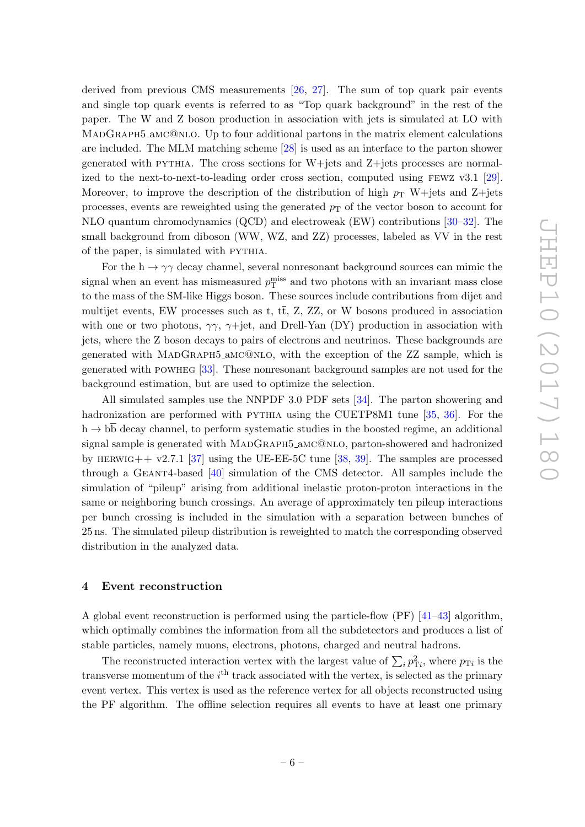derived from previous CMS measurements [\[26,](#page-25-11) [27\]](#page-25-12). The sum of top quark pair events and single top quark events is referred to as "Top quark background" in the rest of the paper. The W and Z boson production in association with jets is simulated at LO with MADGRAPH5 aMC@NLO. Up to four additional partons in the matrix element calculations are included. The MLM matching scheme [\[28\]](#page-25-13) is used as an interface to the parton shower generated with PYTHIA. The cross sections for  $W+$ jets and  $Z+$ jets processes are normalized to the next-to-next-to-leading order cross section, computed using fewz v3.1 [\[29\]](#page-25-14). Moreover, to improve the description of the distribution of high  $p<sub>T</sub>$  W+jets and Z+jets processes, events are reweighted using the generated  $p<sub>T</sub>$  of the vector boson to account for NLO quantum chromodynamics (QCD) and electroweak (EW) contributions [\[30](#page-26-0)[–32\]](#page-26-1). The small background from diboson (WW, WZ, and ZZ) processes, labeled as VV in the rest of the paper, is simulated with pythia.

For the h  $\rightarrow \gamma\gamma$  decay channel, several nonresonant background sources can mimic the signal when an event has mismeasured  $p_T^{\text{miss}}$  and two photons with an invariant mass close to the mass of the SM-like Higgs boson. These sources include contributions from dijet and multijet events, EW processes such as t,  $t\bar{t}$ , Z, ZZ, or W bosons produced in association with one or two photons,  $\gamma\gamma$ ,  $\gamma$ +jet, and Drell-Yan (DY) production in association with jets, where the Z boson decays to pairs of electrons and neutrinos. These backgrounds are generated with MadGraph5 amc@nlo, with the exception of the ZZ sample, which is generated with powheg [\[33\]](#page-26-2). These nonresonant background samples are not used for the background estimation, but are used to optimize the selection.

All simulated samples use the NNPDF 3.0 PDF sets [\[34\]](#page-26-3). The parton showering and hadronization are performed with PYTHIA using the CUETP8M1 tune [\[35,](#page-26-4) [36\]](#page-26-5). For the  $h \to b\overline{b}$  decay channel, to perform systematic studies in the boosted regime, an additional signal sample is generated with MADGRAPH5 aMC@NLO, parton-showered and hadronized by HERWIG++  $v2.7.1$  [\[37\]](#page-26-6) using the UE-EE-5C tune [\[38,](#page-26-7) [39\]](#page-26-8). The samples are processed through a GEANT4-based  $[40]$  simulation of the CMS detector. All samples include the simulation of "pileup" arising from additional inelastic proton-proton interactions in the same or neighboring bunch crossings. An average of approximately ten pileup interactions per bunch crossing is included in the simulation with a separation between bunches of 25 ns. The simulated pileup distribution is reweighted to match the corresponding observed distribution in the analyzed data.

#### <span id="page-6-0"></span>4 Event reconstruction

A global event reconstruction is performed using the particle-flow (PF) [\[41](#page-26-10)[–43\]](#page-26-11) algorithm, which optimally combines the information from all the subdetectors and produces a list of stable particles, namely muons, electrons, photons, charged and neutral hadrons.

The reconstructed interaction vertex with the largest value of  $\sum_i p_{\text{Ti}}^2$ , where  $p_{\text{Ti}}$  is the transverse momentum of the  $i<sup>th</sup>$  track associated with the vertex, is selected as the primary event vertex. This vertex is used as the reference vertex for all objects reconstructed using the PF algorithm. The offline selection requires all events to have at least one primary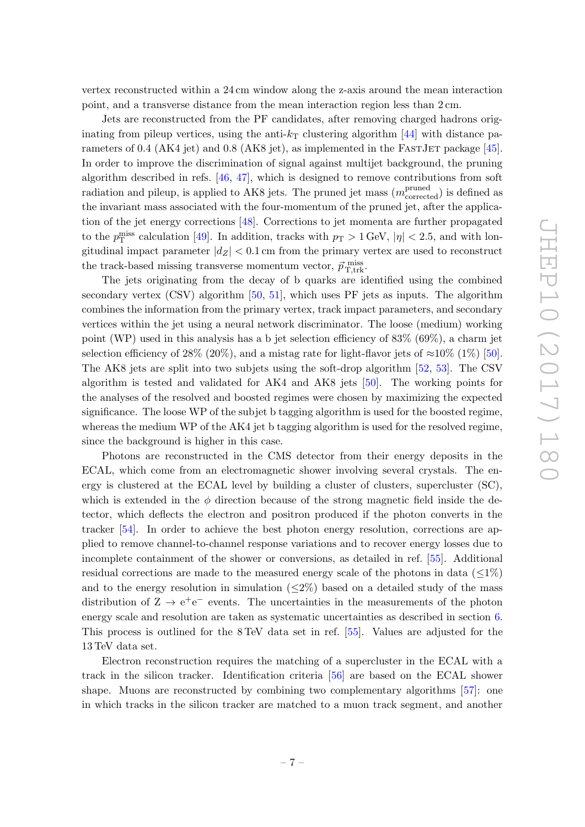vertex reconstructed within a 24 cm window along the z-axis around the mean interaction point, and a transverse distance from the mean interaction region less than 2 cm.

Jets are reconstructed from the PF candidates, after removing charged hadrons originating from pileup vertices, using the anti- $k<sub>T</sub>$  clustering algorithm [\[44\]](#page-26-12) with distance parameters of 0.4 (AK4 jet) and 0.8 (AK8 jet), as implemented in the FASTJET package  $[45]$ . In order to improve the discrimination of signal against multijet background, the pruning algorithm described in refs. [\[46,](#page-26-14) [47\]](#page-26-15), which is designed to remove contributions from soft radiation and pileup, is applied to AK8 jets. The pruned jet mass  $(m_{\text{corrected}}^{\text{pruned}})$  is defined as the invariant mass associated with the four-momentum of the pruned jet, after the application of the jet energy corrections [\[48\]](#page-26-16). Corrections to jet momenta are further propagated to the  $p_T^{\text{miss}}$  calculation [\[49\]](#page-27-0). In addition, tracks with  $p_T > 1 \text{ GeV}$ ,  $|\eta| < 2.5$ , and with longitudinal impact parameter  $|d_Z| < 0.1$  cm from the primary vertex are used to reconstruct the track-based missing transverse momentum vector,  $\vec{p}_{\text{T,trk}}^{\text{miss}}$ .

The jets originating from the decay of b quarks are identified using the combined secondary vertex (CSV) algorithm [\[50,](#page-27-1) [51\]](#page-27-2), which uses PF jets as inputs. The algorithm combines the information from the primary vertex, track impact parameters, and secondary vertices within the jet using a neural network discriminator. The loose (medium) working point (WP) used in this analysis has a b jet selection efficiency of 83% (69%), a charm jet selection efficiency of 28% (20%), and a mistag rate for light-flavor jets of  $\approx 10\%$  (1%) [\[50\]](#page-27-1). The AK8 jets are split into two subjets using the soft-drop algorithm [\[52,](#page-27-3) [53\]](#page-27-4). The CSV algorithm is tested and validated for AK4 and AK8 jets [\[50\]](#page-27-1). The working points for the analyses of the resolved and boosted regimes were chosen by maximizing the expected significance. The loose WP of the subjet b tagging algorithm is used for the boosted regime, whereas the medium WP of the AK4 jet b tagging algorithm is used for the resolved regime, since the background is higher in this case.

Photons are reconstructed in the CMS detector from their energy deposits in the ECAL, which come from an electromagnetic shower involving several crystals. The energy is clustered at the ECAL level by building a cluster of clusters, supercluster (SC), which is extended in the  $\phi$  direction because of the strong magnetic field inside the detector, which deflects the electron and positron produced if the photon converts in the tracker [\[54\]](#page-27-5). In order to achieve the best photon energy resolution, corrections are applied to remove channel-to-channel response variations and to recover energy losses due to incomplete containment of the shower or conversions, as detailed in ref. [\[55\]](#page-27-6). Additional residual corrections are made to the measured energy scale of the photons in data  $\left(\leq 1\% \right)$ and to the energy resolution in simulation  $(\leq 2\%)$  based on a detailed study of the mass distribution of  $Z \rightarrow e^+e^-$  events. The uncertainties in the measurements of the photon energy scale and resolution are taken as systematic uncertainties as described in section [6.](#page-16-0) This process is outlined for the 8 TeV data set in ref. [\[55\]](#page-27-6). Values are adjusted for the 13 TeV data set.

Electron reconstruction requires the matching of a supercluster in the ECAL with a track in the silicon tracker. Identification criteria [\[56\]](#page-27-7) are based on the ECAL shower shape. Muons are reconstructed by combining two complementary algorithms [\[57\]](#page-27-8): one in which tracks in the silicon tracker are matched to a muon track segment, and another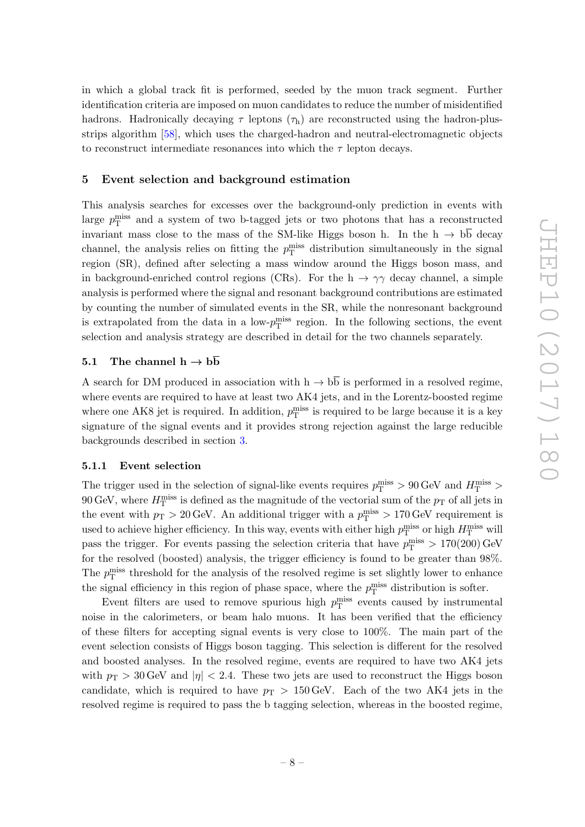in which a global track fit is performed, seeded by the muon track segment. Further identification criteria are imposed on muon candidates to reduce the number of misidentified hadrons. Hadronically decaying  $\tau$  leptons  $(\tau_h)$  are reconstructed using the hadron-plusstrips algorithm [\[58\]](#page-27-9), which uses the charged-hadron and neutral-electromagnetic objects to reconstruct intermediate resonances into which the  $\tau$  lepton decays.

#### <span id="page-8-0"></span>5 Event selection and background estimation

This analysis searches for excesses over the background-only prediction in events with large  $p_T^{\text{miss}}$  and a system of two b-tagged jets or two photons that has a reconstructed invariant mass close to the mass of the SM-like Higgs boson h. In the  $h \to b\overline{b}$  decay channel, the analysis relies on fitting the  $p_T^{\text{miss}}$  distribution simultaneously in the signal region (SR), defined after selecting a mass window around the Higgs boson mass, and in background-enriched control regions (CRs). For the h  $\rightarrow \gamma\gamma$  decay channel, a simple analysis is performed where the signal and resonant background contributions are estimated by counting the number of simulated events in the SR, while the nonresonant background is extrapolated from the data in a low- $p_T^{\text{miss}}$  region. In the following sections, the event selection and analysis strategy are described in detail for the two channels separately.

### <span id="page-8-1"></span>5.1 The channel  $h \rightarrow b\overline{b}$

A search for DM produced in association with  $h \to b\overline{b}$  is performed in a resolved regime, where events are required to have at least two AK4 jets, and in the Lorentz-boosted regime where one AK8 jet is required. In addition,  $p_T^{\text{miss}}$  is required to be large because it is a key signature of the signal events and it provides strong rejection against the large reducible backgrounds described in section [3.](#page-5-0)

#### <span id="page-8-2"></span>5.1.1 Event selection

The trigger used in the selection of signal-like events requires  $p_T^{\text{miss}} > 90 \,\text{GeV}$  and  $H_T^{\text{miss}} >$ 90 GeV, where  $H_{\textrm{T}}^{\textrm{miss}}$  is defined as the magnitude of the vectorial sum of the  $p_{\textrm{T}}$  of all jets in the event with  $p_T > 20 \text{ GeV}$ . An additional trigger with a  $p_T^{\text{miss}} > 170 \text{ GeV}$  requirement is used to achieve higher efficiency. In this way, events with either high  $p_T^{\text{miss}}$  or high  $H_T^{\text{miss}}$  will pass the trigger. For events passing the selection criteria that have  $p_T^{\text{miss}} > 170(200) \text{ GeV}$ for the resolved (boosted) analysis, the trigger efficiency is found to be greater than 98%. The  $p_T^{\text{miss}}$  threshold for the analysis of the resolved regime is set slightly lower to enhance the signal efficiency in this region of phase space, where the  $p_T^{\text{miss}}$  distribution is softer.

Event filters are used to remove spurious high  $p_T^{\text{miss}}$  events caused by instrumental noise in the calorimeters, or beam halo muons. It has been verified that the efficiency of these filters for accepting signal events is very close to 100%. The main part of the event selection consists of Higgs boson tagging. This selection is different for the resolved and boosted analyses. In the resolved regime, events are required to have two AK4 jets with  $p_T > 30$  GeV and  $|\eta| < 2.4$ . These two jets are used to reconstruct the Higgs boson candidate, which is required to have  $p_T > 150 \,\text{GeV}$ . Each of the two AK4 jets in the resolved regime is required to pass the b tagging selection, whereas in the boosted regime,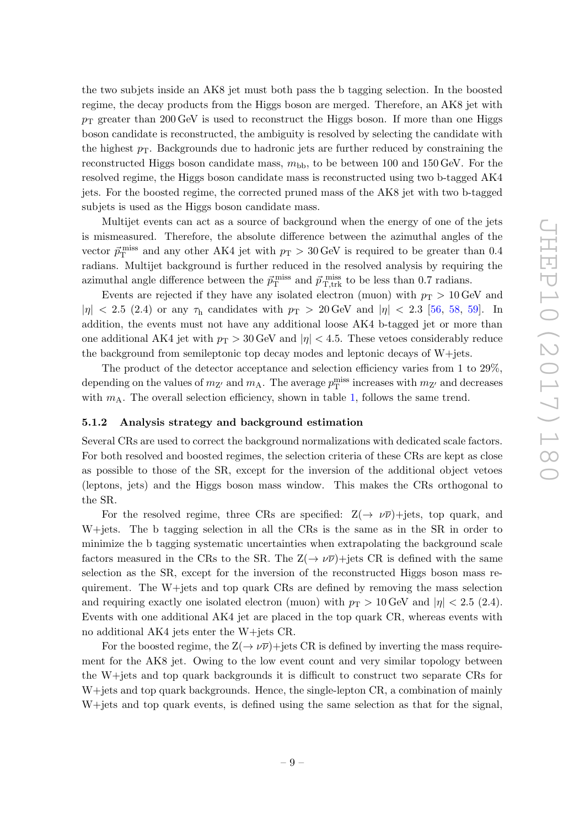the two subjets inside an AK8 jet must both pass the b tagging selection. In the boosted regime, the decay products from the Higgs boson are merged. Therefore, an AK8 jet with  $p_{\text{T}}$  greater than 200 GeV is used to reconstruct the Higgs boson. If more than one Higgs boson candidate is reconstructed, the ambiguity is resolved by selecting the candidate with the highest  $p<sub>T</sub>$ . Backgrounds due to hadronic jets are further reduced by constraining the reconstructed Higgs boson candidate mass,  $m_{\text{bb}}$ , to be between 100 and 150 GeV. For the resolved regime, the Higgs boson candidate mass is reconstructed using two b-tagged AK4 jets. For the boosted regime, the corrected pruned mass of the AK8 jet with two b-tagged subjets is used as the Higgs boson candidate mass.

Multijet events can act as a source of background when the energy of one of the jets is mismeasured. Therefore, the absolute difference between the azimuthal angles of the vector  $\vec{p}_{\rm T}^{\rm miss}$  and any other AK4 jet with  $p_{\rm T} > 30\,\text{GeV}$  is required to be greater than 0.4 radians. Multijet background is further reduced in the resolved analysis by requiring the azimuthal angle difference between the  $\vec{p}_{\rm T}^{\rm miss}$  and  $\vec{p}_{\rm T,trk}^{\rm miss}$  to be less than 0.7 radians.

Events are rejected if they have any isolated electron (muon) with  $p_T > 10$  GeV and  $|\eta|$  < 2.5 (2.4) or any  $\tau_{\rm h}$  candidates with  $p_{\rm T} > 20$  GeV and  $|\eta|$  < 2.3 [\[56,](#page-27-7) [58,](#page-27-9) [59\]](#page-27-10). In addition, the events must not have any additional loose AK4 b-tagged jet or more than one additional AK4 jet with  $p_T > 30$  GeV and  $|\eta| < 4.5$ . These vetoes considerably reduce the background from semileptonic top decay modes and leptonic decays of W+jets.

The product of the detector acceptance and selection efficiency varies from 1 to 29%, depending on the values of  $m_{Z'}$  and  $m_A$ . The average  $p_T^{\text{miss}}$  increases with  $m_{Z'}$  and decreases with  $m_A$ . The overall selection efficiency, shown in table [1,](#page-19-0) follows the same trend.

#### <span id="page-9-0"></span>5.1.2 Analysis strategy and background estimation

Several CRs are used to correct the background normalizations with dedicated scale factors. For both resolved and boosted regimes, the selection criteria of these CRs are kept as close as possible to those of the SR, except for the inversion of the additional object vetoes (leptons, jets) and the Higgs boson mass window. This makes the CRs orthogonal to the SR.

For the resolved regime, three CRs are specified:  $Z(\rightarrow \nu \bar{\nu})$ +jets, top quark, and W+jets. The b tagging selection in all the CRs is the same as in the SR in order to minimize the b tagging systematic uncertainties when extrapolating the background scale factors measured in the CRs to the SR. The  $Z(\rightarrow \nu \bar{\nu})+$ jets CR is defined with the same selection as the SR, except for the inversion of the reconstructed Higgs boson mass requirement. The W+jets and top quark CRs are defined by removing the mass selection and requiring exactly one isolated electron (muon) with  $p_T > 10$  GeV and  $|\eta| < 2.5$  (2.4). Events with one additional AK4 jet are placed in the top quark CR, whereas events with no additional AK4 jets enter the W+jets CR.

For the boosted regime, the  $Z(\rightarrow \nu \bar{\nu})$ +jets CR is defined by inverting the mass requirement for the AK8 jet. Owing to the low event count and very similar topology between the W+jets and top quark backgrounds it is difficult to construct two separate CRs for W+jets and top quark backgrounds. Hence, the single-lepton CR, a combination of mainly W+jets and top quark events, is defined using the same selection as that for the signal,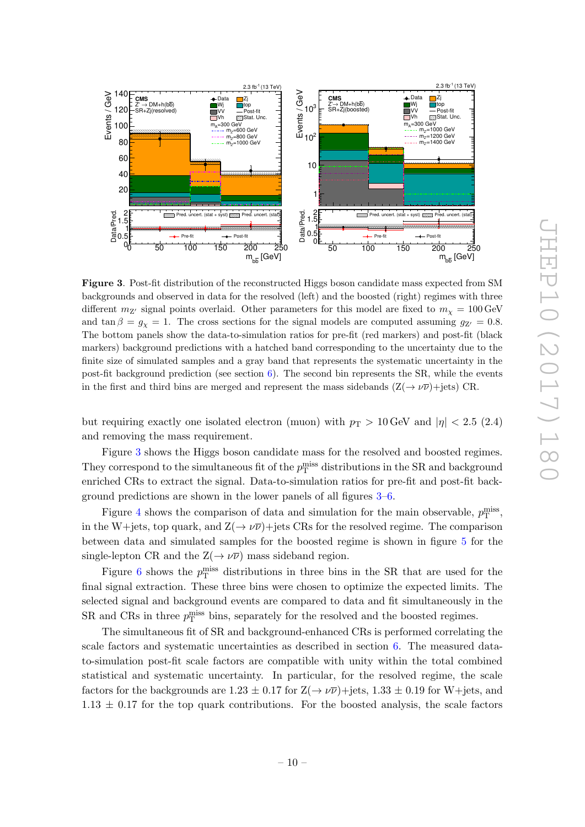

<span id="page-10-0"></span>Figure 3. Post-fit distribution of the reconstructed Higgs boson candidate mass expected from SM backgrounds and observed in data for the resolved (left) and the boosted (right) regimes with three different  $m_{Z'}$  signal points overlaid. Other parameters for this model are fixed to  $m_{\chi} = 100 \,\text{GeV}$ and tan  $\beta = g_{\chi} = 1$ . The cross sections for the signal models are computed assuming  $g_{Z'} = 0.8$ . The bottom panels show the data-to-simulation ratios for pre-fit (red markers) and post-fit (black markers) background predictions with a hatched band corresponding to the uncertainty due to the finite size of simulated samples and a gray band that represents the systematic uncertainty in the post-fit background prediction (see section [6\)](#page-16-0). The second bin represents the SR, while the events in the first and third bins are merged and represent the mass sidebands  $(Z(\rightarrow \nu\bar{\nu})+$ jets) CR.

but requiring exactly one isolated electron (muon) with  $p_T > 10$  GeV and  $|\eta| < 2.5$  (2.4) and removing the mass requirement.

Figure [3](#page-10-0) shows the Higgs boson candidate mass for the resolved and boosted regimes. They correspond to the simultaneous fit of the  $p_T^{\text{miss}}$  distributions in the SR and background enriched CRs to extract the signal. Data-to-simulation ratios for pre-fit and post-fit background predictions are shown in the lower panels of all figures [3–](#page-10-0)[6.](#page-12-0)

Figure [4](#page-11-0) shows the comparison of data and simulation for the main observable,  $p_T^{\text{miss}}$ , in the W+jets, top quark, and  $Z(\rightarrow \nu \bar{\nu})$ +jets CRs for the resolved regime. The comparison between data and simulated samples for the boosted regime is shown in figure [5](#page-12-1) for the single-lepton CR and the  $Z(\rightarrow \nu \bar{\nu})$  mass sideband region.

Figure [6](#page-12-0) shows the  $p_T^{\text{miss}}$  distributions in three bins in the SR that are used for the final signal extraction. These three bins were chosen to optimize the expected limits. The selected signal and background events are compared to data and fit simultaneously in the SR and CRs in three  $p_T^{\text{miss}}$  bins, separately for the resolved and the boosted regimes.

The simultaneous fit of SR and background-enhanced CRs is performed correlating the scale factors and systematic uncertainties as described in section [6.](#page-16-0) The measured datato-simulation post-fit scale factors are compatible with unity within the total combined statistical and systematic uncertainty. In particular, for the resolved regime, the scale factors for the backgrounds are  $1.23 \pm 0.17$  for  $Z(\rightarrow \nu\bar{\nu})$ +jets, 1.33  $\pm$  0.19 for W+jets, and  $1.13 \pm 0.17$  for the top quark contributions. For the boosted analysis, the scale factors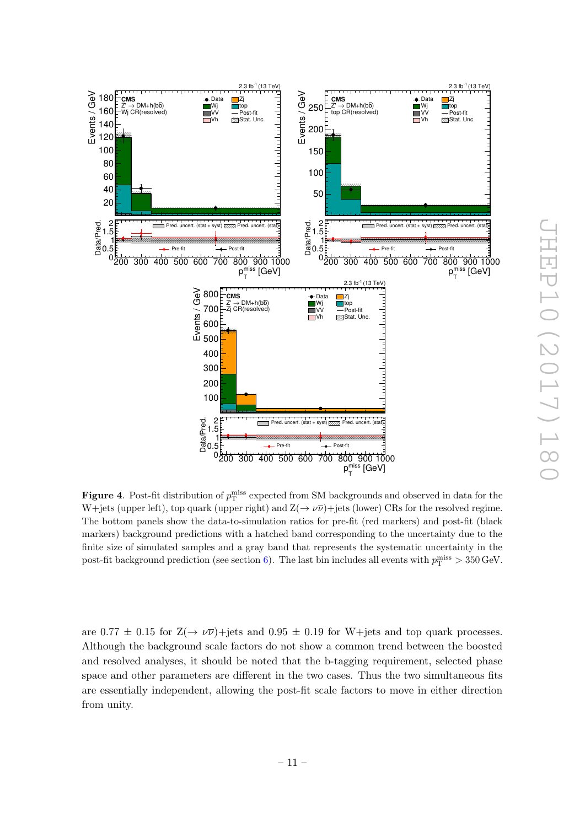

<span id="page-11-0"></span>**Figure 4.** Post-fit distribution of  $p_T^{\text{miss}}$  expected from SM backgrounds and observed in data for the W+jets (upper left), top quark (upper right) and  $Z(\to \nu\bar{\nu})$ +jets (lower) CRs for the resolved regime. The bottom panels show the data-to-simulation ratios for pre-fit (red markers) and post-fit (black markers) background predictions with a hatched band corresponding to the uncertainty due to the finite size of simulated samples and a gray band that represents the systematic uncertainty in the post-fit background prediction (see section [6\)](#page-16-0). The last bin includes all events with  $p_T^{\text{miss}} > 350 \,\text{GeV}$ .

are 0.77  $\pm$  0.15 for  $Z(\rightarrow \nu\bar{\nu})$ +jets and 0.95  $\pm$  0.19 for W+jets and top quark processes. Although the background scale factors do not show a common trend between the boosted and resolved analyses, it should be noted that the b-tagging requirement, selected phase space and other parameters are different in the two cases. Thus the two simultaneous fits are essentially independent, allowing the post-fit scale factors to move in either direction from unity.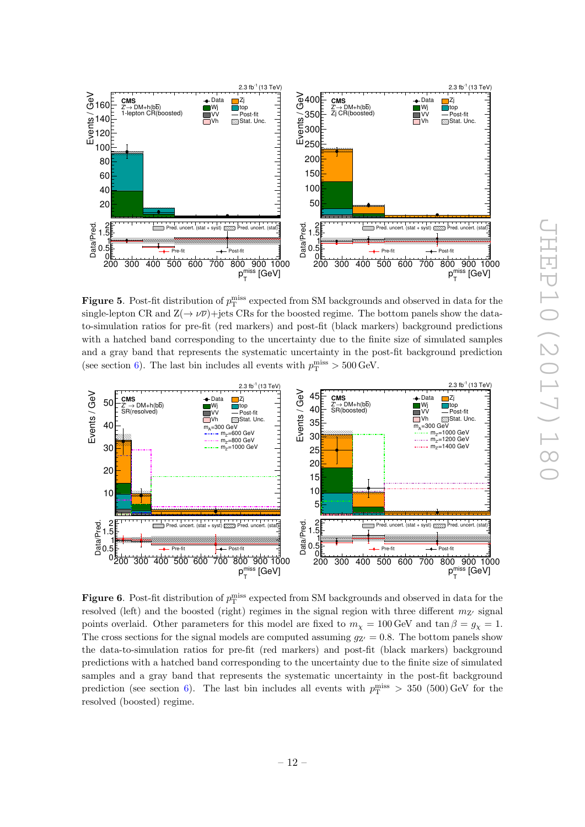

<span id="page-12-1"></span>**Figure 5**. Post-fit distribution of  $p_T^{\text{miss}}$  expected from SM backgrounds and observed in data for the single-lepton CR and  $Z(\rightarrow \nu\bar{\nu})$ +jets CRs for the boosted regime. The bottom panels show the datato-simulation ratios for pre-fit (red markers) and post-fit (black markers) background predictions with a hatched band corresponding to the uncertainty due to the finite size of simulated samples and a gray band that represents the systematic uncertainty in the post-fit background prediction (see section [6\)](#page-16-0). The last bin includes all events with  $p_T^{\text{miss}} > 500 \,\text{GeV}$ .



<span id="page-12-0"></span>**Figure 6.** Post-fit distribution of  $p_T^{\text{miss}}$  expected from SM backgrounds and observed in data for the resolved (left) and the boosted (right) regimes in the signal region with three different  $m_{Z}$  signal points overlaid. Other parameters for this model are fixed to  $m_{\chi} = 100 \,\text{GeV}$  and  $\tan \beta = g_{\chi} = 1$ . The cross sections for the signal models are computed assuming  $g_{Z'} = 0.8$ . The bottom panels show the data-to-simulation ratios for pre-fit (red markers) and post-fit (black markers) background predictions with a hatched band corresponding to the uncertainty due to the finite size of simulated samples and a gray band that represents the systematic uncertainty in the post-fit background prediction (see section [6\)](#page-16-0). The last bin includes all events with  $p_T^{\text{miss}} > 350$  (500) GeV for the resolved (boosted) regime.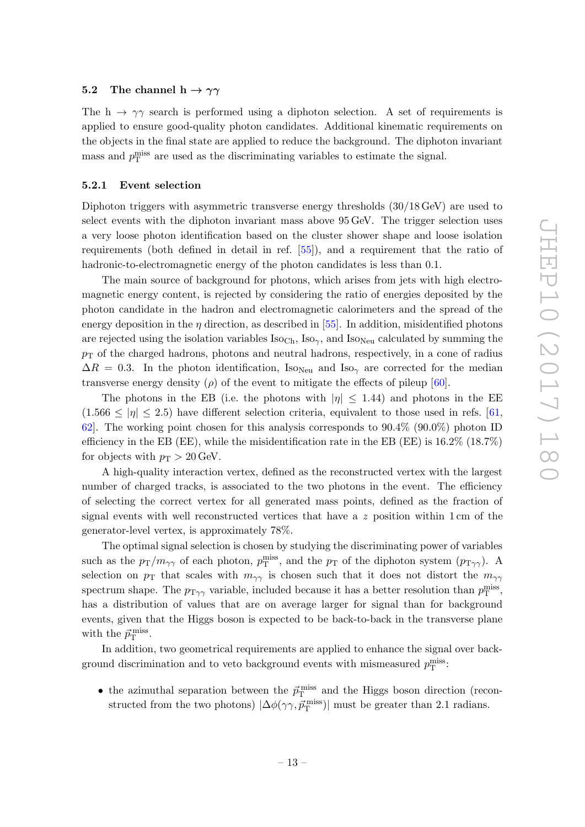#### <span id="page-13-0"></span>5.2 The channel h  $\rightarrow \gamma\gamma$

The h  $\rightarrow \gamma \gamma$  search is performed using a diphoton selection. A set of requirements is applied to ensure good-quality photon candidates. Additional kinematic requirements on the objects in the final state are applied to reduce the background. The diphoton invariant mass and  $p_T^{\text{miss}}$  are used as the discriminating variables to estimate the signal.

#### <span id="page-13-1"></span>5.2.1 Event selection

Diphoton triggers with asymmetric transverse energy thresholds (30/18 GeV) are used to select events with the diphoton invariant mass above 95 GeV. The trigger selection uses a very loose photon identification based on the cluster shower shape and loose isolation requirements (both defined in detail in ref. [\[55\]](#page-27-6)), and a requirement that the ratio of hadronic-to-electromagnetic energy of the photon candidates is less than  $0.1$ .

The main source of background for photons, which arises from jets with high electromagnetic energy content, is rejected by considering the ratio of energies deposited by the photon candidate in the hadron and electromagnetic calorimeters and the spread of the energy deposition in the  $\eta$  direction, as described in [\[55\]](#page-27-6). In addition, misidentified photons are rejected using the isolation variables  $\text{Iso}_{\text{Ch}}$ ,  $\text{Iso}_{\text{Ch}}$ , and  $\text{Iso}_{\text{Neu}}$  calculated by summing the  $p<sub>T</sub>$  of the charged hadrons, photons and neutral hadrons, respectively, in a cone of radius  $\Delta R = 0.3$ . In the photon identification, Iso<sub>Neu</sub> and Iso<sub>γ</sub> are corrected for the median transverse energy density  $(\rho)$  of the event to mitigate the effects of pileup [\[60\]](#page-27-11).

The photons in the EB (i.e. the photons with  $|\eta| \leq 1.44$ ) and photons in the EE  $(1.566 \leq |\eta| \leq 2.5)$  have different selection criteria, equivalent to those used in refs. [\[61,](#page-27-12) [62\]](#page-27-13). The working point chosen for this analysis corresponds to 90.4% (90.0%) photon ID efficiency in the EB (EE), while the misidentification rate in the EB (EE) is  $16.2\%$  (18.7%) for objects with  $p_T > 20$  GeV.

A high-quality interaction vertex, defined as the reconstructed vertex with the largest number of charged tracks, is associated to the two photons in the event. The efficiency of selecting the correct vertex for all generated mass points, defined as the fraction of signal events with well reconstructed vertices that have a z position within 1 cm of the generator-level vertex, is approximately 78%.

The optimal signal selection is chosen by studying the discriminating power of variables such as the  $p_T/m_{\gamma\gamma}$  of each photon,  $p_T^{\text{miss}}$ , and the  $p_T$  of the diphoton system  $(p_{T\gamma\gamma})$ . A selection on  $p_T$  that scales with  $m_{\gamma\gamma}$  is chosen such that it does not distort the  $m_{\gamma\gamma}$ spectrum shape. The  $p_{T\gamma\gamma}$  variable, included because it has a better resolution than  $p_T^{\text{miss}}$ , has a distribution of values that are on average larger for signal than for background events, given that the Higgs boson is expected to be back-to-back in the transverse plane with the  $\vec{p}_{\text{T}}^{\text{miss}}$ .

In addition, two geometrical requirements are applied to enhance the signal over background discrimination and to veto background events with mismeasured  $p_T^{\text{miss}}$ :

• the azimuthal separation between the  $\vec{p}_{\rm T}^{\rm miss}$  and the Higgs boson direction (reconstructed from the two photons)  $|\Delta \phi(\gamma \gamma, \vec{p}_{\rm T}^{\rm miss})|$  must be greater than 2.1 radians.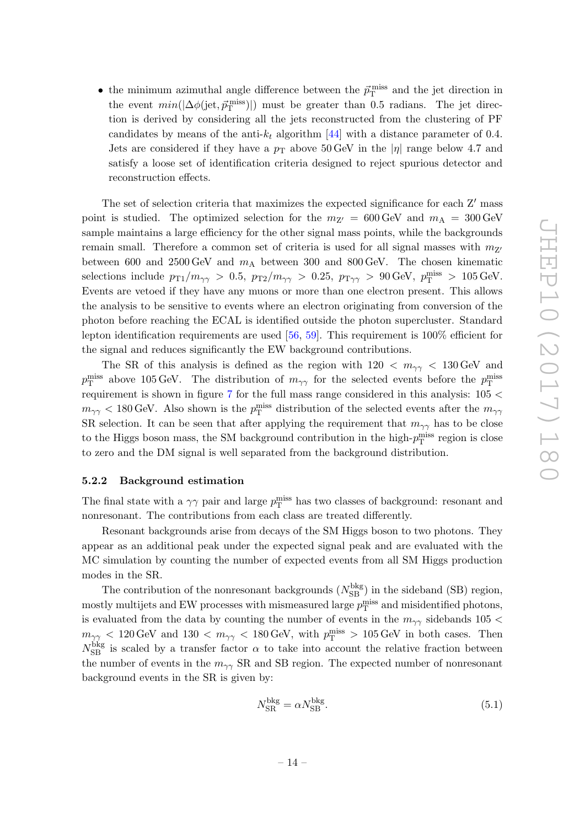• the minimum azimuthal angle difference between the  $\vec{p}_{\rm T}^{\rm miss}$  and the jet direction in the event  $min(|\Delta\phi({\rm jet}, \vec{p}_T^{\rm miss})|)$  must be greater than 0.5 radians. The jet direction is derived by considering all the jets reconstructed from the clustering of PF candidates by means of the anti- $k_t$  algorithm [\[44\]](#page-26-12) with a distance parameter of 0.4. Jets are considered if they have a  $p_T$  above 50 GeV in the  $|\eta|$  range below 4.7 and satisfy a loose set of identification criteria designed to reject spurious detector and reconstruction effects.

The set of selection criteria that maximizes the expected significance for each  $Z'$  mass point is studied. The optimized selection for the  $m_{Z'} = 600 \,\text{GeV}$  and  $m_A = 300 \,\text{GeV}$ sample maintains a large efficiency for the other signal mass points, while the backgrounds remain small. Therefore a common set of criteria is used for all signal masses with  $m_{Z}$ between 600 and 2500 GeV and  $m_A$  between 300 and 800 GeV. The chosen kinematic selections include  $p_{T1}/m_{\gamma\gamma} > 0.5$ ,  $p_{T2}/m_{\gamma\gamma} > 0.25$ ,  $p_{T\gamma\gamma} > 90$  GeV,  $p_T^{\text{miss}} > 105$  GeV. Events are vetoed if they have any muons or more than one electron present. This allows the analysis to be sensitive to events where an electron originating from conversion of the photon before reaching the ECAL is identified outside the photon supercluster. Standard lepton identification requirements are used [\[56,](#page-27-7) [59\]](#page-27-10). This requirement is 100% efficient for the signal and reduces significantly the EW background contributions.

The SR of this analysis is defined as the region with  $120 < m_{\gamma\gamma} < 130 \,\text{GeV}$  and  $p_T^{\text{miss}}$  above 105 GeV. The distribution of  $m_{\gamma\gamma}$  for the selected events before the  $p_T^{\text{miss}}$ requirement is shown in figure  $7$  for the full mass range considered in this analysis:  $105 <$  $m_{\gamma\gamma}$  < 180 GeV. Also shown is the  $p_{\rm T}^{\rm miss}$  distribution of the selected events after the  $m_{\gamma\gamma}$ SR selection. It can be seen that after applying the requirement that  $m_{\gamma\gamma}$  has to be close to the Higgs boson mass, the SM background contribution in the high- $p_T^{\text{miss}}$  region is close to zero and the DM signal is well separated from the background distribution.

#### <span id="page-14-0"></span>5.2.2 Background estimation

The final state with a  $\gamma\gamma$  pair and large  $p_T^{\text{miss}}$  has two classes of background: resonant and nonresonant. The contributions from each class are treated differently.

Resonant backgrounds arise from decays of the SM Higgs boson to two photons. They appear as an additional peak under the expected signal peak and are evaluated with the MC simulation by counting the number of expected events from all SM Higgs production modes in the SR.

The contribution of the nonresonant backgrounds  $(N_{\text{SB}}^{\text{bkg}})$  in the sideband (SB) region, mostly multijets and EW processes with mismeasured large  $p_T^{\text{miss}}$  and misidentified photons, is evaluated from the data by counting the number of events in the  $m_{\gamma\gamma}$  sidebands 105 <  $m_{\gamma\gamma}$  < 120 GeV and 130 <  $m_{\gamma\gamma}$  < 180 GeV, with  $p_T^{\text{miss}} > 105$  GeV in both cases. Then  $N_{\rm SB}^{\rm bkg}$  is scaled by a transfer factor  $\alpha$  to take into account the relative fraction between the number of events in the  $m_{\gamma\gamma}$  SR and SB region. The expected number of nonresonant background events in the SR is given by:

<span id="page-14-1"></span>
$$
N_{\rm SR}^{\rm bkg} = \alpha N_{\rm SB}^{\rm bkg}.\tag{5.1}
$$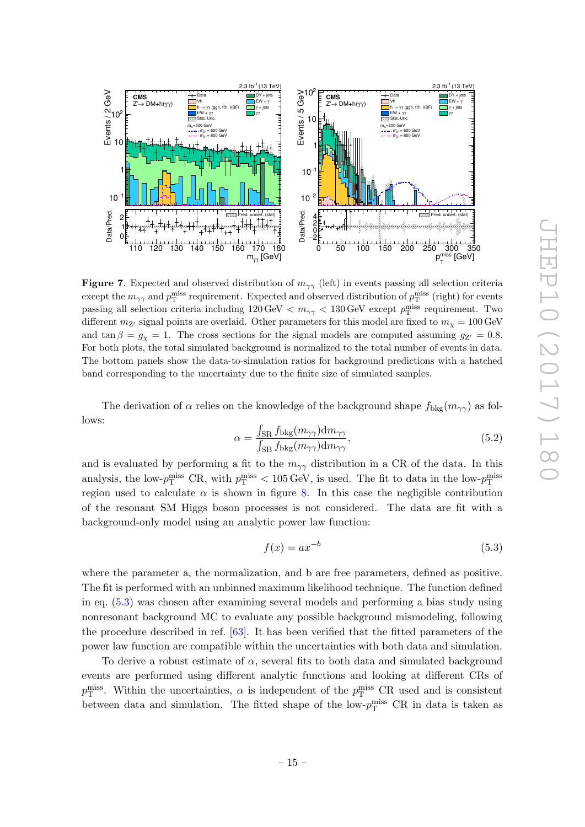

<span id="page-15-0"></span>**Figure 7.** Expected and observed distribution of  $m_{\gamma\gamma}$  (left) in events passing all selection criteria except the  $m_{\gamma\gamma}$  and  $p_T^{\text{miss}}$  requirement. Expected and observed distribution of  $p_T^{\text{miss}}$  (right) for events passing all selection criteria including  $120 \,\text{GeV} < m_{\gamma\gamma} < 130 \,\text{GeV}$  except  $p_T^{\text{miss}}$  requirement. Two different  $m_{Z'}$  signal points are overlaid. Other parameters for this model are fixed to  $m_{\chi} = 100$  GeV and  $\tan \beta = g_{\chi} = 1$ . The cross sections for the signal models are computed assuming  $g_{Z'} = 0.8$ . For both plots, the total simulated background is normalized to the total number of events in data. The bottom panels show the data-to-simulation ratios for background predictions with a hatched band corresponding to the uncertainty due to the finite size of simulated samples.

The derivation of  $\alpha$  relies on the knowledge of the background shape  $f_{\text{bkg}}(m_{\gamma\gamma})$  as follows:

$$
\alpha = \frac{\int_{\text{SR}} f_{\text{bkg}}(m_{\gamma\gamma}) \, \text{d}m_{\gamma\gamma}}{\int_{\text{SB}} f_{\text{bkg}}(m_{\gamma\gamma}) \, \text{d}m_{\gamma\gamma}},\tag{5.2}
$$

and is evaluated by performing a fit to the  $m_{\gamma\gamma}$  distribution in a CR of the data. In this analysis, the low- $p_T^{\text{miss}}$  CR, with  $p_T^{\text{miss}} < 105 \,\text{GeV}$ , is used. The fit to data in the low- $p_T^{\text{miss}}$ region used to calculate  $\alpha$  is shown in figure [8.](#page-16-1) In this case the negligible contribution of the resonant SM Higgs boson processes is not considered. The data are fit with a background-only model using an analytic power law function:

<span id="page-15-1"></span>
$$
f(x) = ax^{-b} \tag{5.3}
$$

where the parameter a, the normalization, and b are free parameters, defined as positive. The fit is performed with an unbinned maximum likelihood technique. The function defined in eq. [\(5.3\)](#page-15-1) was chosen after examining several models and performing a bias study using nonresonant background MC to evaluate any possible background mismodeling, following the procedure described in ref. [\[63\]](#page-27-14). It has been verified that the fitted parameters of the power law function are compatible within the uncertainties with both data and simulation.

To derive a robust estimate of  $\alpha$ , several fits to both data and simulated background events are performed using different analytic functions and looking at different CRs of  $p_T^{\text{miss}}$ . Within the uncertainties,  $\alpha$  is independent of the  $p_T^{\text{miss}}$  CR used and is consistent between data and simulation. The fitted shape of the low- $p_T^{\text{miss}}$  CR in data is taken as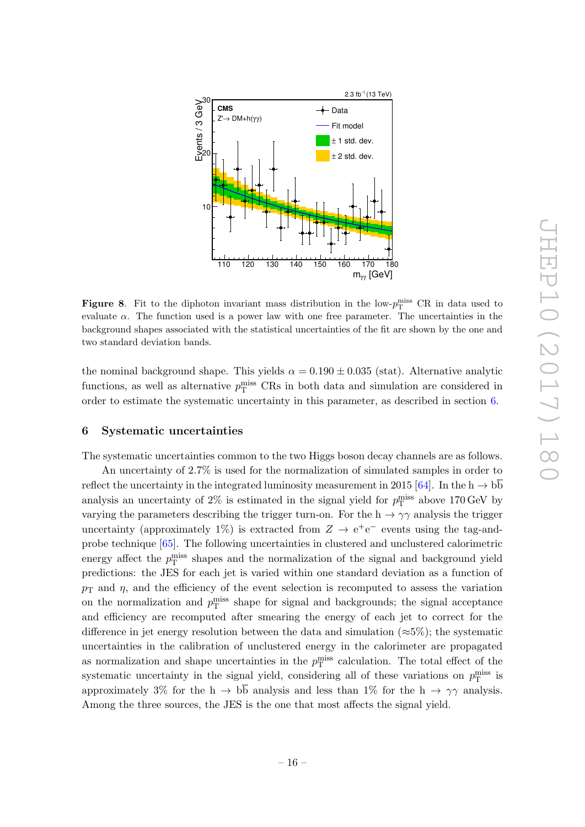

<span id="page-16-1"></span>**Figure 8.** Fit to the diphoton invariant mass distribution in the low- $p_T^{\text{miss}}$  CR in data used to evaluate  $\alpha$ . The function used is a power law with one free parameter. The uncertainties in the background shapes associated with the statistical uncertainties of the fit are shown by the one and two standard deviation bands.

the nominal background shape. This yields  $\alpha = 0.190 \pm 0.035$  (stat). Alternative analytic functions, as well as alternative  $p_T^{\text{miss}}$  CRs in both data and simulation are considered in order to estimate the systematic uncertainty in this parameter, as described in section [6.](#page-16-0)

#### <span id="page-16-0"></span>6 Systematic uncertainties

The systematic uncertainties common to the two Higgs boson decay channels are as follows.

An uncertainty of 2.7% is used for the normalization of simulated samples in order to reflect the uncertainty in the integrated luminosity measurement in 2015 [\[64\]](#page-27-15). In the h  $\rightarrow b\overline{b}$ analysis an uncertainty of 2% is estimated in the signal yield for  $p_T^{\text{miss}}$  above 170 GeV by varying the parameters describing the trigger turn-on. For the h  $\rightarrow \gamma \gamma$  analysis the trigger uncertainty (approximately 1%) is extracted from  $Z \rightarrow e^+e^-$  events using the tag-andprobe technique [\[65\]](#page-27-16). The following uncertainties in clustered and unclustered calorimetric energy affect the  $p_T^{\text{miss}}$  shapes and the normalization of the signal and background yield predictions: the JES for each jet is varied within one standard deviation as a function of  $p_{\rm T}$  and  $\eta$ , and the efficiency of the event selection is recomputed to assess the variation on the normalization and  $p_T^{\text{miss}}$  shape for signal and backgrounds; the signal acceptance and efficiency are recomputed after smearing the energy of each jet to correct for the difference in jet energy resolution between the data and simulation ( $\approx 5\%$ ); the systematic uncertainties in the calibration of unclustered energy in the calorimeter are propagated as normalization and shape uncertainties in the  $p_T^{\text{miss}}$  calculation. The total effect of the systematic uncertainty in the signal yield, considering all of these variations on  $p_T^{\text{miss}}$  is approximately 3% for the h  $\rightarrow$  bb analysis and less than 1% for the h  $\rightarrow \gamma\gamma$  analysis. Among the three sources, the JES is the one that most affects the signal yield.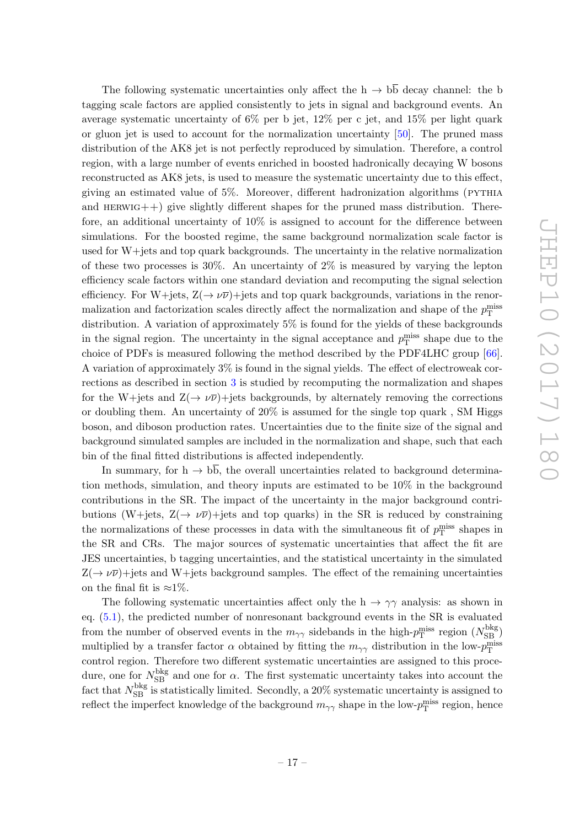The following systematic uncertainties only affect the h  $\rightarrow$  bb decay channel: the b tagging scale factors are applied consistently to jets in signal and background events. An average systematic uncertainty of 6% per b jet, 12% per c jet, and 15% per light quark or gluon jet is used to account for the normalization uncertainty [\[50\]](#page-27-1). The pruned mass distribution of the AK8 jet is not perfectly reproduced by simulation. Therefore, a control region, with a large number of events enriched in boosted hadronically decaying W bosons reconstructed as AK8 jets, is used to measure the systematic uncertainty due to this effect, giving an estimated value of 5%. Moreover, different hadronization algorithms (pythia and  $HERWIG++$ ) give slightly different shapes for the pruned mass distribution. Therefore, an additional uncertainty of 10% is assigned to account for the difference between simulations. For the boosted regime, the same background normalization scale factor is used for W+jets and top quark backgrounds. The uncertainty in the relative normalization of these two processes is  $30\%$ . An uncertainty of  $2\%$  is measured by varying the lepton efficiency scale factors within one standard deviation and recomputing the signal selection efficiency. For W+jets,  $Z(\rightarrow \nu \bar{\nu})$ +jets and top quark backgrounds, variations in the renormalization and factorization scales directly affect the normalization and shape of the  $p_T^{\text{miss}}$ distribution. A variation of approximately 5% is found for the yields of these backgrounds in the signal region. The uncertainty in the signal acceptance and  $p_T^{\text{miss}}$  shape due to the choice of PDFs is measured following the method described by the PDF4LHC group [\[66\]](#page-27-17). A variation of approximately 3% is found in the signal yields. The effect of electroweak corrections as described in section [3](#page-5-0) is studied by recomputing the normalization and shapes for the W+jets and  $Z(\rightarrow \nu\bar{\nu})$ +jets backgrounds, by alternately removing the corrections or doubling them. An uncertainty of 20% is assumed for the single top quark , SM Higgs boson, and diboson production rates. Uncertainties due to the finite size of the signal and background simulated samples are included in the normalization and shape, such that each bin of the final fitted distributions is affected independently.

In summary, for  $h \to b\overline{b}$ , the overall uncertainties related to background determination methods, simulation, and theory inputs are estimated to be 10% in the background contributions in the SR. The impact of the uncertainty in the major background contributions (W+jets,  $Z(\rightarrow \nu\bar{\nu})$ +jets and top quarks) in the SR is reduced by constraining the normalizations of these processes in data with the simultaneous fit of  $p_T^{\text{miss}}$  shapes in the SR and CRs. The major sources of systematic uncertainties that affect the fit are JES uncertainties, b tagging uncertainties, and the statistical uncertainty in the simulated  $Z(\rightarrow \nu \bar{\nu})$ +jets and W+jets background samples. The effect of the remaining uncertainties on the final fit is  $\approx 1\%$ .

The following systematic uncertainties affect only the h  $\rightarrow \gamma\gamma$  analysis: as shown in eq. [\(5.1\)](#page-14-1), the predicted number of nonresonant background events in the SR is evaluated from the number of observed events in the  $m_{\gamma\gamma}$  sidebands in the high- $p_T^{\text{miss}}$  region  $(N_{\text{SB}}^{\text{bkg}})$ multiplied by a transfer factor  $\alpha$  obtained by fitting the  $m_{\gamma\gamma}$  distribution in the low- $p_T^{\text{miss}}$ control region. Therefore two different systematic uncertainties are assigned to this procedure, one for  $N_{\rm SB}^{\rm bkg}$  and one for  $\alpha$ . The first systematic uncertainty takes into account the fact that  $N_{\rm SB}^{\rm bkg}$  is statistically limited. Secondly, a 20% systematic uncertainty is assigned to reflect the imperfect knowledge of the background  $m_{\gamma\gamma}$  shape in the low- $p_{\textrm{T}}^{\textrm{miss}}$  region, hence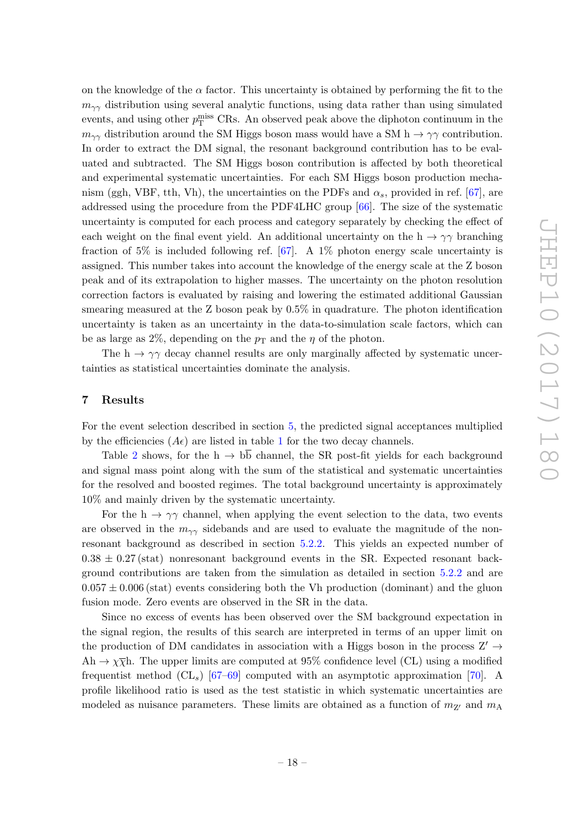on the knowledge of the  $\alpha$  factor. This uncertainty is obtained by performing the fit to the  $m_{\gamma\gamma}$  distribution using several analytic functions, using data rather than using simulated events, and using other  $p_T^{\text{miss}}$  CRs. An observed peak above the diphoton continuum in the  $m_{\gamma\gamma}$  distribution around the SM Higgs boson mass would have a SM h  $\rightarrow \gamma\gamma$  contribution. In order to extract the DM signal, the resonant background contribution has to be evaluated and subtracted. The SM Higgs boson contribution is affected by both theoretical and experimental systematic uncertainties. For each SM Higgs boson production mechanism (ggh, VBF, tth, Vh), the uncertainties on the PDFs and  $\alpha_s$ , provided in ref. [\[67\]](#page-28-0), are addressed using the procedure from the PDF4LHC group [\[66\]](#page-27-17). The size of the systematic uncertainty is computed for each process and category separately by checking the effect of each weight on the final event yield. An additional uncertainty on the  $h \to \gamma\gamma$  branching fraction of 5% is included following ref.  $[67]$ . A 1% photon energy scale uncertainty is assigned. This number takes into account the knowledge of the energy scale at the Z boson peak and of its extrapolation to higher masses. The uncertainty on the photon resolution correction factors is evaluated by raising and lowering the estimated additional Gaussian smearing measured at the Z boson peak by 0.5% in quadrature. The photon identification uncertainty is taken as an uncertainty in the data-to-simulation scale factors, which can be as large as  $2\%$ , depending on the  $p_T$  and the  $\eta$  of the photon.

The h  $\rightarrow \gamma \gamma$  decay channel results are only marginally affected by systematic uncertainties as statistical uncertainties dominate the analysis.

#### <span id="page-18-0"></span>7 Results

For the event selection described in section [5,](#page-8-0) the predicted signal acceptances multiplied by the efficiencies  $(A\epsilon)$  are listed in table [1](#page-19-0) for the two decay channels.

Table [2](#page-20-1) shows, for the h  $\rightarrow$  bb channel, the SR post-fit yields for each background and signal mass point along with the sum of the statistical and systematic uncertainties for the resolved and boosted regimes. The total background uncertainty is approximately 10% and mainly driven by the systematic uncertainty.

For the h  $\rightarrow \gamma\gamma$  channel, when applying the event selection to the data, two events are observed in the  $m_{\gamma\gamma}$  sidebands and are used to evaluate the magnitude of the nonresonant background as described in section [5.2.2.](#page-14-0) This yields an expected number of  $0.38 \pm 0.27$  (stat) nonresonant background events in the SR. Expected resonant background contributions are taken from the simulation as detailed in section [5.2.2](#page-14-0) and are  $0.057 \pm 0.006$  (stat) events considering both the Vh production (dominant) and the gluon fusion mode. Zero events are observed in the SR in the data.

Since no excess of events has been observed over the SM background expectation in the signal region, the results of this search are interpreted in terms of an upper limit on the production of DM candidates in association with a Higgs boson in the process  $Z' \rightarrow$ Ah  $\rightarrow \chi \bar{\chi}$ h. The upper limits are computed at 95% confidence level (CL) using a modified frequentist method  $\text{(CLs)}$  [\[67–](#page-28-0)[69\]](#page-28-1) computed with an asymptotic approximation [\[70\]](#page-28-2). A profile likelihood ratio is used as the test statistic in which systematic uncertainties are modeled as nuisance parameters. These limits are obtained as a function of  $m_Z$  and  $m_A$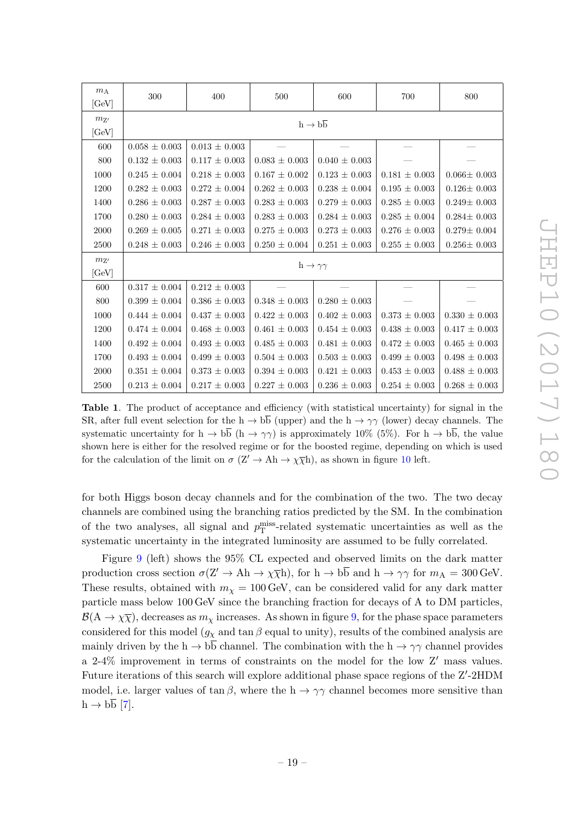| $m_A$    | 300                           | 400               | 500               | 600               | 700                 | 800               |  |  |  |
|----------|-------------------------------|-------------------|-------------------|-------------------|---------------------|-------------------|--|--|--|
| [GeV]    |                               |                   |                   |                   |                     |                   |  |  |  |
| $m_{Z'}$ | $h \rightarrow b\overline{b}$ |                   |                   |                   |                     |                   |  |  |  |
| [GeV]    |                               |                   |                   |                   |                     |                   |  |  |  |
| 600      | $0.058 \pm 0.003$             | $0.013 \pm 0.003$ |                   |                   |                     |                   |  |  |  |
| 800      | $0.132 \pm 0.003$             | $0.117 \pm 0.003$ | $0.083 \pm 0.003$ | $0.040 \pm 0.003$ |                     |                   |  |  |  |
| 1000     | $0.245 \pm 0.004$             | $0.218 \pm 0.003$ | $0.167 \pm 0.002$ | $0.123 \pm 0.003$ | $0.181 \pm 0.003$   | $0.066 \pm 0.003$ |  |  |  |
| 1200     | $0.282 \pm 0.003$             | $0.272 \pm 0.004$ | $0.262 \pm 0.003$ | $0.238 \pm 0.004$ | $0.195 \pm 0.003$   | $0.126 \pm 0.003$ |  |  |  |
| 1400     | $0.286 \pm 0.003$             | $0.287 \pm 0.003$ | $0.283 \pm 0.003$ | $0.279 \pm 0.003$ | $0.285\,\pm\,0.003$ | $0.249 \pm 0.003$ |  |  |  |
| 1700     | $0.280 \pm 0.003$             | $0.284 \pm 0.003$ | $0.283 \pm 0.003$ | $0.284 \pm 0.003$ | $0.285 \pm 0.004$   | $0.284 \pm 0.003$ |  |  |  |
| 2000     | $0.269 \pm 0.005$             | $0.271 \pm 0.003$ | $0.275 \pm 0.003$ | $0.273 \pm 0.003$ | $0.276 \pm 0.003$   | $0.279 \pm 0.004$ |  |  |  |
| 2500     | $0.248 \pm 0.003$             | $0.246 \pm 0.003$ | $0.250 \pm 0.004$ | $0.251 \pm 0.003$ | $0.255\,\pm\,0.003$ | $0.256 \pm 0.003$ |  |  |  |
| $m_{Z'}$ |                               |                   |                   |                   |                     |                   |  |  |  |
| [GeV]    | $h \rightarrow \gamma \gamma$ |                   |                   |                   |                     |                   |  |  |  |
| 600      | $0.317 \pm 0.004$             | $0.212 \pm 0.003$ |                   |                   |                     |                   |  |  |  |
| 800      | $0.399 \pm 0.004$             | $0.386 \pm 0.003$ | $0.348 \pm 0.003$ | $0.280 \pm 0.003$ |                     |                   |  |  |  |
| 1000     | $0.444 \pm 0.004$             | $0.437 \pm 0.003$ | $0.422 \pm 0.003$ | $0.402 \pm 0.003$ | $0.373 \pm 0.003$   | $0.330 \pm 0.003$ |  |  |  |
| 1200     | $0.474 \pm 0.004$             | $0.468 \pm 0.003$ | $0.461 \pm 0.003$ | $0.454 \pm 0.003$ | $0.438 \pm 0.003$   | $0.417 \pm 0.003$ |  |  |  |
| 1400     | $0.492 \pm 0.004$             | $0.493 \pm 0.003$ | $0.485 \pm 0.003$ | $0.481 \pm 0.003$ | $0.472 \pm 0.003$   | $0.465 \pm 0.003$ |  |  |  |
| 1700     | $0.493 \pm 0.004$             | $0.499 \pm 0.003$ | $0.504 \pm 0.003$ | $0.503 \pm 0.003$ | $0.499 \pm 0.003$   | $0.498 \pm 0.003$ |  |  |  |
| 2000     | $0.351 \pm 0.004$             | $0.373 \pm 0.003$ | $0.394 \pm 0.003$ | $0.421 \pm 0.003$ | $0.453 \pm 0.003$   | $0.488 \pm 0.003$ |  |  |  |
| 2500     | $0.213 \pm 0.004$             | $0.217 \pm 0.003$ | $0.227 \pm 0.003$ | $0.236 \pm 0.003$ | $0.254 \pm 0.003$   | $0.268 \pm 0.003$ |  |  |  |

<span id="page-19-0"></span>Table 1. The product of acceptance and efficiency (with statistical uncertainty) for signal in the SR, after full event selection for the h  $\rightarrow b\overline{b}$  (upper) and the h  $\rightarrow \gamma\gamma$  (lower) decay channels. The systematic uncertainty for h  $\rightarrow b\overline{b}$  (h  $\rightarrow \gamma\gamma$ ) is approximately 10% (5%). For h  $\rightarrow b\overline{b}$ , the value shown here is either for the resolved regime or for the boosted regime, depending on which is used for the calculation of the limit on  $\sigma (Z' \to Ah \to \chi \overline{\chi} h)$ , as shown in figure [10](#page-21-0) left.

for both Higgs boson decay channels and for the combination of the two. The two decay channels are combined using the branching ratios predicted by the SM. In the combination of the two analyses, all signal and  $p_T^{\text{miss}}$ -related systematic uncertainties as well as the systematic uncertainty in the integrated luminosity are assumed to be fully correlated.

Figure [9](#page-21-1) (left) shows the 95% CL expected and observed limits on the dark matter production cross section  $\sigma(Z' \to Ah \to \chi \overline{\chi} h)$ , for  $h \to b\overline{b}$  and  $h \to \gamma\gamma$  for  $m_A = 300 \text{ GeV}$ . These results, obtained with  $m<sub>x</sub> = 100$  GeV, can be considered valid for any dark matter particle mass below 100 GeV since the branching fraction for decays of A to DM particles,  $\mathcal{B}(A \to \chi \overline{\chi})$ , decreases as  $m_{\chi}$  increases. As shown in figure [9,](#page-21-1) for the phase space parameters considered for this model  $(g_{\chi}$  and tan  $\beta$  equal to unity), results of the combined analysis are mainly driven by the h  $\rightarrow$  bb channel. The combination with the h  $\rightarrow \gamma\gamma$  channel provides a  $2-4\%$  improvement in terms of constraints on the model for the low  $Z'$  mass values. Future iterations of this search will explore additional phase space regions of the Z'-2HDM model, i.e. larger values of tan  $\beta$ , where the h  $\rightarrow \gamma\gamma$  channel becomes more sensitive than  $h \rightarrow b\overline{b}$  [\[7\]](#page-24-4).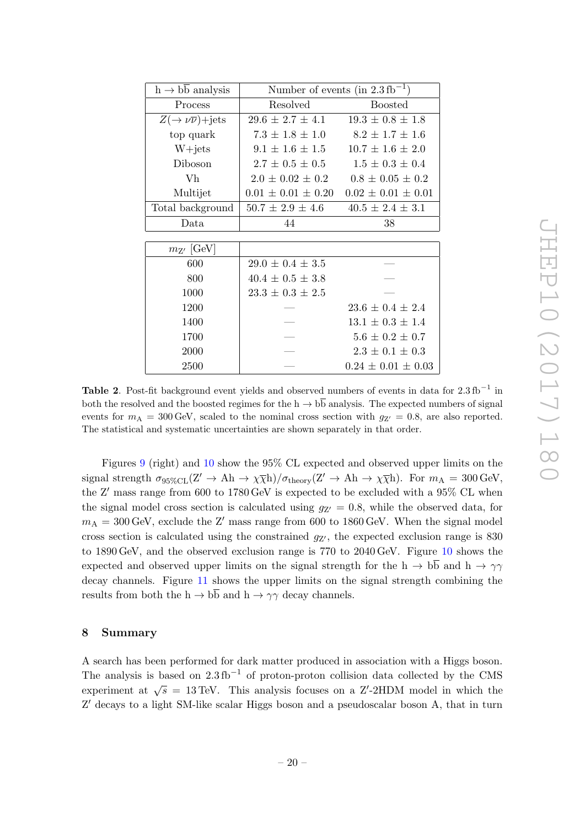| $h \rightarrow bb$ analysis              | Number of events (in $2.3 \text{ fb}^{-1}$ ) |                          |  |  |
|------------------------------------------|----------------------------------------------|--------------------------|--|--|
| Process                                  | Resolved                                     | <b>Boosted</b>           |  |  |
| $Z(\rightarrow \nu \overline{\nu})+jets$ | $29.6 \pm 2.7 \pm 4.1$                       | $19.3 \pm 0.8 \pm 1.8$   |  |  |
| top quark                                | $7.3 \pm 1.8 \pm 1.0$                        | $8.2 \pm 1.7 \pm 1.6$    |  |  |
| $W+jets$                                 | $9.1 \pm 1.6 \pm 1.5$                        | $10.7 \pm 1.6 \pm 2.0$   |  |  |
| Diboson                                  | $2.7 \pm 0.5 \pm 0.5$                        | $1.5 \pm 0.3 \pm 0.4$    |  |  |
| Vh                                       | $2.0 \pm 0.02 \pm 0.2$                       | $0.8 \pm 0.05 \pm 0.2$   |  |  |
| Multijet                                 | $0.01 \pm 0.01 \pm 0.20$                     | $0.02 \pm 0.01 \pm 0.01$ |  |  |
| Total background                         | $50.7 \pm 2.9 \pm 4.6$                       | $40.5 \pm 2.4 \pm 3.1$   |  |  |
| Data                                     | 44                                           | 38                       |  |  |
|                                          |                                              |                          |  |  |
| $m_{Z'}$ [GeV]                           |                                              |                          |  |  |
| 600                                      | $29.0 \pm 0.4 \pm 3.5$                       |                          |  |  |
| 800                                      | $40.4 \pm 0.5 \pm 3.8$                       |                          |  |  |
| 1000                                     | $23.3 \pm 0.3 \pm 2.5$                       |                          |  |  |
| 1200                                     |                                              | $23.6 \pm 0.4 \pm 2.4$   |  |  |
| 1400                                     |                                              | $13.1 \pm 0.3 \pm 1.4$   |  |  |
| 1700                                     |                                              | $5.6 \pm 0.2 \pm 0.7$    |  |  |
| 2000                                     |                                              | $2.3 \pm 0.1 \pm 0.3$    |  |  |
| 2500                                     |                                              | $0.24 \pm 0.01 \pm 0.03$ |  |  |

<span id="page-20-1"></span>Table 2. Post-fit background event yields and observed numbers of events in data for  $2.3 \text{ fb}^{-1}$  in both the resolved and the boosted regimes for the  $h \to b\overline{b}$  analysis. The expected numbers of signal events for  $m_A = 300 \text{ GeV}$ , scaled to the nominal cross section with  $g_{Z'} = 0.8$ , are also reported. The statistical and systematic uncertainties are shown separately in that order.

Figures [9](#page-21-1) (right) and [10](#page-21-0) show the 95% CL expected and observed upper limits on the signal strength  $\sigma_{95\% CL}(Z' \to Ah \to \chi \bar{\chi}h)/\sigma_{\text{theory}}(Z' \to Ah \to \chi \bar{\chi}h)$ . For  $m_A = 300 \,\text{GeV}$ , the  $Z'$  mass range from 600 to 1780 GeV is expected to be excluded with a 95% CL when the signal model cross section is calculated using  $g_{Z'}=0.8$ , while the observed data, for  $m_A = 300 \,\text{GeV}$ , exclude the Z' mass range from 600 to 1860 GeV. When the signal model cross section is calculated using the constrained  $g_{Z}$ , the expected exclusion range is 830 to 1890 GeV, and the observed exclusion range is 770 to 2040 GeV. Figure [10](#page-21-0) shows the expected and observed upper limits on the signal strength for the h  $\rightarrow$  bb and h  $\rightarrow \gamma\gamma$ decay channels. Figure [11](#page-22-0) shows the upper limits on the signal strength combining the results from both the  $h \to b\overline{b}$  and  $h \to \gamma\gamma$  decay channels.

#### <span id="page-20-0"></span>8 Summary

A search has been performed for dark matter produced in association with a Higgs boson. The analysis is based on  $2.3 \text{ fb}^{-1}$  of proton-proton collision data collected by the CMS experiment at  $\sqrt{s} = 13$  TeV. This analysis focuses on a Z'-2HDM model in which the Z' decays to a light SM-like scalar Higgs boson and a pseudoscalar boson A, that in turn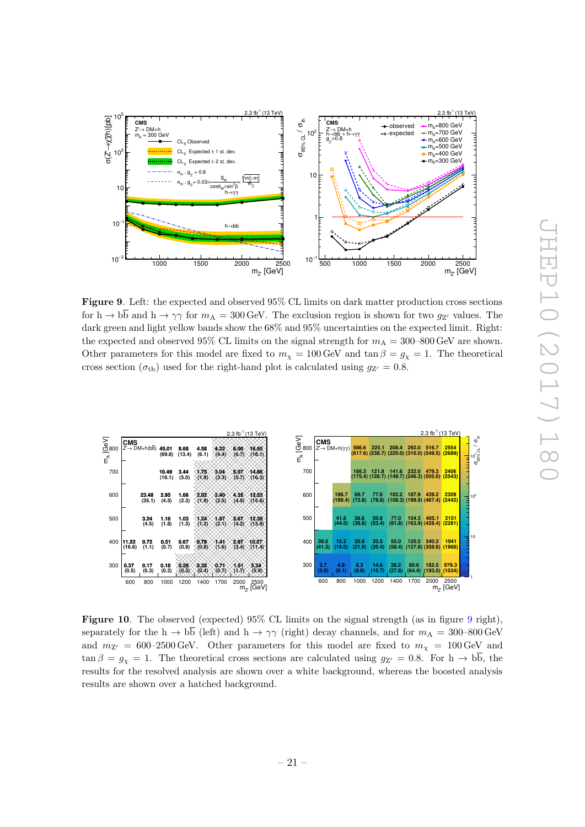

<span id="page-21-1"></span>Figure 9. Left: the expected and observed 95% CL limits on dark matter production cross sections for h  $\rightarrow$  bb and h  $\rightarrow$   $\gamma\gamma$  for  $m_A = 300$  GeV. The exclusion region is shown for two  $g_{Z'}$  values. The dark green and light yellow bands show the 68% and 95% uncertainties on the expected limit. Right: the expected and observed 95% CL limits on the signal strength for  $m_A = 300-800$  GeV are shown. Other parameters for this model are fixed to  $m<sub>\chi</sub> = 100$  GeV and tan  $\beta = g<sub>\chi</sub> = 1$ . The theoretical cross section ( $\sigma_{\text{th}}$ ) used for the right-hand plot is calculated using  $g_{Z'}=0.8$ .



<span id="page-21-0"></span>Figure 10. The observed (expected) [9](#page-21-1)5% CL limits on the signal strength (as in figure 9 right), separately for the h  $\rightarrow b\overline{b}$  (left) and h  $\rightarrow \gamma\gamma$  (right) decay channels, and for  $m_A = 300$ –800 GeV and  $m_{Z'} = 600-2500 \text{ GeV}$ . Other parameters for this model are fixed to  $m_{\chi} = 100 \text{ GeV}$  and  $\tan \beta = g_\chi = 1$ . The theoretical cross sections are calculated using  $g_{Z'} = 0.8$ . For  $h \to b\overline{b}$ , the results for the resolved analysis are shown over a white background, whereas the boosted analysis results are shown over a hatched background.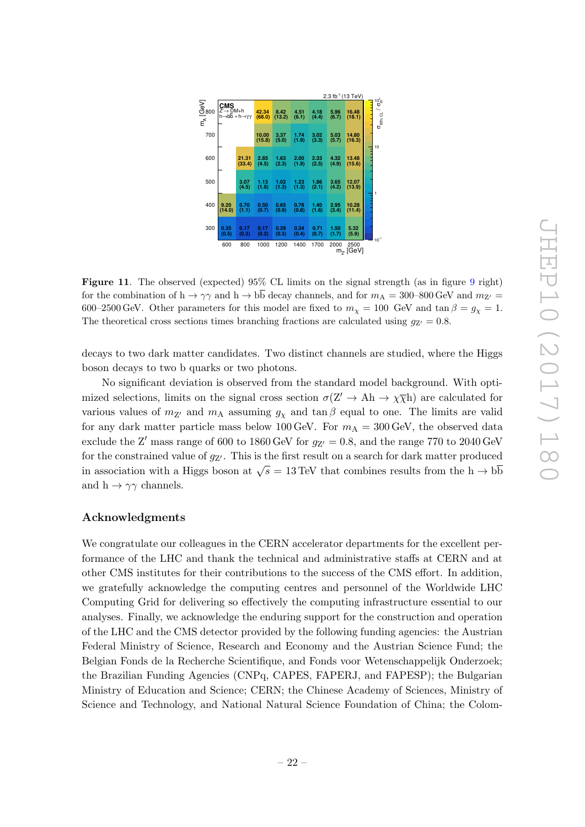

<span id="page-22-0"></span>Figure 11. The observed (expected) 95% CL limits on the signal strength (as in figure [9](#page-21-1) right) for the combination of h  $\rightarrow \gamma\gamma$  and h  $\rightarrow b\overline{b}$  decay channels, and for  $m_A = 300$ –800 GeV and  $m_{Z'} =$ 600–2500 GeV. Other parameters for this model are fixed to  $m<sub>x</sub> = 100$  GeV and tan  $\beta = g<sub>x</sub> = 1$ . The theoretical cross sections times branching fractions are calculated using  $g_{Z'} = 0.8$ .

decays to two dark matter candidates. Two distinct channels are studied, where the Higgs boson decays to two b quarks or two photons.

No significant deviation is observed from the standard model background. With optimized selections, limits on the signal cross section  $\sigma(Z' \to Ah \to \chi \overline{\chi} h)$  are calculated for various values of  $m_{Z'}$  and  $m_A$  assuming  $g_X$  and tan β equal to one. The limits are valid for any dark matter particle mass below 100 GeV. For  $m_A = 300$  GeV, the observed data exclude the Z' mass range of 600 to 1860 GeV for  $g_{Z'} = 0.8$ , and the range 770 to 2040 GeV for the constrained value of  $g_{Z'}$ . This is the first result on a search for dark matter produced in association with a Higgs boson at  $\sqrt{s} = 13$  TeV that combines results from the  $h \to b\overline{b}$ and h  $\rightarrow \gamma \gamma$  channels.

#### Acknowledgments

We congratulate our colleagues in the CERN accelerator departments for the excellent performance of the LHC and thank the technical and administrative staffs at CERN and at other CMS institutes for their contributions to the success of the CMS effort. In addition, we gratefully acknowledge the computing centres and personnel of the Worldwide LHC Computing Grid for delivering so effectively the computing infrastructure essential to our analyses. Finally, we acknowledge the enduring support for the construction and operation of the LHC and the CMS detector provided by the following funding agencies: the Austrian Federal Ministry of Science, Research and Economy and the Austrian Science Fund; the Belgian Fonds de la Recherche Scientifique, and Fonds voor Wetenschappelijk Onderzoek; the Brazilian Funding Agencies (CNPq, CAPES, FAPERJ, and FAPESP); the Bulgarian Ministry of Education and Science; CERN; the Chinese Academy of Sciences, Ministry of Science and Technology, and National Natural Science Foundation of China; the Colom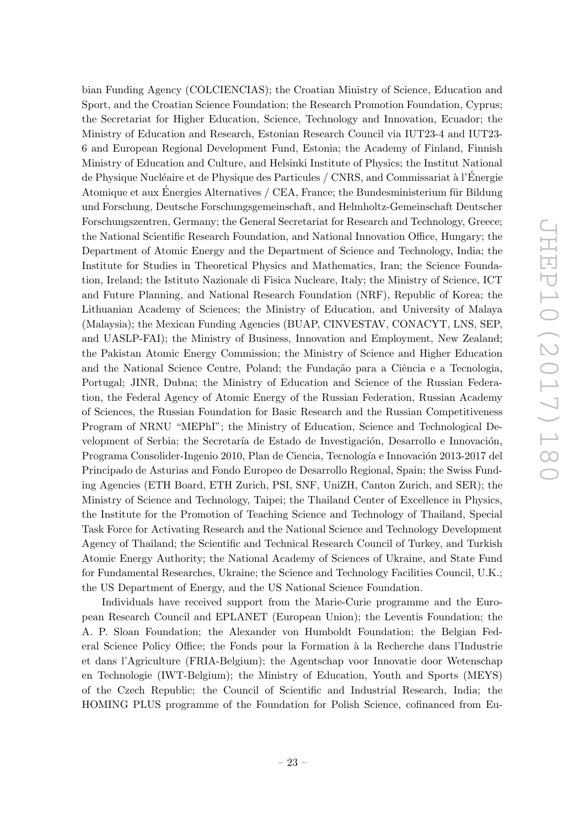bian Funding Agency (COLCIENCIAS); the Croatian Ministry of Science, Education and Sport, and the Croatian Science Foundation; the Research Promotion Foundation, Cyprus; the Secretariat for Higher Education, Science, Technology and Innovation, Ecuador; the Ministry of Education and Research, Estonian Research Council via IUT23-4 and IUT23- 6 and European Regional Development Fund, Estonia; the Academy of Finland, Finnish Ministry of Education and Culture, and Helsinki Institute of Physics; the Institut National de Physique Nucléaire et de Physique des Particules / CNRS, and Commissariat à l'Énergie Atomique et aux Énergies Alternatives / CEA, France; the Bundesministerium für Bildung und Forschung, Deutsche Forschungsgemeinschaft, and Helmholtz-Gemeinschaft Deutscher Forschungszentren, Germany; the General Secretariat for Research and Technology, Greece; the National Scientific Research Foundation, and National Innovation Office, Hungary; the Department of Atomic Energy and the Department of Science and Technology, India; the Institute for Studies in Theoretical Physics and Mathematics, Iran; the Science Foundation, Ireland; the Istituto Nazionale di Fisica Nucleare, Italy; the Ministry of Science, ICT and Future Planning, and National Research Foundation (NRF), Republic of Korea; the Lithuanian Academy of Sciences; the Ministry of Education, and University of Malaya (Malaysia); the Mexican Funding Agencies (BUAP, CINVESTAV, CONACYT, LNS, SEP, and UASLP-FAI); the Ministry of Business, Innovation and Employment, New Zealand; the Pakistan Atomic Energy Commission; the Ministry of Science and Higher Education and the National Science Centre, Poland; the Fundação para a Ciência e a Tecnologia, Portugal; JINR, Dubna; the Ministry of Education and Science of the Russian Federation, the Federal Agency of Atomic Energy of the Russian Federation, Russian Academy of Sciences, the Russian Foundation for Basic Research and the Russian Competitiveness Program of NRNU "MEPhI"; the Ministry of Education, Science and Technological Development of Serbia; the Secretaría de Estado de Investigación, Desarrollo e Innovación, Programa Consolider-Ingenio 2010, Plan de Ciencia, Tecnología e Innovación 2013-2017 del Principado de Asturias and Fondo Europeo de Desarrollo Regional, Spain; the Swiss Funding Agencies (ETH Board, ETH Zurich, PSI, SNF, UniZH, Canton Zurich, and SER); the Ministry of Science and Technology, Taipei; the Thailand Center of Excellence in Physics, the Institute for the Promotion of Teaching Science and Technology of Thailand, Special Task Force for Activating Research and the National Science and Technology Development Agency of Thailand; the Scientific and Technical Research Council of Turkey, and Turkish Atomic Energy Authority; the National Academy of Sciences of Ukraine, and State Fund for Fundamental Researches, Ukraine; the Science and Technology Facilities Council, U.K.; the US Department of Energy, and the US National Science Foundation.

Individuals have received support from the Marie-Curie programme and the European Research Council and EPLANET (European Union); the Leventis Foundation; the A. P. Sloan Foundation; the Alexander von Humboldt Foundation; the Belgian Federal Science Policy Office; the Fonds pour la Formation à la Recherche dans l'Industrie et dans l'Agriculture (FRIA-Belgium); the Agentschap voor Innovatie door Wetenschap en Technologie (IWT-Belgium); the Ministry of Education, Youth and Sports (MEYS) of the Czech Republic; the Council of Scientific and Industrial Research, India; the HOMING PLUS programme of the Foundation for Polish Science, cofinanced from Eu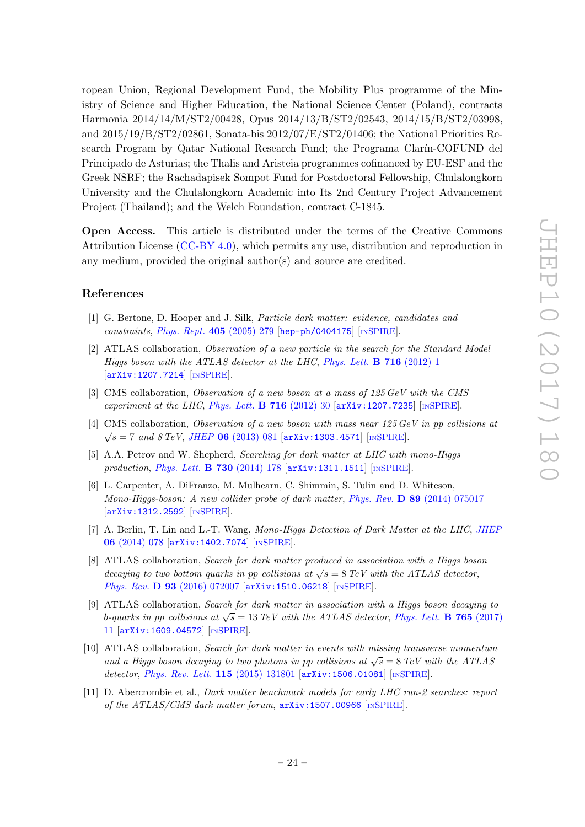ropean Union, Regional Development Fund, the Mobility Plus programme of the Ministry of Science and Higher Education, the National Science Center (Poland), contracts Harmonia 2014/14/M/ST2/00428, Opus 2014/13/B/ST2/02543, 2014/15/B/ST2/03998, and 2015/19/B/ST2/02861, Sonata-bis 2012/07/E/ST2/01406; the National Priorities Research Program by Qatar National Research Fund; the Programa Clarín-COFUND del Principado de Asturias; the Thalis and Aristeia programmes cofinanced by EU-ESF and the Greek NSRF; the Rachadapisek Sompot Fund for Postdoctoral Fellowship, Chulalongkorn University and the Chulalongkorn Academic into Its 2nd Century Project Advancement Project (Thailand); and the Welch Foundation, contract C-1845.

Open Access. This article is distributed under the terms of the Creative Commons Attribution License [\(CC-BY 4.0\)](https://creativecommons.org/licenses/by/4.0/), which permits any use, distribution and reproduction in any medium, provided the original author(s) and source are credited.

#### References

- <span id="page-24-0"></span>[1] G. Bertone, D. Hooper and J. Silk, Particle dark matter: evidence, candidates and  $constraints, Phys. Rept. 405 (2005) 279 [hep-ph/0404175] [INSPIRE].$  $constraints, Phys. Rept. 405 (2005) 279 [hep-ph/0404175] [INSPIRE].$  $constraints, Phys. Rept. 405 (2005) 279 [hep-ph/0404175] [INSPIRE].$  $constraints, Phys. Rept. 405 (2005) 279 [hep-ph/0404175] [INSPIRE].$  $constraints, Phys. Rept. 405 (2005) 279 [hep-ph/0404175] [INSPIRE].$  $constraints, Phys. Rept. 405 (2005) 279 [hep-ph/0404175] [INSPIRE].$  $constraints, Phys. Rept. 405 (2005) 279 [hep-ph/0404175] [INSPIRE].$
- <span id="page-24-1"></span>[2] ATLAS collaboration, Observation of a new particle in the search for the Standard Model Higgs boson with the ATLAS detector at the LHC, [Phys. Lett.](https://doi.org/10.1016/j.physletb.2012.08.020) **B** 716 (2012) 1 [[arXiv:1207.7214](https://arxiv.org/abs/1207.7214)] [IN[SPIRE](https://inspirehep.net/search?p=find+EPRINT+arXiv:1207.7214)].
- [3] CMS collaboration, Observation of a new boson at a mass of 125 GeV with the CMS experiment at the LHC, [Phys. Lett.](https://doi.org/10.1016/j.physletb.2012.08.021) **B** 716 (2012) 30  $\left[$ [arXiv:1207.7235](https://arxiv.org/abs/1207.7235) $\right]$  [IN[SPIRE](https://inspirehep.net/search?p=find+EPRINT+arXiv:1207.7235)].
- <span id="page-24-2"></span>[4] CMS collaboration, Observation of a new boson with mass near 125 GeV in pp collisions at  $\sqrt{s}$  = 7 and 8 TeV, JHEP 06 [\(2013\) 081](https://doi.org/10.1007/JHEP06(2013)081) [[arXiv:1303.4571](https://arxiv.org/abs/1303.4571)] [IN[SPIRE](https://inspirehep.net/search?p=find+EPRINT+arXiv:1303.4571)].
- <span id="page-24-3"></span>[5] A.A. Petrov and W. Shepherd, Searching for dark matter at LHC with mono-Higgs production, *[Phys. Lett.](https://doi.org/10.1016/j.physletb.2014.01.051)* **B 730** (2014) 178 [[arXiv:1311.1511](https://arxiv.org/abs/1311.1511)] [IN[SPIRE](https://inspirehep.net/search?p=find+EPRINT+arXiv:1311.1511)].
- [6] L. Carpenter, A. DiFranzo, M. Mulhearn, C. Shimmin, S. Tulin and D. Whiteson, Mono-Higgs-boson: A new collider probe of dark matter, Phys. Rev. D 89 [\(2014\) 075017](https://doi.org/10.1103/PhysRevD.89.075017) [[arXiv:1312.2592](https://arxiv.org/abs/1312.2592)] [IN[SPIRE](https://inspirehep.net/search?p=find+EPRINT+arXiv:1312.2592)].
- <span id="page-24-4"></span>[7] A. Berlin, T. Lin and L.-T. Wang, Mono-Higgs Detection of Dark Matter at the LHC, [JHEP](https://doi.org/10.1007/JHEP06(2014)078) 06 [\(2014\) 078](https://doi.org/10.1007/JHEP06(2014)078) [[arXiv:1402.7074](https://arxiv.org/abs/1402.7074)] [IN[SPIRE](https://inspirehep.net/search?p=find+EPRINT+arXiv:1402.7074)].
- <span id="page-24-5"></span>[8] ATLAS collaboration, Search for dark matter produced in association with a Higgs boson  $decaying$  to two bottom quarks in pp collisions at  $\sqrt{s} = 8$  TeV with the ATLAS detector, Phys. Rev. D 93 [\(2016\) 072007](https://doi.org/10.1103/PhysRevD.93.072007) [[arXiv:1510.06218](https://arxiv.org/abs/1510.06218)] [IN[SPIRE](https://inspirehep.net/search?p=find+EPRINT+arXiv:1510.06218)].
- <span id="page-24-6"></span>[9] ATLAS collaboration, Search for dark matter in association with a Higgs boson decaying to b-quarks in pp collisions at  $\sqrt{s} = 13 \text{ TeV}$  with the ATLAS detector, [Phys. Lett.](https://doi.org/10.1016/j.physletb.2016.11.035) **B 765** (2017) [11](https://doi.org/10.1016/j.physletb.2016.11.035) [[arXiv:1609.04572](https://arxiv.org/abs/1609.04572)] [IN[SPIRE](https://inspirehep.net/search?p=find+EPRINT+arXiv:1609.04572)].
- <span id="page-24-7"></span>[10] ATLAS collaboration, Search for dark matter in events with missing transverse momentum and a Higgs boson decaying to two photons in pp collisions at  $\sqrt{s} = 8$  TeV with the ATLAS detector, [Phys. Rev. Lett.](https://doi.org/10.1103/PhysRevLett.115.131801) 115 (2015) 131801 [[arXiv:1506.01081](https://arxiv.org/abs/1506.01081)] [IN[SPIRE](https://inspirehep.net/search?p=find+EPRINT+arXiv:1506.01081)].
- <span id="page-24-8"></span>[11] D. Abercrombie et al., *Dark matter benchmark models for early LHC run-2 searches: report* of the ATLAS/CMS dark matter forum, [arXiv:1507.00966](https://arxiv.org/abs/1507.00966) [IN[SPIRE](https://inspirehep.net/search?p=find+EPRINT+arXiv:1507.00966)].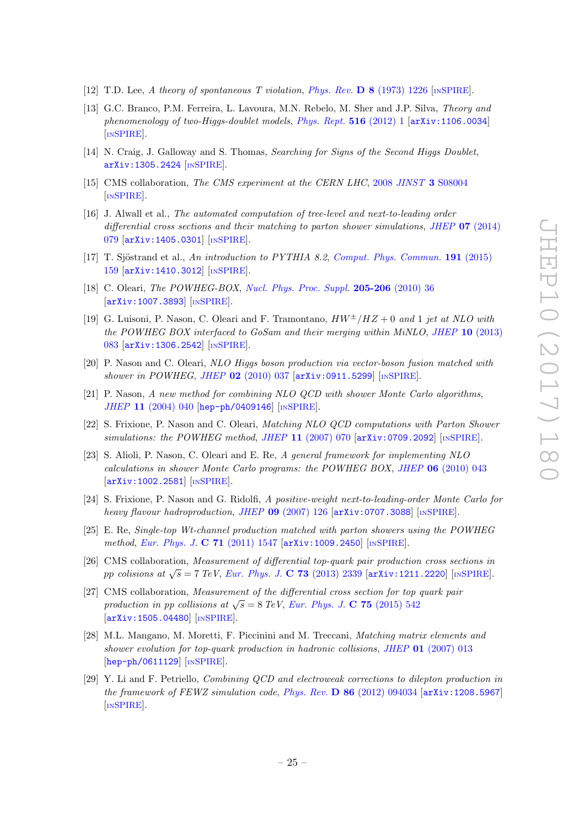- <span id="page-25-0"></span>[12] T.D. Lee, A theory of spontaneous T violation, Phys. Rev. D 8 [\(1973\) 1226](https://doi.org/10.1103/PhysRevD.8.1226) [IN[SPIRE](https://inspirehep.net/search?p=find+J+%22Phys.Rev.,D8,1226%22)].
- <span id="page-25-1"></span>[13] G.C. Branco, P.M. Ferreira, L. Lavoura, M.N. Rebelo, M. Sher and J.P. Silva, Theory and phenomenology of two-Higgs-doublet models, [Phys. Rept.](https://doi.org/10.1016/j.physrep.2012.02.002) 516 (2012) 1 [[arXiv:1106.0034](https://arxiv.org/abs/1106.0034)] [IN[SPIRE](https://inspirehep.net/search?p=find+EPRINT+arXiv:1106.0034)].
- <span id="page-25-2"></span>[14] N. Craig, J. Galloway and S. Thomas, Searching for Signs of the Second Higgs Doublet, [arXiv:1305.2424](https://arxiv.org/abs/1305.2424) [IN[SPIRE](https://inspirehep.net/search?p=find+EPRINT+arXiv:1305.2424)].
- <span id="page-25-3"></span>[15] CMS collaboration, The CMS experiment at the CERN LHC, 2008 JINST 3 [S08004](https://doi.org/10.1088/1748-0221/3/08/S08004) [IN[SPIRE](https://inspirehep.net/search?p=find+J+%22JINST,3,S08004%22)].
- <span id="page-25-4"></span>[16] J. Alwall et al., The automated computation of tree-level and next-to-leading order differential cross sections and their matching to parton shower simulations, JHEP 07 [\(2014\)](https://doi.org/10.1007/JHEP07(2014)079) [079](https://doi.org/10.1007/JHEP07(2014)079) [[arXiv:1405.0301](https://arxiv.org/abs/1405.0301)] [IN[SPIRE](https://inspirehep.net/search?p=find+EPRINT+arXiv:1405.0301)].
- <span id="page-25-5"></span>[17] T. Sjöstrand et al., An introduction to PYTHIA 8.2, [Comput. Phys. Commun.](https://doi.org/10.1016/j.cpc.2015.01.024) 191 (2015) [159](https://doi.org/10.1016/j.cpc.2015.01.024) [[arXiv:1410.3012](https://arxiv.org/abs/1410.3012)] [IN[SPIRE](https://inspirehep.net/search?p=find+EPRINT+arXiv:1410.3012)].
- <span id="page-25-6"></span>[18] C. Oleari, *The POWHEG-BOX, [Nucl. Phys. Proc. Suppl.](https://doi.org/10.1016/j.nuclphysBPS.2010.08.016)* **205-206** (2010) 36 [[arXiv:1007.3893](https://arxiv.org/abs/1007.3893)] [IN[SPIRE](https://inspirehep.net/search?p=find+EPRINT+arXiv:1007.3893)].
- <span id="page-25-7"></span>[19] G. Luisoni, P. Nason, C. Oleari and F. Tramontano,  $HW^{\pm}/HZ + 0$  and 1 jet at NLO with the POWHEG BOX interfaced to GoSam and their merging within MiNLO, JHEP 10 [\(2013\)](https://doi.org/10.1007/JHEP10(2013)083) [083](https://doi.org/10.1007/JHEP10(2013)083) [[arXiv:1306.2542](https://arxiv.org/abs/1306.2542)] [IN[SPIRE](https://inspirehep.net/search?p=find+EPRINT+arXiv:1306.2542)].
- <span id="page-25-8"></span>[20] P. Nason and C. Oleari, NLO Higgs boson production via vector-boson fusion matched with shower in POWHEG, JHEP 02 [\(2010\) 037](https://doi.org/10.1007/JHEP02(2010)037) [[arXiv:0911.5299](https://arxiv.org/abs/0911.5299)] [IN[SPIRE](https://inspirehep.net/search?p=find+EPRINT+arXiv:0911.5299)].
- <span id="page-25-9"></span>[21] P. Nason, A new method for combining NLO QCD with shower Monte Carlo algorithms, JHEP 11 [\(2004\) 040](https://doi.org/10.1088/1126-6708/2004/11/040) [[hep-ph/0409146](https://arxiv.org/abs/hep-ph/0409146)] [IN[SPIRE](https://inspirehep.net/search?p=find+EPRINT+hep-ph/0409146)].
- [22] S. Frixione, P. Nason and C. Oleari, Matching NLO QCD computations with Parton Shower simulations: the POWHEG method, JHEP 11 [\(2007\) 070](https://doi.org/10.1088/1126-6708/2007/11/070)  $\left[$ [arXiv:0709.2092](https://arxiv.org/abs/0709.2092) $\right]$   $\left[$ IN[SPIRE](https://inspirehep.net/search?p=find+EPRINT+arXiv:0709.2092) $\right]$ .
- [23] S. Alioli, P. Nason, C. Oleari and E. Re, A general framework for implementing NLO calculations in shower Monte Carlo programs: the POWHEG BOX, JHEP 06 [\(2010\) 043](https://doi.org/10.1007/JHEP06(2010)043) [[arXiv:1002.2581](https://arxiv.org/abs/1002.2581)] [IN[SPIRE](https://inspirehep.net/search?p=find+EPRINT+arXiv:1002.2581)].
- [24] S. Frixione, P. Nason and G. Ridolfi, A positive-weight next-to-leading-order Monte Carlo for heavy flavour hadroproduction, JHEP  $\overline{09}$  [\(2007\) 126](https://doi.org/10.1088/1126-6708/2007/09/126) [[arXiv:0707.3088](https://arxiv.org/abs/0707.3088)] [IN[SPIRE](https://inspirehep.net/search?p=find+EPRINT+arXiv:0707.3088)].
- <span id="page-25-10"></span>[25] E. Re, Single-top Wt-channel production matched with parton showers using the POWHEG method, [Eur. Phys. J.](https://doi.org/10.1140/epjc/s10052-011-1547-z) C 71 (2011) 1547  $\left[$ [arXiv:1009.2450](https://arxiv.org/abs/1009.2450) $\right]$   $\left[$ IN[SPIRE](https://inspirehep.net/search?p=find+EPRINT+arXiv:1009.2450) $\right]$ .
- <span id="page-25-11"></span>[26] CMS collaboration, Measurement of differential top-quark pair production cross sections in pp colisions at  $\sqrt{s} = 7$  TeV, [Eur. Phys. J.](https://doi.org/10.1140/epjc/s10052-013-2339-4) C 73 (2013) 2339 [[arXiv:1211.2220](https://arxiv.org/abs/1211.2220)] [IN[SPIRE](https://inspirehep.net/search?p=find+EPRINT+arXiv:1211.2220)].
- <span id="page-25-12"></span>[27] CMS collaboration, Measurement of the differential cross section for top quark pair production in pp collisions at  $\sqrt{s} = 8$  TeV, [Eur. Phys. J.](https://doi.org/10.1140/epjc/s10052-015-3709-x) C 75 (2015) 542 [[arXiv:1505.04480](https://arxiv.org/abs/1505.04480)] [IN[SPIRE](https://inspirehep.net/search?p=find+EPRINT+arXiv:1505.04480)].
- <span id="page-25-13"></span>[28] M.L. Mangano, M. Moretti, F. Piccinini and M. Treccani, Matching matrix elements and shower evolution for top-quark production in hadronic collisions, JHEP 01 [\(2007\) 013](https://doi.org/10.1088/1126-6708/2007/01/013) [[hep-ph/0611129](https://arxiv.org/abs/hep-ph/0611129)] [IN[SPIRE](https://inspirehep.net/search?p=find+EPRINT+hep-ph/0611129)].
- <span id="page-25-14"></span>[29] Y. Li and F. Petriello, Combining QCD and electroweak corrections to dilepton production in the framework of FEWZ simulation code,  $Phys.$  Rev.  $D$  86 [\(2012\) 094034](https://doi.org/10.1103/PhysRevD.86.094034) [[arXiv:1208.5967](https://arxiv.org/abs/1208.5967)] [IN[SPIRE](https://inspirehep.net/search?p=find+EPRINT+arXiv:1208.5967)].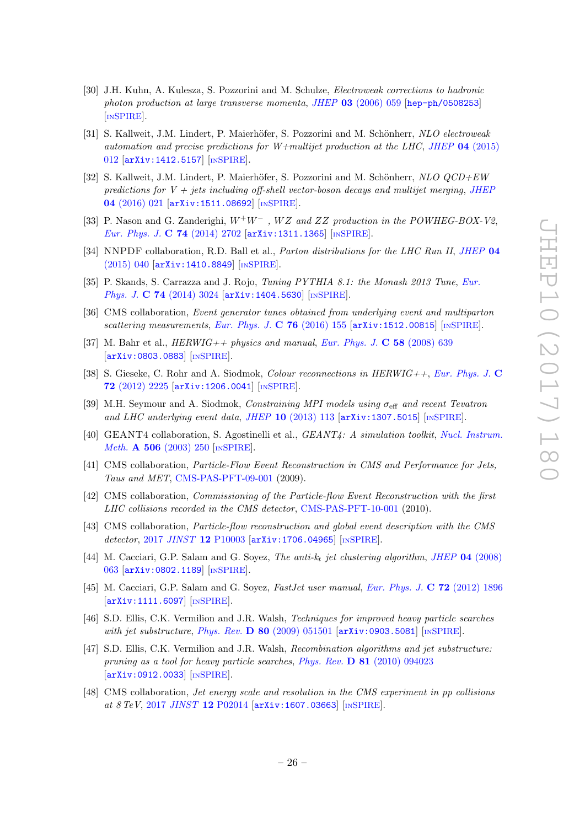- <span id="page-26-0"></span>[30] J.H. Kuhn, A. Kulesza, S. Pozzorini and M. Schulze, Electroweak corrections to hadronic photon production at large transverse momenta, JHEP 03 [\(2006\) 059](https://doi.org/10.1088/1126-6708/2006/03/059) [[hep-ph/0508253](https://arxiv.org/abs/hep-ph/0508253)] [IN[SPIRE](https://inspirehep.net/search?p=find+EPRINT+hep-ph/0508253)].
- [31] S. Kallweit, J.M. Lindert, P. Maierhöfer, S. Pozzorini and M. Schönherr, NLO electroweak automation and precise predictions for W+multijet production at the LHC, JHEP  $04$  [\(2015\)](https://doi.org/10.1007/JHEP04(2015)012) [012](https://doi.org/10.1007/JHEP04(2015)012) [[arXiv:1412.5157](https://arxiv.org/abs/1412.5157)] [IN[SPIRE](https://inspirehep.net/search?p=find+EPRINT+arXiv:1412.5157)].
- <span id="page-26-1"></span>[32] S. Kallweit, J.M. Lindert, P. Maierhöfer, S. Pozzorini and M. Schönherr, NLO QCD+EW predictions for  $V + jets$  including off-shell vector-boson decays and multijet merging, [JHEP](https://doi.org/10.1007/JHEP04(2016)021) 04 [\(2016\) 021](https://doi.org/10.1007/JHEP04(2016)021) [[arXiv:1511.08692](https://arxiv.org/abs/1511.08692)] [IN[SPIRE](https://inspirehep.net/search?p=find+EPRINT+arXiv:1511.08692)].
- <span id="page-26-2"></span>[33] P. Nason and G. Zanderighi,  $W^+W^-$  ,  $WZ$  and  $ZZ$  production in the POWHEG-BOX-V2, [Eur. Phys. J.](https://doi.org/10.1140/epjc/s10052-013-2702-5) C 74 (2014) 2702 [[arXiv:1311.1365](https://arxiv.org/abs/1311.1365)] [IN[SPIRE](https://inspirehep.net/search?p=find+EPRINT+arXiv:1311.1365)].
- <span id="page-26-3"></span>[34] NNPDF collaboration, R.D. Ball et al., *Parton distributions for the LHC Run II, [JHEP](https://doi.org/10.1007/JHEP04(2015)040)* 04 [\(2015\) 040](https://doi.org/10.1007/JHEP04(2015)040) [[arXiv:1410.8849](https://arxiv.org/abs/1410.8849)] [IN[SPIRE](https://inspirehep.net/search?p=find+EPRINT+arXiv:1410.8849)].
- <span id="page-26-4"></span>[35] P. Skands, S. Carrazza and J. Rojo, Tuning PYTHIA 8.1: the Monash 2013 Tune, [Eur.](https://doi.org/10.1140/epjc/s10052-014-3024-y) Phys. J. **C 74** [\(2014\) 3024](https://doi.org/10.1140/epjc/s10052-014-3024-y) [[arXiv:1404.5630](https://arxiv.org/abs/1404.5630)] [IN[SPIRE](https://inspirehep.net/search?p=find+EPRINT+arXiv:1404.5630)].
- <span id="page-26-5"></span>[36] CMS collaboration, Event generator tunes obtained from underlying event and multiparton scattering measurements, [Eur. Phys. J.](https://doi.org/10.1140/epjc/s10052-016-3988-x) C  $76$  (2016) 155  $\arXiv:1512.00815$  $\arXiv:1512.00815$  [IN[SPIRE](https://inspirehep.net/search?p=find+EPRINT+arXiv:1512.00815)].
- <span id="page-26-6"></span>[37] M. Bahr et al.,  $HERWIG + \rho hysis \text{ and } manual$ , [Eur. Phys. J.](https://doi.org/10.1140/epjc/s10052-008-0798-9) C 58 (2008) 639 [[arXiv:0803.0883](https://arxiv.org/abs/0803.0883)] [IN[SPIRE](https://inspirehep.net/search?p=find+EPRINT+arXiv:0803.0883)].
- <span id="page-26-7"></span>[38] S. Gieseke, C. Rohr and A. Siodmok, Colour reconnections in HERWIG++, [Eur. Phys. J.](https://doi.org/10.1140/epjc/s10052-012-2225-5) C 72 [\(2012\) 2225](https://doi.org/10.1140/epjc/s10052-012-2225-5) [[arXiv:1206.0041](https://arxiv.org/abs/1206.0041)] [IN[SPIRE](https://inspirehep.net/search?p=find+EPRINT+arXiv:1206.0041)].
- <span id="page-26-8"></span>[39] M.H. Seymour and A. Siodmok, Constraining MPI models using  $\sigma_{\text{eff}}$  and recent Tevatron and LHC underlying event data, JHEP 10 [\(2013\) 113](https://doi.org/10.1007/JHEP10(2013)113) [[arXiv:1307.5015](https://arxiv.org/abs/1307.5015)] [IN[SPIRE](https://inspirehep.net/search?p=find+EPRINT+arXiv:1307.5015)].
- <span id="page-26-9"></span>[40] GEANT4 collaboration, S. Agostinelli et al., GEANT4: A simulation toolkit, [Nucl. Instrum.](https://doi.org/10.1016/S0168-9002(03)01368-8) Meth. **A 506** [\(2003\) 250](https://doi.org/10.1016/S0168-9002(03)01368-8) [IN[SPIRE](https://inspirehep.net/search?p=find+J+%22Nucl.Instrum.Meth.,A506,250%22)].
- <span id="page-26-10"></span>[41] CMS collaboration, Particle-Flow Event Reconstruction in CMS and Performance for Jets, Taus and MET, [CMS-PAS-PFT-09-001](http://cds.cern.ch/record/1194487) (2009).
- [42] CMS collaboration, Commissioning of the Particle-flow Event Reconstruction with the first LHC collisions recorded in the CMS detector, [CMS-PAS-PFT-10-001](http://cds.cern.ch/record/1247373) (2010).
- <span id="page-26-11"></span>[43] CMS collaboration, Particle-flow reconstruction and global event description with the CMS  $detection$ , 2017 JINST 12 [P10003](https://doi.org/10.1088/1748-0221/12/10/P10003) [[arXiv:1706.04965](https://arxiv.org/abs/1706.04965)] [IN[SPIRE](https://inspirehep.net/search?p=find+EPRINT+arXiv:1706.04965)].
- <span id="page-26-12"></span>[44] M. Cacciari, G.P. Salam and G. Soyez, The anti-kt jet clustering algorithm, JHEP 04 [\(2008\)](https://doi.org/10.1088/1126-6708/2008/04/063) [063](https://doi.org/10.1088/1126-6708/2008/04/063) [[arXiv:0802.1189](https://arxiv.org/abs/0802.1189)] [IN[SPIRE](https://inspirehep.net/search?p=find+EPRINT+arXiv:0802.1189)].
- <span id="page-26-13"></span>[45] M. Cacciari, G.P. Salam and G. Soyez, FastJet user manual, [Eur. Phys. J.](https://doi.org/10.1140/epjc/s10052-012-1896-2) C 72 (2012) 1896 [[arXiv:1111.6097](https://arxiv.org/abs/1111.6097)] [IN[SPIRE](https://inspirehep.net/search?p=find+EPRINT+arXiv:1111.6097)].
- <span id="page-26-14"></span>[46] S.D. Ellis, C.K. Vermilion and J.R. Walsh, *Techniques for improved heavy particle searches* with jet substructure, Phys. Rev. D  $80$  [\(2009\) 051501](https://doi.org/10.1103/PhysRevD.80.051501) [[arXiv:0903.5081](https://arxiv.org/abs/0903.5081)] [IN[SPIRE](https://inspirehep.net/search?p=find+EPRINT+arXiv:0903.5081)].
- <span id="page-26-15"></span>[47] S.D. Ellis, C.K. Vermilion and J.R. Walsh, Recombination algorithms and jet substructure: pruning as a tool for heavy particle searches, Phys. Rev. D 81 [\(2010\) 094023](https://doi.org/10.1103/PhysRevD.81.094023) [[arXiv:0912.0033](https://arxiv.org/abs/0912.0033)] [IN[SPIRE](https://inspirehep.net/search?p=find+EPRINT+arXiv:0912.0033)].
- <span id="page-26-16"></span>[48] CMS collaboration, Jet energy scale and resolution in the CMS experiment in pp collisions at 8 TeV, 2017 JINST 12 [P02014](https://doi.org/10.1088/1748-0221/12/02/P02014)  $arXiv:1607.03663$  [IN[SPIRE](https://inspirehep.net/search?p=find+EPRINT+arXiv:1607.03663)].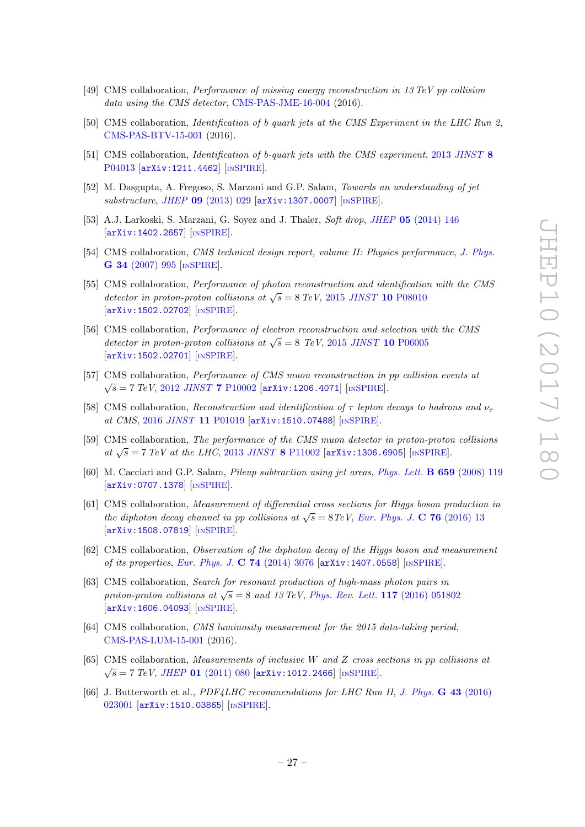- <span id="page-27-0"></span>[49] CMS collaboration, Performance of missing energy reconstruction in 13 TeV pp collision data using the CMS detector, [CMS-PAS-JME-16-004](http://cds.cern.ch/record/2205284) (2016).
- <span id="page-27-1"></span>[50] CMS collaboration, *Identification of b quark jets at the CMS Experiment in the LHC Run 2*, [CMS-PAS-BTV-15-001](http://cds.cern.ch/record/2138504) (2016).
- <span id="page-27-2"></span>[51] CMS collaboration, *Identification of b-quark jets with the CMS experiment*, 2013 *[JINST](https://doi.org/10.1088/1748-0221/8/04/P04013)* 8 [P04013](https://doi.org/10.1088/1748-0221/8/04/P04013) [[arXiv:1211.4462](https://arxiv.org/abs/1211.4462)] [IN[SPIRE](https://inspirehep.net/search?p=find+EPRINT+arXiv:1211.4462)].
- <span id="page-27-3"></span>[52] M. Dasgupta, A. Fregoso, S. Marzani and G.P. Salam, Towards an understanding of jet substructure, JHEP 09 [\(2013\) 029](https://doi.org/10.1007/JHEP09(2013)029) [[arXiv:1307.0007](https://arxiv.org/abs/1307.0007)] [IN[SPIRE](https://inspirehep.net/search?p=find+EPRINT+arXiv:1307.0007)].
- <span id="page-27-4"></span>[53] A.J. Larkoski, S. Marzani, G. Soyez and J. Thaler, *Soft drop, JHEP* 05 [\(2014\) 146](https://doi.org/10.1007/JHEP05(2014)146) [[arXiv:1402.2657](https://arxiv.org/abs/1402.2657)] [IN[SPIRE](https://inspirehep.net/search?p=find+EPRINT+arXiv:1402.2657)].
- <span id="page-27-5"></span>[54] CMS collaboration, CMS technical design report, volume II: Physics performance, [J. Phys.](https://doi.org/10.1088/0954-3899/34/6/S01) G 34 [\(2007\) 995](https://doi.org/10.1088/0954-3899/34/6/S01) [IN[SPIRE](https://inspirehep.net/search?p=find+J+%22J.Phys.,G34,995%22)].
- <span id="page-27-6"></span>[55] CMS collaboration, Performance of photon reconstruction and identification with the CMS detector in proton-proton collisions at  $\sqrt{s} = 8 \text{ TeV}$ , 2015 JINST 10 [P08010](https://doi.org/10.1088/1748-0221/10/08/P08010) [[arXiv:1502.02702](https://arxiv.org/abs/1502.02702)] [IN[SPIRE](https://inspirehep.net/search?p=find+EPRINT+arXiv:1502.02702)].
- <span id="page-27-7"></span>[56] CMS collaboration, Performance of electron reconstruction and selection with the CMS detector in proton-proton collisions at  $\sqrt{s} = 8$  TeV, 2015 JINST 10 [P06005](https://doi.org/10.1088/1748-0221/10/06/P06005) [[arXiv:1502.02701](https://arxiv.org/abs/1502.02701)] [IN[SPIRE](https://inspirehep.net/search?p=find+EPRINT+arXiv:1502.02701)].
- <span id="page-27-8"></span>[57] CMS collaboration, Performance of CMS muon reconstruction in pp collision events at √  $\sqrt{s} = 7 \text{ TeV}, 2012 \text{ JINST } 7 \text{ P10002}$  $\sqrt{s} = 7 \text{ TeV}, 2012 \text{ JINST } 7 \text{ P10002}$  $\sqrt{s} = 7 \text{ TeV}, 2012 \text{ JINST } 7 \text{ P10002}$  [[arXiv:1206.4071](https://arxiv.org/abs/1206.4071)] [IN[SPIRE](https://inspirehep.net/search?p=find+EPRINT+arXiv:1206.4071)].
- <span id="page-27-9"></span>[58] CMS collaboration, Reconstruction and identification of  $\tau$  lepton decays to hadrons and  $\nu_{\tau}$ at CMS, 2016 JINST 11 [P01019](https://doi.org/10.1088/1748-0221/11/01/P01019) [[arXiv:1510.07488](https://arxiv.org/abs/1510.07488)] [IN[SPIRE](https://inspirehep.net/search?p=find+EPRINT+arXiv:1510.07488)].
- <span id="page-27-10"></span>[59] CMS collaboration, The performance of the CMS muon detector in proton-proton collisions at  $\sqrt{s}$  = 7 TeV at the LHC, 2013 JINST 8 [P11002](https://doi.org/10.1088/1748-0221/8/11/P11002) [[arXiv:1306.6905](https://arxiv.org/abs/1306.6905)] [IN[SPIRE](https://inspirehep.net/search?p=find+EPRINT+arXiv:1306.6905)].
- <span id="page-27-11"></span>[60] M. Cacciari and G.P. Salam, Pileup subtraction using jet areas, [Phys. Lett.](https://doi.org/10.1016/j.physletb.2007.09.077) B 659 (2008) 119 [[arXiv:0707.1378](https://arxiv.org/abs/0707.1378)] [IN[SPIRE](https://inspirehep.net/search?p=find+J+%22Phys.Lett.,B659,119%22)].
- <span id="page-27-12"></span>[61] CMS collaboration, Measurement of differential cross sections for Higgs boson production in the diphoton decay channel in pp collisions at  $\sqrt{s} = 8 \text{ TeV}$ , [Eur. Phys. J.](https://doi.org/10.1140/epjc/s10052-015-3853-3) C 76 (2016) 13 [[arXiv:1508.07819](https://arxiv.org/abs/1508.07819)] [IN[SPIRE](https://inspirehep.net/search?p=find+EPRINT+arXiv:1508.07819)].
- <span id="page-27-13"></span>[62] CMS collaboration, Observation of the diphoton decay of the Higgs boson and measurement of its properties, [Eur. Phys. J.](https://doi.org/10.1140/epjc/s10052-014-3076-z) C 74 (2014) 3076 [[arXiv:1407.0558](https://arxiv.org/abs/1407.0558)] [IN[SPIRE](https://inspirehep.net/search?p=find+EPRINT+arXiv:1407.0558)].
- <span id="page-27-14"></span>[63] CMS collaboration, Search for resonant production of high-mass photon pairs in proton-proton collisions at  $\sqrt{s} = 8$  and 13 TeV, [Phys. Rev. Lett.](https://doi.org/10.1103/PhysRevLett.117.051802) 117 (2016) 051802 [[arXiv:1606.04093](https://arxiv.org/abs/1606.04093)] [IN[SPIRE](https://inspirehep.net/search?p=find+EPRINT+arXiv:1606.04093)].
- <span id="page-27-15"></span>[64] CMS collaboration, CMS luminosity measurement for the 2015 data-taking period, [CMS-PAS-LUM-15-001](http://cds.cern.ch/record/2138682) (2016).
- <span id="page-27-16"></span>[65] CMS collaboration, Measurements of inclusive W and Z cross sections in pp collisions at √  $\sqrt{s} = 7 \text{ TeV}, \text{ JHEP } 01 \text{ (2011) } 080 \text{ [arXiv:1012.2466] }$  $\sqrt{s} = 7 \text{ TeV}, \text{ JHEP } 01 \text{ (2011) } 080 \text{ [arXiv:1012.2466] }$  $\sqrt{s} = 7 \text{ TeV}, \text{ JHEP } 01 \text{ (2011) } 080 \text{ [arXiv:1012.2466] }$  [IN[SPIRE](https://inspirehep.net/search?p=find+EPRINT+arXiv:1012.2466)].
- <span id="page-27-17"></span>[66] J. Butterworth et al., PDF4LHC recommendations for LHC Run II, [J. Phys.](https://doi.org/10.1088/0954-3899/43/2/023001) G 43 (2016) [023001](https://doi.org/10.1088/0954-3899/43/2/023001) [[arXiv:1510.03865](https://arxiv.org/abs/1510.03865)] [IN[SPIRE](https://inspirehep.net/search?p=find+EPRINT+arXiv:1510.03865)].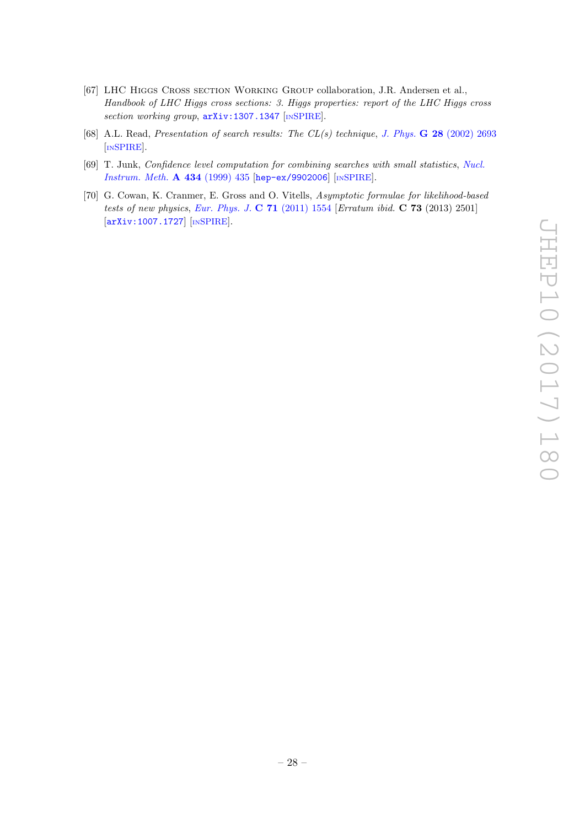- <span id="page-28-0"></span>[67] LHC Higgs Cross section Working Group collaboration, J.R. Andersen et al., Handbook of LHC Higgs cross sections: 3. Higgs properties: report of the LHC Higgs cross section working group,  $arXiv:1307.1347$  [IN[SPIRE](https://inspirehep.net/search?p=find+EPRINT+arXiv:1307.1347)].
- [68] A.L. Read, Presentation of search results: The CL(s) technique, J. Phys. **G 28** [\(2002\) 2693](https://doi.org/10.1088/0954-3899/28/10/313) [IN[SPIRE](https://inspirehep.net/search?p=find+J+%22J.Phys.,G28,2693%22)].
- <span id="page-28-1"></span>[69] T. Junk, Confidence level computation for combining searches with small statistics, [Nucl.](https://doi.org/10.1016/S0168-9002(99)00498-2) [Instrum. Meth.](https://doi.org/10.1016/S0168-9002(99)00498-2) A 434 (1999) 435 [[hep-ex/9902006](https://arxiv.org/abs/hep-ex/9902006)] [IN[SPIRE](https://inspirehep.net/search?p=find+EPRINT+hep-ex/9902006)].
- <span id="page-28-2"></span>[70] G. Cowan, K. Cranmer, E. Gross and O. Vitells, Asymptotic formulae for likelihood-based tests of new physics, [Eur. Phys. J.](https://doi.org/10.1140/epjc/s10052-011-1554-0) C 71 (2011) 1554 [Erratum ibid. C 73 (2013) 2501] [[arXiv:1007.1727](https://arxiv.org/abs/1007.1727)] [IN[SPIRE](https://inspirehep.net/search?p=find+EPRINT+arXiv:1007.1727)].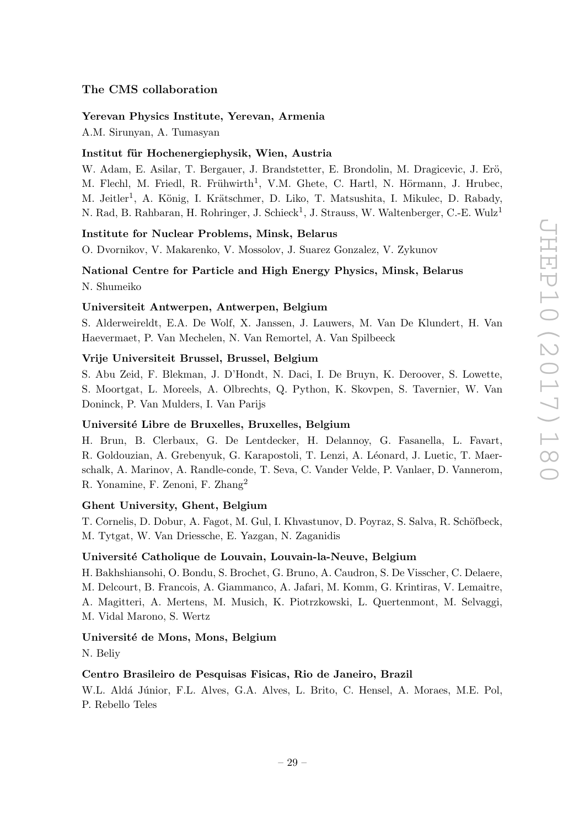#### The CMS collaboration

#### <span id="page-29-0"></span>Yerevan Physics Institute, Yerevan, Armenia

A.M. Sirunyan, A. Tumasyan

#### Institut für Hochenergiephysik, Wien, Austria

W. Adam, E. Asilar, T. Bergauer, J. Brandstetter, E. Brondolin, M. Dragicevic, J. Erö, M. Flechl, M. Friedl, R. Frühwirth<sup>1</sup>, V.M. Ghete, C. Hartl, N. Hörmann, J. Hrubec, M. Jeitler<sup>1</sup>, A. König, I. Krätschmer, D. Liko, T. Matsushita, I. Mikulec, D. Rabady, N. Rad, B. Rahbaran, H. Rohringer, J. Schieck<sup>1</sup>, J. Strauss, W. Waltenberger, C.-E. Wulz<sup>1</sup>

#### Institute for Nuclear Problems, Minsk, Belarus

O. Dvornikov, V. Makarenko, V. Mossolov, J. Suarez Gonzalez, V. Zykunov

### National Centre for Particle and High Energy Physics, Minsk, Belarus N. Shumeiko

#### Universiteit Antwerpen, Antwerpen, Belgium

S. Alderweireldt, E.A. De Wolf, X. Janssen, J. Lauwers, M. Van De Klundert, H. Van Haevermaet, P. Van Mechelen, N. Van Remortel, A. Van Spilbeeck

#### Vrije Universiteit Brussel, Brussel, Belgium

S. Abu Zeid, F. Blekman, J. D'Hondt, N. Daci, I. De Bruyn, K. Deroover, S. Lowette, S. Moortgat, L. Moreels, A. Olbrechts, Q. Python, K. Skovpen, S. Tavernier, W. Van Doninck, P. Van Mulders, I. Van Parijs

#### Universit´e Libre de Bruxelles, Bruxelles, Belgium

H. Brun, B. Clerbaux, G. De Lentdecker, H. Delannoy, G. Fasanella, L. Favart, R. Goldouzian, A. Grebenyuk, G. Karapostoli, T. Lenzi, A. Léonard, J. Luetic, T. Maerschalk, A. Marinov, A. Randle-conde, T. Seva, C. Vander Velde, P. Vanlaer, D. Vannerom, R. Yonamine, F. Zenoni, F. Zhang<sup>2</sup>

#### Ghent University, Ghent, Belgium

T. Cornelis, D. Dobur, A. Fagot, M. Gul, I. Khvastunov, D. Povraz, S. Salva, R. Schöfbeck, M. Tytgat, W. Van Driessche, E. Yazgan, N. Zaganidis

#### Université Catholique de Louvain, Louvain-la-Neuve, Belgium

H. Bakhshiansohi, O. Bondu, S. Brochet, G. Bruno, A. Caudron, S. De Visscher, C. Delaere, M. Delcourt, B. Francois, A. Giammanco, A. Jafari, M. Komm, G. Krintiras, V. Lemaitre, A. Magitteri, A. Mertens, M. Musich, K. Piotrzkowski, L. Quertenmont, M. Selvaggi, M. Vidal Marono, S. Wertz

#### Université de Mons, Mons, Belgium

N. Beliy

#### Centro Brasileiro de Pesquisas Fisicas, Rio de Janeiro, Brazil

W.L. Aldá Júnior, F.L. Alves, G.A. Alves, L. Brito, C. Hensel, A. Moraes, M.E. Pol, P. Rebello Teles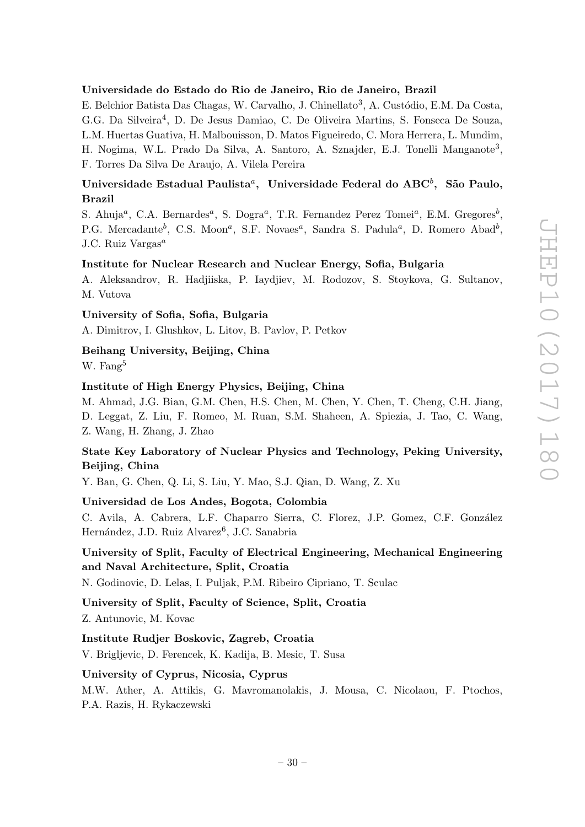#### Universidade do Estado do Rio de Janeiro, Rio de Janeiro, Brazil

E. Belchior Batista Das Chagas, W. Carvalho, J. Chinellato<sup>3</sup>, A. Custódio, E.M. Da Costa, G.G. Da Silveira<sup>4</sup>, D. De Jesus Damiao, C. De Oliveira Martins, S. Fonseca De Souza, L.M. Huertas Guativa, H. Malbouisson, D. Matos Figueiredo, C. Mora Herrera, L. Mundim, H. Nogima, W.L. Prado Da Silva, A. Santoro, A. Sznajder, E.J. Tonelli Manganote<sup>3</sup>, F. Torres Da Silva De Araujo, A. Vilela Pereira

### Universidade Estadual Paulista ${}^a,\;$  Universidade Federal do ABC ${}^b,\;$  São Paulo, Brazil

S. Ahuja<sup>a</sup>, C.A. Bernardes<sup>a</sup>, S. Dogra<sup>a</sup>, T.R. Fernandez Perez Tomei<sup>a</sup>, E.M. Gregores<sup>b</sup>, P.G. Mercadante<sup>b</sup>, C.S. Moon<sup>a</sup>, S.F. Novaes<sup>a</sup>, Sandra S. Padula<sup>a</sup>, D. Romero Abad<sup>b</sup>, J.C. Ruiz Vargas $^a$ 

#### Institute for Nuclear Research and Nuclear Energy, Sofia, Bulgaria

A. Aleksandrov, R. Hadjiiska, P. Iaydjiev, M. Rodozov, S. Stoykova, G. Sultanov, M. Vutova

#### University of Sofia, Sofia, Bulgaria

A. Dimitrov, I. Glushkov, L. Litov, B. Pavlov, P. Petkov

# Beihang University, Beijing, China

### W. Fang<sup>5</sup>

### Institute of High Energy Physics, Beijing, China

M. Ahmad, J.G. Bian, G.M. Chen, H.S. Chen, M. Chen, Y. Chen, T. Cheng, C.H. Jiang, D. Leggat, Z. Liu, F. Romeo, M. Ruan, S.M. Shaheen, A. Spiezia, J. Tao, C. Wang, Z. Wang, H. Zhang, J. Zhao

### State Key Laboratory of Nuclear Physics and Technology, Peking University, Beijing, China

Y. Ban, G. Chen, Q. Li, S. Liu, Y. Mao, S.J. Qian, D. Wang, Z. Xu

#### Universidad de Los Andes, Bogota, Colombia

C. Avila, A. Cabrera, L.F. Chaparro Sierra, C. Florez, J.P. Gomez, C.F. González Hernández, J.D. Ruiz Alvarez<sup>6</sup>, J.C. Sanabria

### University of Split, Faculty of Electrical Engineering, Mechanical Engineering and Naval Architecture, Split, Croatia

N. Godinovic, D. Lelas, I. Puljak, P.M. Ribeiro Cipriano, T. Sculac

#### University of Split, Faculty of Science, Split, Croatia

Z. Antunovic, M. Kovac

Institute Rudjer Boskovic, Zagreb, Croatia

V. Brigljevic, D. Ferencek, K. Kadija, B. Mesic, T. Susa

#### University of Cyprus, Nicosia, Cyprus

M.W. Ather, A. Attikis, G. Mavromanolakis, J. Mousa, C. Nicolaou, F. Ptochos, P.A. Razis, H. Rykaczewski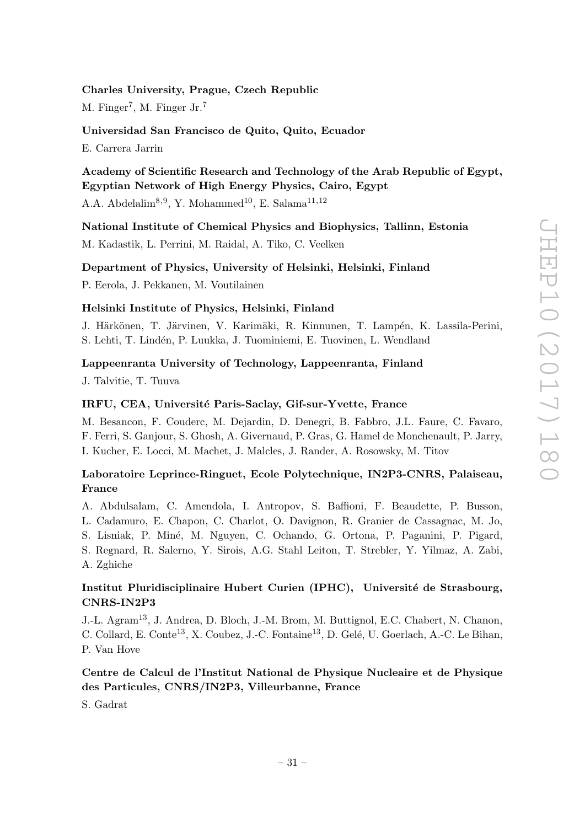#### Charles University, Prague, Czech Republic

M. Finger<sup>7</sup>, M. Finger Jr.<sup>7</sup>

#### Universidad San Francisco de Quito, Quito, Ecuador

E. Carrera Jarrin

## Academy of Scientific Research and Technology of the Arab Republic of Egypt, Egyptian Network of High Energy Physics, Cairo, Egypt

A.A. Abdelalim<sup>8,9</sup>, Y. Mohammed<sup>10</sup>, E. Salama<sup>11,12</sup>

### National Institute of Chemical Physics and Biophysics, Tallinn, Estonia M. Kadastik, L. Perrini, M. Raidal, A. Tiko, C. Veelken

#### Department of Physics, University of Helsinki, Helsinki, Finland

P. Eerola, J. Pekkanen, M. Voutilainen

#### Helsinki Institute of Physics, Helsinki, Finland

J. Härkönen, T. Järvinen, V. Karimäki, R. Kinnunen, T. Lampén, K. Lassila-Perini, S. Lehti, T. Lindén, P. Luukka, J. Tuominiemi, E. Tuovinen, L. Wendland

#### Lappeenranta University of Technology, Lappeenranta, Finland

J. Talvitie, T. Tuuva

#### IRFU, CEA, Université Paris-Saclay, Gif-sur-Yvette, France

M. Besancon, F. Couderc, M. Dejardin, D. Denegri, B. Fabbro, J.L. Faure, C. Favaro, F. Ferri, S. Ganjour, S. Ghosh, A. Givernaud, P. Gras, G. Hamel de Monchenault, P. Jarry, I. Kucher, E. Locci, M. Machet, J. Malcles, J. Rander, A. Rosowsky, M. Titov

### Laboratoire Leprince-Ringuet, Ecole Polytechnique, IN2P3-CNRS, Palaiseau, France

A. Abdulsalam, C. Amendola, I. Antropov, S. Baffioni, F. Beaudette, P. Busson, L. Cadamuro, E. Chapon, C. Charlot, O. Davignon, R. Granier de Cassagnac, M. Jo, S. Lisniak, P. Miné, M. Nguyen, C. Ochando, G. Ortona, P. Paganini, P. Pigard, S. Regnard, R. Salerno, Y. Sirois, A.G. Stahl Leiton, T. Strebler, Y. Yilmaz, A. Zabi, A. Zghiche

### Institut Pluridisciplinaire Hubert Curien (IPHC), Université de Strasbourg, CNRS-IN2P3

J.-L. Agram<sup>13</sup>, J. Andrea, D. Bloch, J.-M. Brom, M. Buttignol, E.C. Chabert, N. Chanon, C. Collard, E. Conte<sup>13</sup>, X. Coubez, J.-C. Fontaine<sup>13</sup>, D. Gelé, U. Goerlach, A.-C. Le Bihan, P. Van Hove

### Centre de Calcul de l'Institut National de Physique Nucleaire et de Physique des Particules, CNRS/IN2P3, Villeurbanne, France

S. Gadrat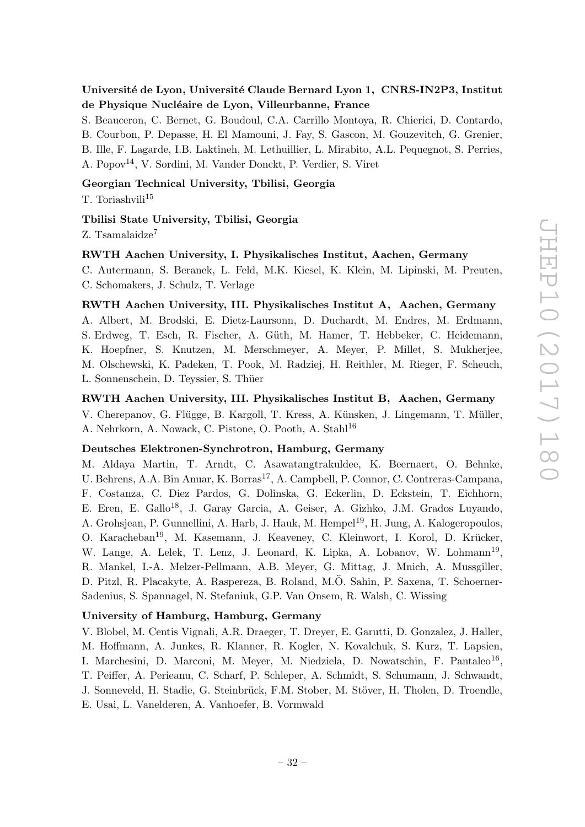### Université de Lyon, Université Claude Bernard Lyon 1, CNRS-IN2P3, Institut de Physique Nucléaire de Lyon, Villeurbanne, France

S. Beauceron, C. Bernet, G. Boudoul, C.A. Carrillo Montoya, R. Chierici, D. Contardo,

B. Courbon, P. Depasse, H. El Mamouni, J. Fay, S. Gascon, M. Gouzevitch, G. Grenier,

B. Ille, F. Lagarde, I.B. Laktineh, M. Lethuillier, L. Mirabito, A.L. Pequegnot, S. Perries,

A. Popov<sup>14</sup>, V. Sordini, M. Vander Donckt, P. Verdier, S. Viret

### Georgian Technical University, Tbilisi, Georgia

T. Toriashvili<sup>15</sup>

#### Tbilisi State University, Tbilisi, Georgia

Z. Tsamalaidze<sup>7</sup>

#### RWTH Aachen University, I. Physikalisches Institut, Aachen, Germany

C. Autermann, S. Beranek, L. Feld, M.K. Kiesel, K. Klein, M. Lipinski, M. Preuten, C. Schomakers, J. Schulz, T. Verlage

#### RWTH Aachen University, III. Physikalisches Institut A, Aachen, Germany

A. Albert, M. Brodski, E. Dietz-Laursonn, D. Duchardt, M. Endres, M. Erdmann, S. Erdweg, T. Esch, R. Fischer, A. Güth, M. Hamer, T. Hebbeker, C. Heidemann, K. Hoepfner, S. Knutzen, M. Merschmeyer, A. Meyer, P. Millet, S. Mukherjee, M. Olschewski, K. Padeken, T. Pook, M. Radziej, H. Reithler, M. Rieger, F. Scheuch, L. Sonnenschein, D. Teyssier, S. Thüer

#### RWTH Aachen University, III. Physikalisches Institut B, Aachen, Germany

V. Cherepanov, G. Flügge, B. Kargoll, T. Kress, A. Künsken, J. Lingemann, T. Müller, A. Nehrkorn, A. Nowack, C. Pistone, O. Pooth, A. Stahl<sup>16</sup>

#### Deutsches Elektronen-Synchrotron, Hamburg, Germany

M. Aldaya Martin, T. Arndt, C. Asawatangtrakuldee, K. Beernaert, O. Behnke, U. Behrens, A.A. Bin Anuar, K. Borras<sup>17</sup>, A. Campbell, P. Connor, C. Contreras-Campana, F. Costanza, C. Diez Pardos, G. Dolinska, G. Eckerlin, D. Eckstein, T. Eichhorn, E. Eren, E. Gallo<sup>18</sup>, J. Garay Garcia, A. Geiser, A. Gizhko, J.M. Grados Luyando, A. Grohsjean, P. Gunnellini, A. Harb, J. Hauk, M. Hempel<sup>19</sup>, H. Jung, A. Kalogeropoulos, O. Karacheban<sup>19</sup>, M. Kasemann, J. Keaveney, C. Kleinwort, I. Korol, D. Krücker, W. Lange, A. Lelek, T. Lenz, J. Leonard, K. Lipka, A. Lobanov, W. Lohmann<sup>19</sup>, R. Mankel, I.-A. Melzer-Pellmann, A.B. Meyer, G. Mittag, J. Mnich, A. Mussgiller, D. Pitzl, R. Placakyte, A. Raspereza, B. Roland, M.O. Sahin, P. Saxena, T. Schoerner-Sadenius, S. Spannagel, N. Stefaniuk, G.P. Van Onsem, R. Walsh, C. Wissing

#### University of Hamburg, Hamburg, Germany

V. Blobel, M. Centis Vignali, A.R. Draeger, T. Dreyer, E. Garutti, D. Gonzalez, J. Haller, M. Hoffmann, A. Junkes, R. Klanner, R. Kogler, N. Kovalchuk, S. Kurz, T. Lapsien, I. Marchesini, D. Marconi, M. Meyer, M. Niedziela, D. Nowatschin, F. Pantaleo<sup>16</sup>, T. Peiffer, A. Perieanu, C. Scharf, P. Schleper, A. Schmidt, S. Schumann, J. Schwandt, J. Sonneveld, H. Stadie, G. Steinbrück, F.M. Stober, M. Stöver, H. Tholen, D. Troendle, E. Usai, L. Vanelderen, A. Vanhoefer, B. Vormwald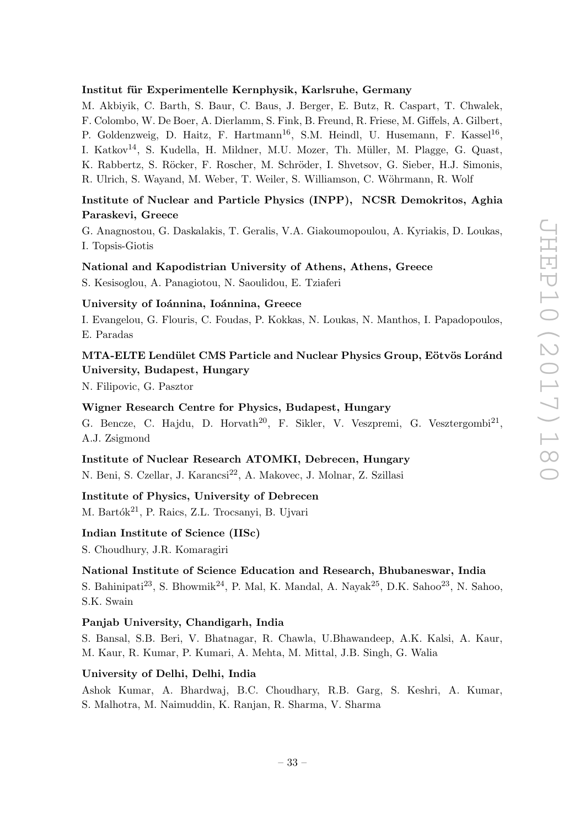#### Institut für Experimentelle Kernphysik, Karlsruhe, Germany

M. Akbiyik, C. Barth, S. Baur, C. Baus, J. Berger, E. Butz, R. Caspart, T. Chwalek, F. Colombo, W. De Boer, A. Dierlamm, S. Fink, B. Freund, R. Friese, M. Giffels, A. Gilbert, P. Goldenzweig, D. Haitz, F. Hartmann<sup>16</sup>, S.M. Heindl, U. Husemann, F. Kassel<sup>16</sup>, I. Katkov<sup>14</sup>, S. Kudella, H. Mildner, M.U. Mozer, Th. Müller, M. Plagge, G. Quast, K. Rabbertz, S. Röcker, F. Roscher, M. Schröder, I. Shvetsov, G. Sieber, H.J. Simonis, R. Ulrich, S. Wayand, M. Weber, T. Weiler, S. Williamson, C. Wöhrmann, R. Wolf

### Institute of Nuclear and Particle Physics (INPP), NCSR Demokritos, Aghia Paraskevi, Greece

G. Anagnostou, G. Daskalakis, T. Geralis, V.A. Giakoumopoulou, A. Kyriakis, D. Loukas, I. Topsis-Giotis

#### National and Kapodistrian University of Athens, Athens, Greece

S. Kesisoglou, A. Panagiotou, N. Saoulidou, E. Tziaferi

#### University of Ioánnina, Ioánnina, Greece

I. Evangelou, G. Flouris, C. Foudas, P. Kokkas, N. Loukas, N. Manthos, I. Papadopoulos, E. Paradas

### MTA-ELTE Lendület CMS Particle and Nuclear Physics Group, Eötvös Loránd University, Budapest, Hungary

N. Filipovic, G. Pasztor

#### Wigner Research Centre for Physics, Budapest, Hungary

G. Bencze, C. Hajdu, D. Horvath<sup>20</sup>, F. Sikler, V. Veszpremi, G. Vesztergombi<sup>21</sup>, A.J. Zsigmond

#### Institute of Nuclear Research ATOMKI, Debrecen, Hungary

N. Beni, S. Czellar, J. Karancsi<sup>22</sup>, A. Makovec, J. Molnar, Z. Szillasi

#### Institute of Physics, University of Debrecen

M. Bartók<sup>21</sup>, P. Raics, Z.L. Trocsanyi, B. Ujvari

### Indian Institute of Science (IISc)

S. Choudhury, J.R. Komaragiri

### National Institute of Science Education and Research, Bhubaneswar, India

S. Bahinipati<sup>23</sup>, S. Bhowmik<sup>24</sup>, P. Mal, K. Mandal, A. Nayak<sup>25</sup>, D.K. Sahoo<sup>23</sup>, N. Sahoo, S.K. Swain

#### Panjab University, Chandigarh, India

S. Bansal, S.B. Beri, V. Bhatnagar, R. Chawla, U.Bhawandeep, A.K. Kalsi, A. Kaur, M. Kaur, R. Kumar, P. Kumari, A. Mehta, M. Mittal, J.B. Singh, G. Walia

#### University of Delhi, Delhi, India

Ashok Kumar, A. Bhardwaj, B.C. Choudhary, R.B. Garg, S. Keshri, A. Kumar, S. Malhotra, M. Naimuddin, K. Ranjan, R. Sharma, V. Sharma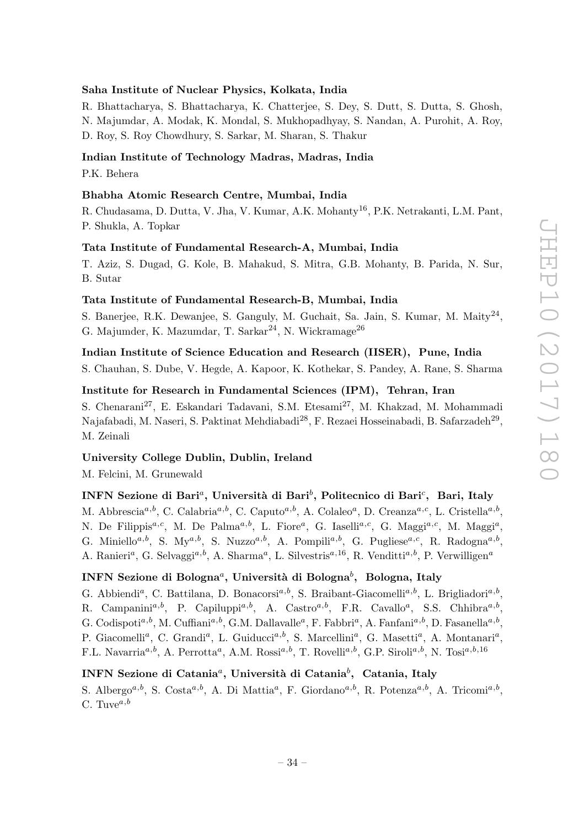#### Saha Institute of Nuclear Physics, Kolkata, India

R. Bhattacharya, S. Bhattacharya, K. Chatterjee, S. Dey, S. Dutt, S. Dutta, S. Ghosh, N. Majumdar, A. Modak, K. Mondal, S. Mukhopadhyay, S. Nandan, A. Purohit, A. Roy, D. Roy, S. Roy Chowdhury, S. Sarkar, M. Sharan, S. Thakur

#### Indian Institute of Technology Madras, Madras, India

P.K. Behera

#### Bhabha Atomic Research Centre, Mumbai, India

R. Chudasama, D. Dutta, V. Jha, V. Kumar, A.K. Mohanty16, P.K. Netrakanti, L.M. Pant, P. Shukla, A. Topkar

#### Tata Institute of Fundamental Research-A, Mumbai, India

T. Aziz, S. Dugad, G. Kole, B. Mahakud, S. Mitra, G.B. Mohanty, B. Parida, N. Sur, B. Sutar

#### Tata Institute of Fundamental Research-B, Mumbai, India

S. Banerjee, R.K. Dewanjee, S. Ganguly, M. Guchait, Sa. Jain, S. Kumar, M. Maity<sup>24</sup>, G. Majumder, K. Mazumdar, T. Sarkar<sup>24</sup>, N. Wickramage<sup>26</sup>

#### Indian Institute of Science Education and Research (IISER), Pune, India

S. Chauhan, S. Dube, V. Hegde, A. Kapoor, K. Kothekar, S. Pandey, A. Rane, S. Sharma

#### Institute for Research in Fundamental Sciences (IPM), Tehran, Iran

S. Chenarani27, E. Eskandari Tadavani, S.M. Etesami27, M. Khakzad, M. Mohammadi Najafabadi, M. Naseri, S. Paktinat Mehdiabadi<sup>28</sup>, F. Rezaei Hosseinabadi, B. Safarzadeh<sup>29</sup>, M. Zeinali

#### University College Dublin, Dublin, Ireland

M. Felcini, M. Grunewald

### INFN Sezione di Bari<sup>a</sup>, Università di Bari<sup>b</sup>, Politecnico di Bari<sup>c</sup>, Bari, Italy

M. Abbrescia<sup>a,b</sup>, C. Calabria<sup>a,b</sup>, C. Caputo<sup>a,b</sup>, A. Colaleo<sup>a</sup>, D. Creanza<sup>a,c</sup>, L. Cristella<sup>a,b</sup>, N. De Filippis<sup>a,c</sup>, M. De Palma<sup>a,b</sup>, L. Fiore<sup>a</sup>, G. Iaselli<sup>a,c</sup>, G. Maggi<sup>a,c</sup>, M. Maggi<sup>a</sup>, G. Miniello<sup>a,b</sup>, S. My<sup>a,b</sup>, S. Nuzzo<sup>a,b</sup>, A. Pompili<sup>a,b</sup>, G. Pugliese<sup>a,c</sup>, R. Radogna<sup>a,b</sup>, A. Ranieri<sup>a</sup>, G. Selvaggi<sup>a,b</sup>, A. Sharma<sup>a</sup>, L. Silvestris<sup>a, 16</sup>, R. Venditti<sup>a,b</sup>, P. Verwilligen<sup>a</sup>

### INFN Sezione di Bologna $^a,$  Università di Bologna $^b,~$  Bologna, Italy

G. Abbiendi<sup>a</sup>, C. Battilana, D. Bonacorsi<sup>a,b</sup>, S. Braibant-Giacomelli<sup>a,b</sup>, L. Brigliadori<sup>a,b</sup>, R. Campanini<sup>a,b</sup>, P. Capiluppi<sup>a,b</sup>, A. Castro<sup>a,b</sup>, F.R. Cavallo<sup>a</sup>, S.S. Chhibra<sup>a,b</sup>, G. Codispoti<sup>a,b</sup>, M. Cuffiani<sup>a,b</sup>, G.M. Dallavalle<sup>a</sup>, F. Fabbri<sup>a</sup>, A. Fanfani<sup>a,b</sup>, D. Fasanella<sup>a,b</sup>, P. Giacomelli<sup>a</sup>, C. Grandi<sup>a</sup>, L. Guiducci<sup>a,b</sup>, S. Marcellini<sup>a</sup>, G. Masetti<sup>a</sup>, A. Montanari<sup>a</sup>, F.L. Navarria<sup>a,b</sup>, A. Perrotta<sup>a</sup>, A.M. Rossi<sup>a,b</sup>, T. Rovelli<sup>a,b</sup>, G.P. Siroli<sup>a,b</sup>, N. Tosi<sup>a,b,16</sup>

### INFN Sezione di Catania $^a,$  Università di Catania $^b, \;$  Catania, Italy

S. Albergo<sup>a,b</sup>, S. Costa<sup>a,b</sup>, A. Di Mattia<sup>a</sup>, F. Giordano<sup>a,b</sup>, R. Potenza<sup>a,b</sup>, A. Tricomi<sup>a,b</sup>, C. Tuve<sup> $a,b$ </sup>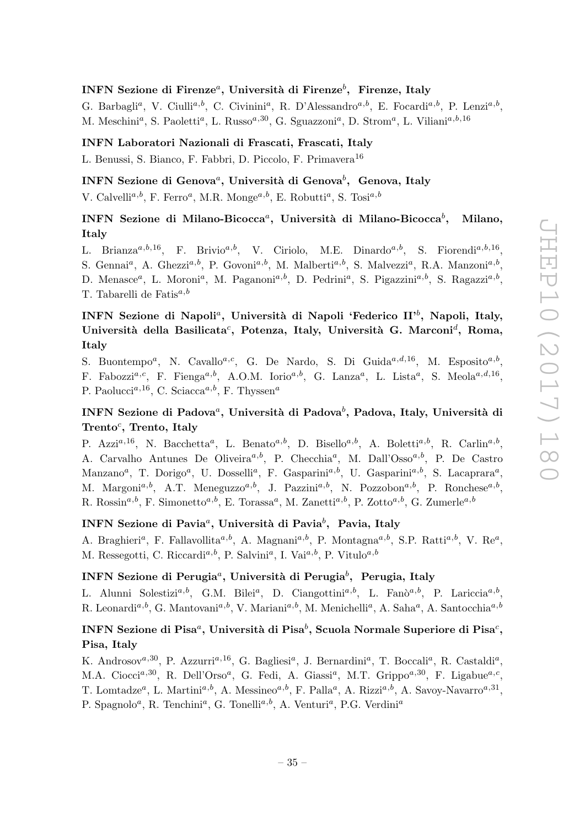### INFN Sezione di Firenze $^a$ , Università di Firenze $^b$ , Firenze, Italy

G. Barbagli<sup>a</sup>, V. Ciulli<sup>a,b</sup>, C. Civinini<sup>a</sup>, R. D'Alessandro<sup>a,b</sup>, E. Focardi<sup>a,b</sup>, P. Lenzi<sup>a,b</sup>, M. Meschini<sup>a</sup>, S. Paoletti<sup>a</sup>, L. Russo<sup>a, 30</sup>, G. Sguazzoni<sup>a</sup>, D. Strom<sup>a</sup>, L. Viliani<sup>a, b, 16</sup>

#### INFN Laboratori Nazionali di Frascati, Frascati, Italy

L. Benussi, S. Bianco, F. Fabbri, D. Piccolo, F. Primavera<sup>16</sup>

### INFN Sezione di Genova $^a,$  Università di Genova $^b, \,$  Genova, Italy

V. Calvelli<sup>a,b</sup>, F. Ferro<sup>a</sup>, M.R. Monge<sup>a,b</sup>, E. Robutti<sup>a</sup>, S. Tosi<sup>a,b</sup>

#### $\bf{INFN}$  Sezione di Milano-Bicocca $^a,$  Università di Milano-Bicocca $^b$ , Milano, Italy

L. Brianza<sup>a,b,16</sup>, F. Brivio<sup>a,b</sup>, V. Ciriolo, M.E. Dinardo<sup>a,b</sup>, S. Fiorendi<sup>a,b,16</sup>, S. Gennai<sup>a</sup>, A. Ghezzi<sup>a,b</sup>, P. Govoni<sup>a,b</sup>, M. Malberti<sup>a,b</sup>, S. Malvezzi<sup>a</sup>, R.A. Manzoni<sup>a,b</sup>, D. Menasce<sup>a</sup>, L. Moroni<sup>a</sup>, M. Paganoni<sup>a,b</sup>, D. Pedrini<sup>a</sup>, S. Pigazzini<sup>a,b</sup>, S. Ragazzi<sup>a,b</sup>, T. Tabarelli de Fatis $a,b$ 

### INFN Sezione di Napoli<sup>a</sup>, Università di Napoli 'Federico II'<sup>b</sup>, Napoli, Italy, Università della Basilicata<sup>c</sup>, Potenza, Italy, Università G. Marconi<sup>d</sup>, Roma, Italy

S. Buontempo<sup>a</sup>, N. Cavallo<sup>a,c</sup>, G. De Nardo, S. Di Guida<sup>a,d,16</sup>, M. Esposito<sup>a,b</sup>, F. Fabozzi<sup>a,c</sup>, F. Fienga<sup>a,b</sup>, A.O.M. Iorio<sup>a,b</sup>, G. Lanza<sup>a</sup>, L. Lista<sup>a</sup>, S. Meola<sup>a,d,16</sup>, P. Paolucci<sup>a, 16</sup>, C. Sciacca<sup>a, b</sup>, F. Thyssen<sup>a</sup>

### INFN Sezione di Padova ${}^a,\,$ Università di Padova ${}^b,\,$ Padova, Italy, Università di  $Trento<sup>c</sup>$ , Trento, Italy

P. Azzi<sup>a, 16</sup>, N. Bacchetta<sup>a</sup>, L. Benato<sup>a,b</sup>, D. Bisello<sup>a,b</sup>, A. Boletti<sup>a,b</sup>, R. Carlin<sup>a,b</sup>, A. Carvalho Antunes De Oliveira<sup>a,b</sup>, P. Checchia<sup>a</sup>, M. Dall'Osso<sup>a,b</sup>, P. De Castro Manzano<sup>a</sup>, T. Dorigo<sup>a</sup>, U. Dosselli<sup>a</sup>, F. Gasparini<sup>a,b</sup>, U. Gasparini<sup>a,b</sup>, S. Lacaprara<sup>a</sup>, M. Margoni<sup>a,b</sup>, A.T. Meneguzzo<sup>a,b</sup>, J. Pazzini<sup>a,b</sup>, N. Pozzobon<sup>a,b</sup>, P. Ronchese<sup>a,b</sup>, R. Rossin<sup>a,b</sup>, F. Simonetto<sup>a,b</sup>, E. Torassa<sup>a</sup>, M. Zanetti<sup>a,b</sup>, P. Zotto<sup>a,b</sup>, G. Zumerle<sup>a,b</sup>

### INFN Sezione di Pavia $^a,$  Università di Pavia $^b, \, \,$  Pavia, Italy

A. Braghieri<sup>a</sup>, F. Fallavollita<sup>a,b</sup>, A. Magnani<sup>a,b</sup>, P. Montagna<sup>a,b</sup>, S.P. Ratti<sup>a,b</sup>, V. Re<sup>a</sup>, M. Ressegotti, C. Riccardi<sup>a, b</sup>, P. Salvini<sup>a</sup>, I. Vai<sup>a, b</sup>, P. Vitulo<sup>a, b</sup>

### INFN Sezione di Perugia $^a,$  Università di Perugia $^b, \, \,$  Perugia, Italy

L. Alunni Solestizi<sup>a,b</sup>, G.M. Bilei<sup>a</sup>, D. Ciangottini<sup>a,b</sup>, L. Fanò<sup>a,b</sup>, P. Lariccia<sup>a,b</sup>, R. Leonardi<sup>a, b</sup>, G. Mantovani<sup>a, b</sup>, V. Mariani<sup>a, b</sup>, M. Menichelli<sup>a</sup>, A. Saha<sup>a</sup>, A. Santocchia<sup>a, b</sup>

### $\mathbf{INFN}$  Sezione di Pisa $^a, \mathbf{Universit\`a}$  di Pisa $^b, \mathbf{Scuola}$  Normale Superiore di Pisa $^c,$ Pisa, Italy

K. Androsov<sup>a, 30</sup>, P. Azzurri<sup>a, 16</sup>, G. Bagliesi<sup>a</sup>, J. Bernardini<sup>a</sup>, T. Boccali<sup>a</sup>, R. Castaldi<sup>a</sup>, M.A. Ciocci<sup>a, 30</sup>, R. Dell'Orso<sup>a</sup>, G. Fedi, A. Giassi<sup>a</sup>, M.T. Grippo<sup>a, 30</sup>, F. Ligabue<sup>a, c</sup>, T. Lomtadze<sup>a</sup>, L. Martini<sup>a,b</sup>, A. Messineo<sup>a,b</sup>, F. Palla<sup>a</sup>, A. Rizzi<sup>a,b</sup>, A. Savoy-Navarro<sup>a,31</sup>, P. Spagnolo<sup>a</sup>, R. Tenchini<sup>a</sup>, G. Tonelli<sup>a,b</sup>, A. Venturi<sup>a</sup>, P.G. Verdini<sup>a</sup>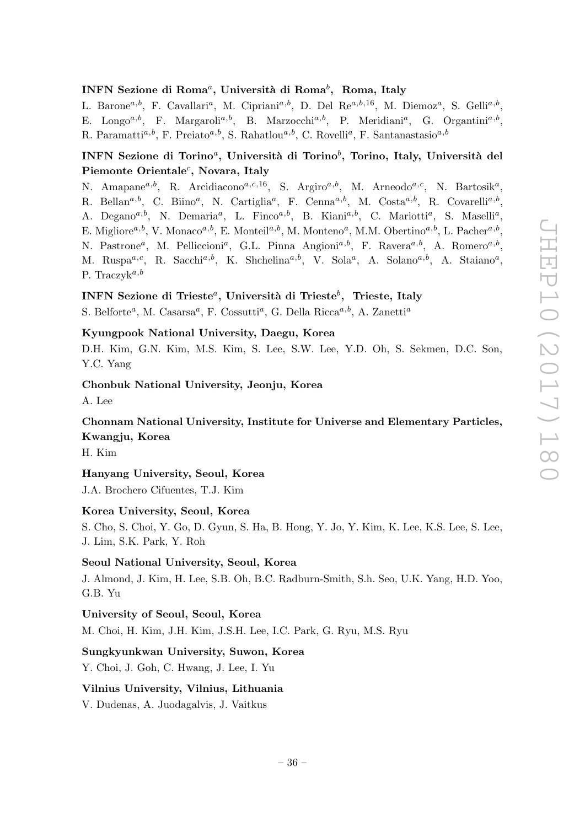### INFN Sezione di Roma $^a,$  Università di Roma $^b, \;$  Roma, Italy

L. Barone<sup>a,b</sup>, F. Cavallari<sup>a</sup>, M. Cipriani<sup>a,b</sup>, D. Del Re<sup>a,b,16</sup>, M. Diemoz<sup>a</sup>, S. Gelli<sup>a,b</sup>, E. Longo<sup>a,b</sup>, F. Margaroli<sup>a,b</sup>, B. Marzocchi<sup>a,b</sup>, P. Meridiani<sup>a</sup>, G. Organtini<sup>a,b</sup>, R. Paramatti<sup>a,b</sup>, F. Preiato<sup>a,b</sup>, S. Rahatlou<sup>a,b</sup>, C. Rovelli<sup>a</sup>, F. Santanastasio<sup>a,b</sup>

### ${\rm INFN}$  Sezione di Torino ${}^a,\; {\rm Università}$  di Torino ${}^b,\; {\rm Torino},\; {\rm Italy},\; {\rm Università}$  del  $\mathbf{P}$ iemonte  $\mathbf{O}\mathbf{r}$ ientale $^c$ , Novara, Italy

N. Amapane<sup>a,b</sup>, R. Arcidiacono<sup>a,c,16</sup>, S. Argiro<sup>a,b</sup>, M. Arneodo<sup>a,c</sup>, N. Bartosik<sup>a</sup>, R. Bellan<sup>a,b</sup>, C. Biino<sup>a</sup>, N. Cartiglia<sup>a</sup>, F. Cenna<sup>a,b</sup>, M. Costa<sup>a,b</sup>, R. Covarelli<sup>a,b</sup>, A. Degano<sup>a,b</sup>, N. Demaria<sup>a</sup>, L. Finco<sup>a,b</sup>, B. Kiani<sup>a,b</sup>, C. Mariotti<sup>a</sup>, S. Maselli<sup>a</sup>, E. Migliore<sup>a,b</sup>, V. Monaco<sup>a,b</sup>, E. Monteil<sup>a,b</sup>, M. Monteno<sup>a</sup>, M.M. Obertino<sup>a,b</sup>, L. Pacher<sup>a,b</sup>, N. Pastrone<sup>a</sup>, M. Pelliccioni<sup>a</sup>, G.L. Pinna Angioni<sup>a,b</sup>, F. Ravera<sup>a,b</sup>, A. Romero<sup>a,b</sup>, M. Ruspa<sup>a,c</sup>, R. Sacchi<sup>a,b</sup>, K. Shchelina<sup>a,b</sup>, V. Sola<sup>a</sup>, A. Solano<sup>a,b</sup>, A. Staiano<sup>a</sup>, P. Traczyk $a,b$ 

### $\operatorname{INFN}$  Sezione di Trieste $^a,$  Università di Trieste $^b, \, \,$  Trieste, Italy

S. Belforte<sup>a</sup>, M. Casarsa<sup>a</sup>, F. Cossutti<sup>a</sup>, G. Della Ricca<sup>a,b</sup>, A. Zanetti<sup>a</sup>

#### Kyungpook National University, Daegu, Korea

D.H. Kim, G.N. Kim, M.S. Kim, S. Lee, S.W. Lee, Y.D. Oh, S. Sekmen, D.C. Son, Y.C. Yang

Chonbuk National University, Jeonju, Korea

A. Lee

### Chonnam National University, Institute for Universe and Elementary Particles, Kwangju, Korea

H. Kim

Hanyang University, Seoul, Korea J.A. Brochero Cifuentes, T.J. Kim

#### Korea University, Seoul, Korea

S. Cho, S. Choi, Y. Go, D. Gyun, S. Ha, B. Hong, Y. Jo, Y. Kim, K. Lee, K.S. Lee, S. Lee, J. Lim, S.K. Park, Y. Roh

#### Seoul National University, Seoul, Korea

J. Almond, J. Kim, H. Lee, S.B. Oh, B.C. Radburn-Smith, S.h. Seo, U.K. Yang, H.D. Yoo, G.B. Yu

University of Seoul, Seoul, Korea M. Choi, H. Kim, J.H. Kim, J.S.H. Lee, I.C. Park, G. Ryu, M.S. Ryu

#### Sungkyunkwan University, Suwon, Korea

Y. Choi, J. Goh, C. Hwang, J. Lee, I. Yu

#### Vilnius University, Vilnius, Lithuania

V. Dudenas, A. Juodagalvis, J. Vaitkus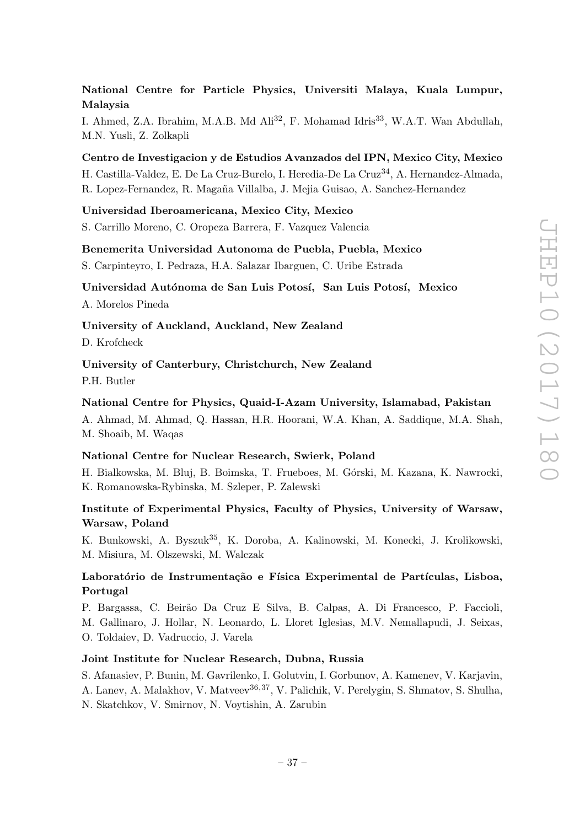### National Centre for Particle Physics, Universiti Malaya, Kuala Lumpur, Malaysia

I. Ahmed, Z.A. Ibrahim, M.A.B. Md Ali<sup>32</sup>, F. Mohamad Idris<sup>33</sup>, W.A.T. Wan Abdullah, M.N. Yusli, Z. Zolkapli

Centro de Investigacion y de Estudios Avanzados del IPN, Mexico City, Mexico H. Castilla-Valdez, E. De La Cruz-Burelo, I. Heredia-De La Cruz<sup>34</sup>, A. Hernandez-Almada,

R. Lopez-Fernandez, R. Magaña Villalba, J. Mejia Guisao, A. Sanchez-Hernandez

#### Universidad Iberoamericana, Mexico City, Mexico

S. Carrillo Moreno, C. Oropeza Barrera, F. Vazquez Valencia

#### Benemerita Universidad Autonoma de Puebla, Puebla, Mexico

S. Carpinteyro, I. Pedraza, H.A. Salazar Ibarguen, C. Uribe Estrada

#### Universidad Autónoma de San Luis Potosí, San Luis Potosí, Mexico

A. Morelos Pineda

### University of Auckland, Auckland, New Zealand

D. Krofcheck

### University of Canterbury, Christchurch, New Zealand P.H. Butler

#### National Centre for Physics, Quaid-I-Azam University, Islamabad, Pakistan

A. Ahmad, M. Ahmad, Q. Hassan, H.R. Hoorani, W.A. Khan, A. Saddique, M.A. Shah, M. Shoaib, M. Waqas

#### National Centre for Nuclear Research, Swierk, Poland

H. Bialkowska, M. Bluj, B. Boimska, T. Frueboes, M. G´orski, M. Kazana, K. Nawrocki, K. Romanowska-Rybinska, M. Szleper, P. Zalewski

### Institute of Experimental Physics, Faculty of Physics, University of Warsaw, Warsaw, Poland

K. Bunkowski, A. Byszuk35, K. Doroba, A. Kalinowski, M. Konecki, J. Krolikowski, M. Misiura, M. Olszewski, M. Walczak

### Laboratório de Instrumentação e Física Experimental de Partículas, Lisboa, Portugal

P. Bargassa, C. Beirão Da Cruz E Silva, B. Calpas, A. Di Francesco, P. Faccioli, M. Gallinaro, J. Hollar, N. Leonardo, L. Lloret Iglesias, M.V. Nemallapudi, J. Seixas, O. Toldaiev, D. Vadruccio, J. Varela

#### Joint Institute for Nuclear Research, Dubna, Russia

S. Afanasiev, P. Bunin, M. Gavrilenko, I. Golutvin, I. Gorbunov, A. Kamenev, V. Karjavin, A. Lanev, A. Malakhov, V. Matveev<sup>36, 37</sup>, V. Palichik, V. Perelygin, S. Shmatov, S. Shulha, N. Skatchkov, V. Smirnov, N. Voytishin, A. Zarubin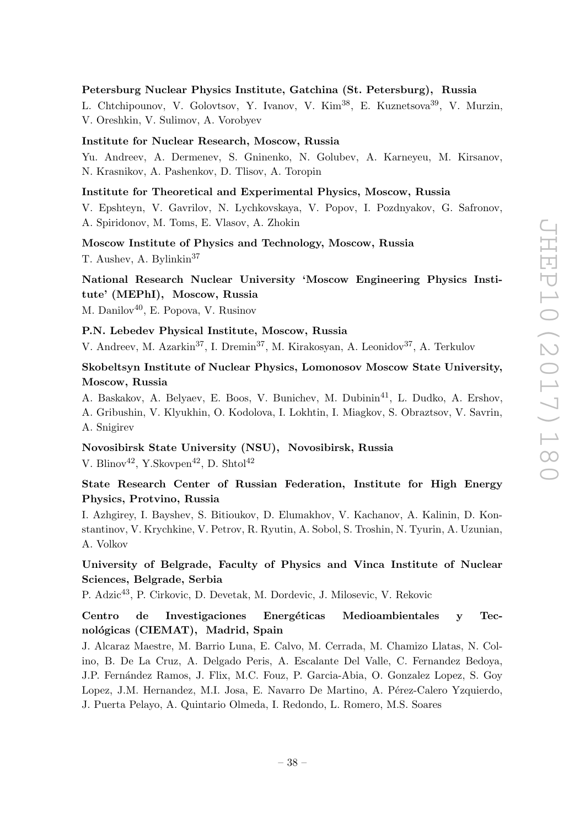#### Petersburg Nuclear Physics Institute, Gatchina (St. Petersburg), Russia

L. Chtchipounov, V. Golovtsov, Y. Ivanov, V. Kim<sup>38</sup>, E. Kuznetsova<sup>39</sup>, V. Murzin, V. Oreshkin, V. Sulimov, A. Vorobyev

#### Institute for Nuclear Research, Moscow, Russia

Yu. Andreev, A. Dermenev, S. Gninenko, N. Golubev, A. Karneyeu, M. Kirsanov, N. Krasnikov, A. Pashenkov, D. Tlisov, A. Toropin

#### Institute for Theoretical and Experimental Physics, Moscow, Russia

V. Epshteyn, V. Gavrilov, N. Lychkovskaya, V. Popov, I. Pozdnyakov, G. Safronov, A. Spiridonov, M. Toms, E. Vlasov, A. Zhokin

Moscow Institute of Physics and Technology, Moscow, Russia

T. Aushev, A. Bylinkin<sup>37</sup>

# National Research Nuclear University 'Moscow Engineering Physics Institute' (MEPhI), Moscow, Russia

M. Danilov<sup>40</sup>, E. Popova, V. Rusinov

P.N. Lebedev Physical Institute, Moscow, Russia

V. Andreev, M. Azarkin<sup>37</sup>, I. Dremin<sup>37</sup>, M. Kirakosyan, A. Leonidov<sup>37</sup>, A. Terkulov

### Skobeltsyn Institute of Nuclear Physics, Lomonosov Moscow State University, Moscow, Russia

A. Baskakov, A. Belyaev, E. Boos, V. Bunichev, M. Dubinin<sup>41</sup>, L. Dudko, A. Ershov, A. Gribushin, V. Klyukhin, O. Kodolova, I. Lokhtin, I. Miagkov, S. Obraztsov, V. Savrin, A. Snigirev

Novosibirsk State University (NSU), Novosibirsk, Russia V. Blinov<sup>42</sup>, Y.Skovpen<sup>42</sup>, D. Shtol<sup>42</sup>

### State Research Center of Russian Federation, Institute for High Energy Physics, Protvino, Russia

I. Azhgirey, I. Bayshev, S. Bitioukov, D. Elumakhov, V. Kachanov, A. Kalinin, D. Konstantinov, V. Krychkine, V. Petrov, R. Ryutin, A. Sobol, S. Troshin, N. Tyurin, A. Uzunian, A. Volkov

### University of Belgrade, Faculty of Physics and Vinca Institute of Nuclear Sciences, Belgrade, Serbia

P. Adzic<sup>43</sup>, P. Cirkovic, D. Devetak, M. Dordevic, J. Milosevic, V. Rekovic

### Centro de Investigaciones Energéticas Medioambientales y Tecnológicas (CIEMAT), Madrid, Spain

J. Alcaraz Maestre, M. Barrio Luna, E. Calvo, M. Cerrada, M. Chamizo Llatas, N. Colino, B. De La Cruz, A. Delgado Peris, A. Escalante Del Valle, C. Fernandez Bedoya, J.P. Fern´andez Ramos, J. Flix, M.C. Fouz, P. Garcia-Abia, O. Gonzalez Lopez, S. Goy Lopez, J.M. Hernandez, M.I. Josa, E. Navarro De Martino, A. Pérez-Calero Yzquierdo, J. Puerta Pelayo, A. Quintario Olmeda, I. Redondo, L. Romero, M.S. Soares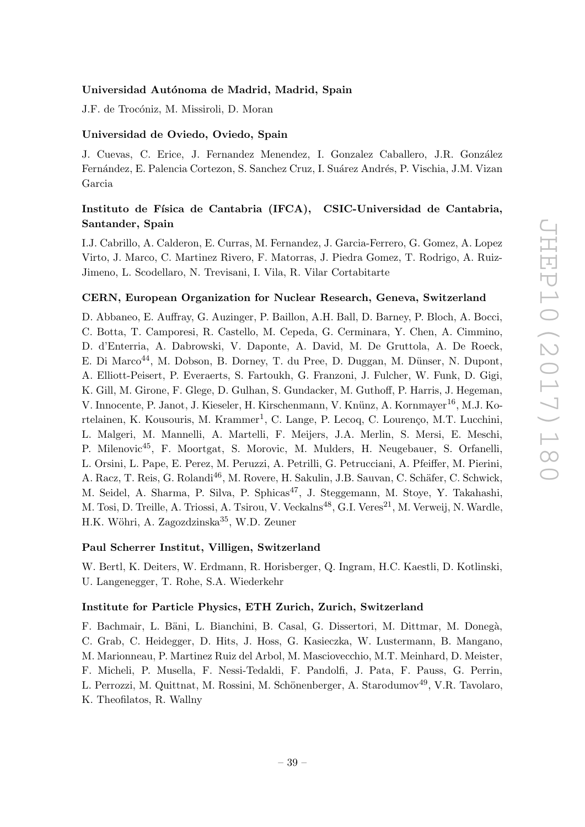#### Universidad Autónoma de Madrid, Madrid, Spain

J.F. de Trocóniz, M. Missiroli, D. Moran

#### Universidad de Oviedo, Oviedo, Spain

J. Cuevas, C. Erice, J. Fernandez Menendez, I. Gonzalez Caballero, J.R. González Fernández, E. Palencia Cortezon, S. Sanchez Cruz, I. Suárez Andrés, P. Vischia, J.M. Vizan Garcia

### Instituto de Física de Cantabria (IFCA), CSIC-Universidad de Cantabria, Santander, Spain

I.J. Cabrillo, A. Calderon, E. Curras, M. Fernandez, J. Garcia-Ferrero, G. Gomez, A. Lopez Virto, J. Marco, C. Martinez Rivero, F. Matorras, J. Piedra Gomez, T. Rodrigo, A. Ruiz-Jimeno, L. Scodellaro, N. Trevisani, I. Vila, R. Vilar Cortabitarte

#### CERN, European Organization for Nuclear Research, Geneva, Switzerland

D. Abbaneo, E. Auffray, G. Auzinger, P. Baillon, A.H. Ball, D. Barney, P. Bloch, A. Bocci, C. Botta, T. Camporesi, R. Castello, M. Cepeda, G. Cerminara, Y. Chen, A. Cimmino, D. d'Enterria, A. Dabrowski, V. Daponte, A. David, M. De Gruttola, A. De Roeck, E. Di Marco<sup>44</sup>, M. Dobson, B. Dorney, T. du Pree, D. Duggan, M. Dünser, N. Dupont, A. Elliott-Peisert, P. Everaerts, S. Fartoukh, G. Franzoni, J. Fulcher, W. Funk, D. Gigi, K. Gill, M. Girone, F. Glege, D. Gulhan, S. Gundacker, M. Guthoff, P. Harris, J. Hegeman, V. Innocente, P. Janot, J. Kieseler, H. Kirschenmann, V. Knünz, A. Kornmayer<sup>16</sup>, M.J. Kortelainen, K. Kousouris, M. Krammer<sup>1</sup>, C. Lange, P. Lecoq, C. Lourenço, M.T. Lucchini, L. Malgeri, M. Mannelli, A. Martelli, F. Meijers, J.A. Merlin, S. Mersi, E. Meschi, P. Milenovic<sup>45</sup>, F. Moortgat, S. Morovic, M. Mulders, H. Neugebauer, S. Orfanelli, L. Orsini, L. Pape, E. Perez, M. Peruzzi, A. Petrilli, G. Petrucciani, A. Pfeiffer, M. Pierini, A. Racz, T. Reis, G. Rolandi<sup>46</sup>, M. Rovere, H. Sakulin, J.B. Sauvan, C. Schäfer, C. Schwick, M. Seidel, A. Sharma, P. Silva, P. Sphicas<sup>47</sup>, J. Steggemann, M. Stove, Y. Takahashi, M. Tosi, D. Treille, A. Triossi, A. Tsirou, V. Veckalns<sup>48</sup>, G.I. Veres<sup>21</sup>, M. Verweij, N. Wardle, H.K. Wöhri, A. Zagozdzinska<sup>35</sup>, W.D. Zeuner

#### Paul Scherrer Institut, Villigen, Switzerland

W. Bertl, K. Deiters, W. Erdmann, R. Horisberger, Q. Ingram, H.C. Kaestli, D. Kotlinski, U. Langenegger, T. Rohe, S.A. Wiederkehr

#### Institute for Particle Physics, ETH Zurich, Zurich, Switzerland

F. Bachmair, L. Bäni, L. Bianchini, B. Casal, G. Dissertori, M. Dittmar, M. Donegà, C. Grab, C. Heidegger, D. Hits, J. Hoss, G. Kasieczka, W. Lustermann, B. Mangano, M. Marionneau, P. Martinez Ruiz del Arbol, M. Masciovecchio, M.T. Meinhard, D. Meister, F. Micheli, P. Musella, F. Nessi-Tedaldi, F. Pandolfi, J. Pata, F. Pauss, G. Perrin, L. Perrozzi, M. Quittnat, M. Rossini, M. Schönenberger, A. Starodumov<sup>49</sup>, V.R. Tavolaro, K. Theofilatos, R. Wallny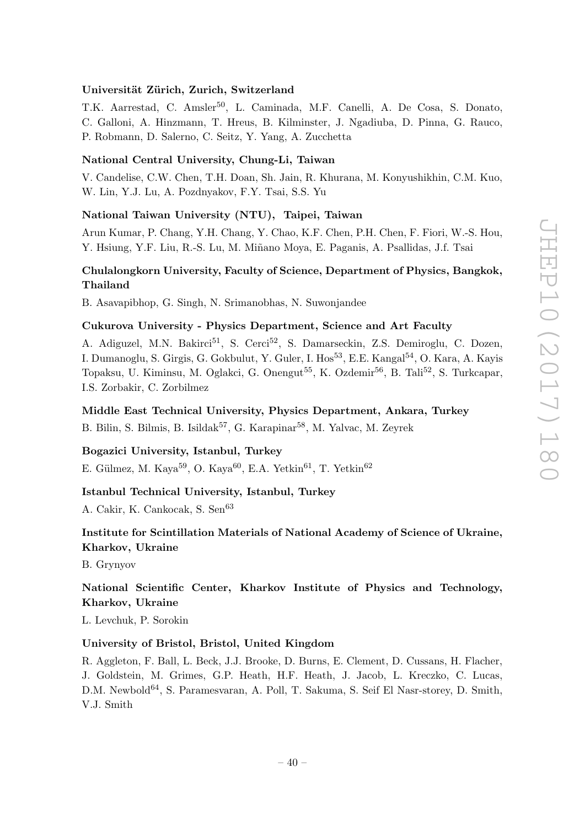#### Universität Zürich, Zurich, Switzerland

T.K. Aarrestad, C. Amsler<sup>50</sup>, L. Caminada, M.F. Canelli, A. De Cosa, S. Donato, C. Galloni, A. Hinzmann, T. Hreus, B. Kilminster, J. Ngadiuba, D. Pinna, G. Rauco, P. Robmann, D. Salerno, C. Seitz, Y. Yang, A. Zucchetta

#### National Central University, Chung-Li, Taiwan

V. Candelise, C.W. Chen, T.H. Doan, Sh. Jain, R. Khurana, M. Konyushikhin, C.M. Kuo, W. Lin, Y.J. Lu, A. Pozdnyakov, F.Y. Tsai, S.S. Yu

#### National Taiwan University (NTU), Taipei, Taiwan

Arun Kumar, P. Chang, Y.H. Chang, Y. Chao, K.F. Chen, P.H. Chen, F. Fiori, W.-S. Hou, Y. Hsiung, Y.F. Liu, R.-S. Lu, M. Miñano Moya, E. Paganis, A. Psallidas, J.f. Tsai

### Chulalongkorn University, Faculty of Science, Department of Physics, Bangkok, Thailand

B. Asavapibhop, G. Singh, N. Srimanobhas, N. Suwonjandee

### Cukurova University - Physics Department, Science and Art Faculty

A. Adiguzel, M.N. Bakirci<sup>51</sup>, S. Cerci<sup>52</sup>, S. Damarseckin, Z.S. Demiroglu, C. Dozen, I. Dumanoglu, S. Girgis, G. Gokbulut, Y. Guler, I. Hos<sup>53</sup>, E.E. Kangal<sup>54</sup>, O. Kara, A. Kayis Topaksu, U. Kiminsu, M. Oglakci, G. Onengut<sup>55</sup>, K. Ozdemir<sup>56</sup>, B. Tali<sup>52</sup>, S. Turkcapar, I.S. Zorbakir, C. Zorbilmez

#### Middle East Technical University, Physics Department, Ankara, Turkey

B. Bilin, S. Bilmis, B. Isildak<sup>57</sup>, G. Karapinar<sup>58</sup>, M. Yalvac, M. Zeyrek

#### Bogazici University, Istanbul, Turkey

E. Gülmez, M. Kaya<sup>59</sup>, O. Kaya<sup>60</sup>, E.A. Yetkin<sup>61</sup>, T. Yetkin<sup>62</sup>

#### Istanbul Technical University, Istanbul, Turkey

A. Cakir, K. Cankocak, S. Sen<sup>63</sup>

### Institute for Scintillation Materials of National Academy of Science of Ukraine, Kharkov, Ukraine

B. Grynyov

### National Scientific Center, Kharkov Institute of Physics and Technology, Kharkov, Ukraine

L. Levchuk, P. Sorokin

#### University of Bristol, Bristol, United Kingdom

R. Aggleton, F. Ball, L. Beck, J.J. Brooke, D. Burns, E. Clement, D. Cussans, H. Flacher, J. Goldstein, M. Grimes, G.P. Heath, H.F. Heath, J. Jacob, L. Kreczko, C. Lucas, D.M. Newbold<sup>64</sup>, S. Paramesvaran, A. Poll, T. Sakuma, S. Seif El Nasr-storey, D. Smith, V.J. Smith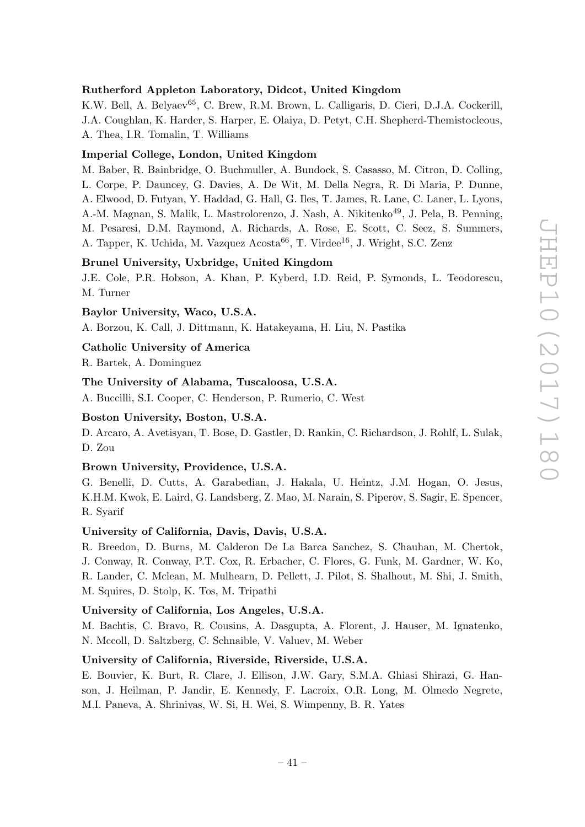#### Rutherford Appleton Laboratory, Didcot, United Kingdom

K.W. Bell, A. Belyaev<sup>65</sup>, C. Brew, R.M. Brown, L. Calligaris, D. Cieri, D.J.A. Cockerill, J.A. Coughlan, K. Harder, S. Harper, E. Olaiya, D. Petyt, C.H. Shepherd-Themistocleous, A. Thea, I.R. Tomalin, T. Williams

#### Imperial College, London, United Kingdom

M. Baber, R. Bainbridge, O. Buchmuller, A. Bundock, S. Casasso, M. Citron, D. Colling, L. Corpe, P. Dauncey, G. Davies, A. De Wit, M. Della Negra, R. Di Maria, P. Dunne, A. Elwood, D. Futyan, Y. Haddad, G. Hall, G. Iles, T. James, R. Lane, C. Laner, L. Lyons, A.-M. Magnan, S. Malik, L. Mastrolorenzo, J. Nash, A. Nikitenko<sup>49</sup>, J. Pela, B. Penning, M. Pesaresi, D.M. Raymond, A. Richards, A. Rose, E. Scott, C. Seez, S. Summers, A. Tapper, K. Uchida, M. Vazquez Acosta<sup>66</sup>, T. Virdee<sup>16</sup>, J. Wright, S.C. Zenz

#### Brunel University, Uxbridge, United Kingdom

J.E. Cole, P.R. Hobson, A. Khan, P. Kyberd, I.D. Reid, P. Symonds, L. Teodorescu, M. Turner

#### Baylor University, Waco, U.S.A.

A. Borzou, K. Call, J. Dittmann, K. Hatakeyama, H. Liu, N. Pastika

#### Catholic University of America

R. Bartek, A. Dominguez

#### The University of Alabama, Tuscaloosa, U.S.A.

A. Buccilli, S.I. Cooper, C. Henderson, P. Rumerio, C. West

#### Boston University, Boston, U.S.A.

D. Arcaro, A. Avetisyan, T. Bose, D. Gastler, D. Rankin, C. Richardson, J. Rohlf, L. Sulak, D. Zou

#### Brown University, Providence, U.S.A.

G. Benelli, D. Cutts, A. Garabedian, J. Hakala, U. Heintz, J.M. Hogan, O. Jesus, K.H.M. Kwok, E. Laird, G. Landsberg, Z. Mao, M. Narain, S. Piperov, S. Sagir, E. Spencer, R. Syarif

#### University of California, Davis, Davis, U.S.A.

R. Breedon, D. Burns, M. Calderon De La Barca Sanchez, S. Chauhan, M. Chertok, J. Conway, R. Conway, P.T. Cox, R. Erbacher, C. Flores, G. Funk, M. Gardner, W. Ko, R. Lander, C. Mclean, M. Mulhearn, D. Pellett, J. Pilot, S. Shalhout, M. Shi, J. Smith, M. Squires, D. Stolp, K. Tos, M. Tripathi

#### University of California, Los Angeles, U.S.A.

M. Bachtis, C. Bravo, R. Cousins, A. Dasgupta, A. Florent, J. Hauser, M. Ignatenko, N. Mccoll, D. Saltzberg, C. Schnaible, V. Valuev, M. Weber

#### University of California, Riverside, Riverside, U.S.A.

E. Bouvier, K. Burt, R. Clare, J. Ellison, J.W. Gary, S.M.A. Ghiasi Shirazi, G. Hanson, J. Heilman, P. Jandir, E. Kennedy, F. Lacroix, O.R. Long, M. Olmedo Negrete, M.I. Paneva, A. Shrinivas, W. Si, H. Wei, S. Wimpenny, B. R. Yates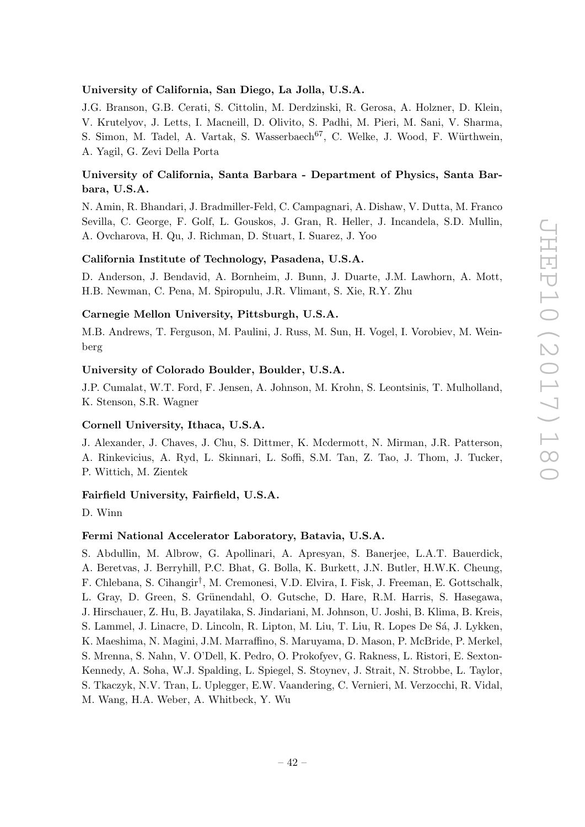#### University of California, San Diego, La Jolla, U.S.A.

J.G. Branson, G.B. Cerati, S. Cittolin, M. Derdzinski, R. Gerosa, A. Holzner, D. Klein, V. Krutelyov, J. Letts, I. Macneill, D. Olivito, S. Padhi, M. Pieri, M. Sani, V. Sharma, S. Simon, M. Tadel, A. Vartak, S. Wasserbaech<sup>67</sup>, C. Welke, J. Wood, F. Würthwein, A. Yagil, G. Zevi Della Porta

### University of California, Santa Barbara - Department of Physics, Santa Barbara, U.S.A.

N. Amin, R. Bhandari, J. Bradmiller-Feld, C. Campagnari, A. Dishaw, V. Dutta, M. Franco Sevilla, C. George, F. Golf, L. Gouskos, J. Gran, R. Heller, J. Incandela, S.D. Mullin, A. Ovcharova, H. Qu, J. Richman, D. Stuart, I. Suarez, J. Yoo

#### California Institute of Technology, Pasadena, U.S.A.

D. Anderson, J. Bendavid, A. Bornheim, J. Bunn, J. Duarte, J.M. Lawhorn, A. Mott, H.B. Newman, C. Pena, M. Spiropulu, J.R. Vlimant, S. Xie, R.Y. Zhu

#### Carnegie Mellon University, Pittsburgh, U.S.A.

M.B. Andrews, T. Ferguson, M. Paulini, J. Russ, M. Sun, H. Vogel, I. Vorobiev, M. Weinberg

#### University of Colorado Boulder, Boulder, U.S.A.

J.P. Cumalat, W.T. Ford, F. Jensen, A. Johnson, M. Krohn, S. Leontsinis, T. Mulholland, K. Stenson, S.R. Wagner

#### Cornell University, Ithaca, U.S.A.

J. Alexander, J. Chaves, J. Chu, S. Dittmer, K. Mcdermott, N. Mirman, J.R. Patterson, A. Rinkevicius, A. Ryd, L. Skinnari, L. Soffi, S.M. Tan, Z. Tao, J. Thom, J. Tucker, P. Wittich, M. Zientek

#### Fairfield University, Fairfield, U.S.A.

D. Winn

### Fermi National Accelerator Laboratory, Batavia, U.S.A.

S. Abdullin, M. Albrow, G. Apollinari, A. Apresyan, S. Banerjee, L.A.T. Bauerdick, A. Beretvas, J. Berryhill, P.C. Bhat, G. Bolla, K. Burkett, J.N. Butler, H.W.K. Cheung, F. Chlebana, S. Cihangir† , M. Cremonesi, V.D. Elvira, I. Fisk, J. Freeman, E. Gottschalk, L. Gray, D. Green, S. Grünendahl, O. Gutsche, D. Hare, R.M. Harris, S. Hasegawa, J. Hirschauer, Z. Hu, B. Jayatilaka, S. Jindariani, M. Johnson, U. Joshi, B. Klima, B. Kreis, S. Lammel, J. Linacre, D. Lincoln, R. Lipton, M. Liu, T. Liu, R. Lopes De Sá, J. Lykken, K. Maeshima, N. Magini, J.M. Marraffino, S. Maruyama, D. Mason, P. McBride, P. Merkel, S. Mrenna, S. Nahn, V. O'Dell, K. Pedro, O. Prokofyev, G. Rakness, L. Ristori, E. Sexton-Kennedy, A. Soha, W.J. Spalding, L. Spiegel, S. Stoynev, J. Strait, N. Strobbe, L. Taylor, S. Tkaczyk, N.V. Tran, L. Uplegger, E.W. Vaandering, C. Vernieri, M. Verzocchi, R. Vidal, M. Wang, H.A. Weber, A. Whitbeck, Y. Wu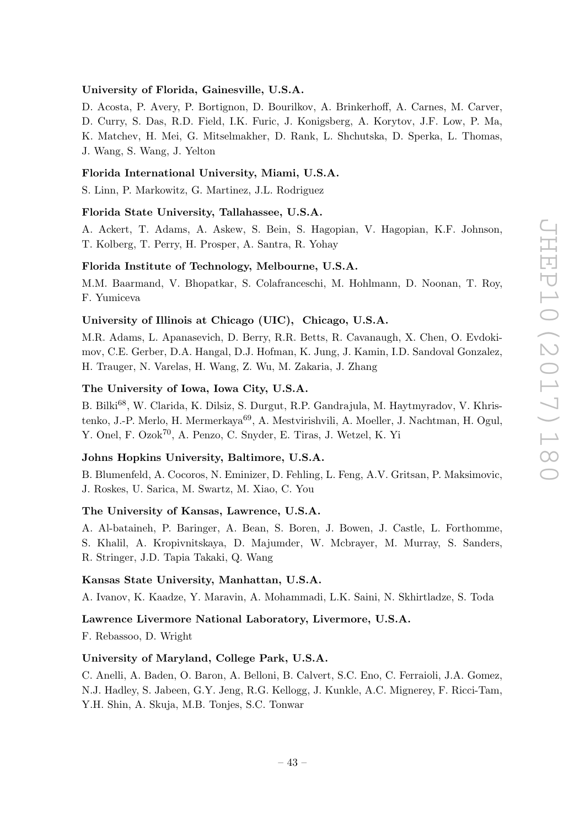#### University of Florida, Gainesville, U.S.A.

D. Acosta, P. Avery, P. Bortignon, D. Bourilkov, A. Brinkerhoff, A. Carnes, M. Carver, D. Curry, S. Das, R.D. Field, I.K. Furic, J. Konigsberg, A. Korytov, J.F. Low, P. Ma, K. Matchev, H. Mei, G. Mitselmakher, D. Rank, L. Shchutska, D. Sperka, L. Thomas, J. Wang, S. Wang, J. Yelton

#### Florida International University, Miami, U.S.A.

S. Linn, P. Markowitz, G. Martinez, J.L. Rodriguez

#### Florida State University, Tallahassee, U.S.A.

A. Ackert, T. Adams, A. Askew, S. Bein, S. Hagopian, V. Hagopian, K.F. Johnson, T. Kolberg, T. Perry, H. Prosper, A. Santra, R. Yohay

#### Florida Institute of Technology, Melbourne, U.S.A.

M.M. Baarmand, V. Bhopatkar, S. Colafranceschi, M. Hohlmann, D. Noonan, T. Roy, F. Yumiceva

#### University of Illinois at Chicago (UIC), Chicago, U.S.A.

M.R. Adams, L. Apanasevich, D. Berry, R.R. Betts, R. Cavanaugh, X. Chen, O. Evdokimov, C.E. Gerber, D.A. Hangal, D.J. Hofman, K. Jung, J. Kamin, I.D. Sandoval Gonzalez, H. Trauger, N. Varelas, H. Wang, Z. Wu, M. Zakaria, J. Zhang

#### The University of Iowa, Iowa City, U.S.A.

B. Bilki<sup>68</sup>, W. Clarida, K. Dilsiz, S. Durgut, R.P. Gandrajula, M. Haytmyradov, V. Khristenko, J.-P. Merlo, H. Mermerkaya<sup>69</sup>, A. Mestvirishvili, A. Moeller, J. Nachtman, H. Ogul, Y. Onel, F. Ozok<sup>70</sup>, A. Penzo, C. Snyder, E. Tiras, J. Wetzel, K. Yi

### Johns Hopkins University, Baltimore, U.S.A.

B. Blumenfeld, A. Cocoros, N. Eminizer, D. Fehling, L. Feng, A.V. Gritsan, P. Maksimovic, J. Roskes, U. Sarica, M. Swartz, M. Xiao, C. You

#### The University of Kansas, Lawrence, U.S.A.

A. Al-bataineh, P. Baringer, A. Bean, S. Boren, J. Bowen, J. Castle, L. Forthomme, S. Khalil, A. Kropivnitskaya, D. Majumder, W. Mcbrayer, M. Murray, S. Sanders, R. Stringer, J.D. Tapia Takaki, Q. Wang

#### Kansas State University, Manhattan, U.S.A.

A. Ivanov, K. Kaadze, Y. Maravin, A. Mohammadi, L.K. Saini, N. Skhirtladze, S. Toda

### Lawrence Livermore National Laboratory, Livermore, U.S.A.

F. Rebassoo, D. Wright

#### University of Maryland, College Park, U.S.A.

C. Anelli, A. Baden, O. Baron, A. Belloni, B. Calvert, S.C. Eno, C. Ferraioli, J.A. Gomez, N.J. Hadley, S. Jabeen, G.Y. Jeng, R.G. Kellogg, J. Kunkle, A.C. Mignerey, F. Ricci-Tam, Y.H. Shin, A. Skuja, M.B. Tonjes, S.C. Tonwar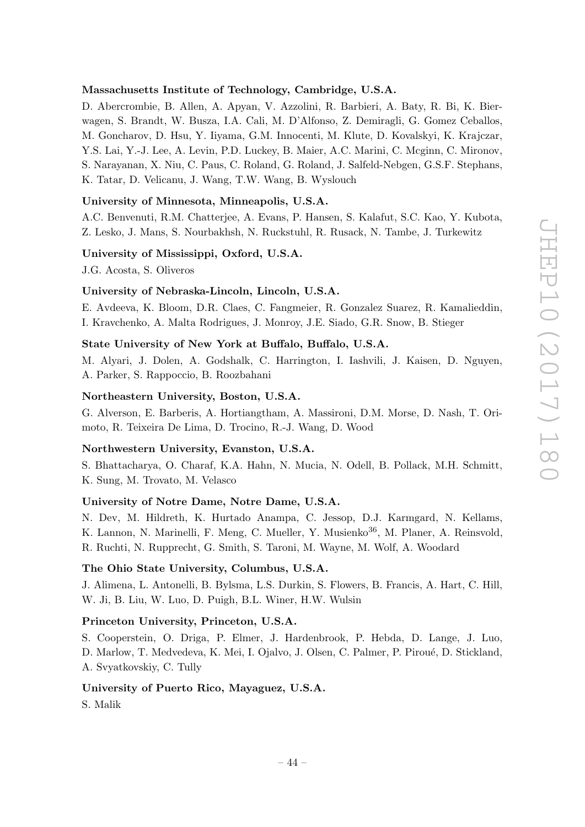#### Massachusetts Institute of Technology, Cambridge, U.S.A.

D. Abercrombie, B. Allen, A. Apyan, V. Azzolini, R. Barbieri, A. Baty, R. Bi, K. Bierwagen, S. Brandt, W. Busza, I.A. Cali, M. D'Alfonso, Z. Demiragli, G. Gomez Ceballos, M. Goncharov, D. Hsu, Y. Iiyama, G.M. Innocenti, M. Klute, D. Kovalskyi, K. Krajczar, Y.S. Lai, Y.-J. Lee, A. Levin, P.D. Luckey, B. Maier, A.C. Marini, C. Mcginn, C. Mironov, S. Narayanan, X. Niu, C. Paus, C. Roland, G. Roland, J. Salfeld-Nebgen, G.S.F. Stephans, K. Tatar, D. Velicanu, J. Wang, T.W. Wang, B. Wyslouch

#### University of Minnesota, Minneapolis, U.S.A.

A.C. Benvenuti, R.M. Chatterjee, A. Evans, P. Hansen, S. Kalafut, S.C. Kao, Y. Kubota, Z. Lesko, J. Mans, S. Nourbakhsh, N. Ruckstuhl, R. Rusack, N. Tambe, J. Turkewitz

#### University of Mississippi, Oxford, U.S.A.

J.G. Acosta, S. Oliveros

#### University of Nebraska-Lincoln, Lincoln, U.S.A.

E. Avdeeva, K. Bloom, D.R. Claes, C. Fangmeier, R. Gonzalez Suarez, R. Kamalieddin, I. Kravchenko, A. Malta Rodrigues, J. Monroy, J.E. Siado, G.R. Snow, B. Stieger

#### State University of New York at Buffalo, Buffalo, U.S.A.

M. Alyari, J. Dolen, A. Godshalk, C. Harrington, I. Iashvili, J. Kaisen, D. Nguyen, A. Parker, S. Rappoccio, B. Roozbahani

#### Northeastern University, Boston, U.S.A.

G. Alverson, E. Barberis, A. Hortiangtham, A. Massironi, D.M. Morse, D. Nash, T. Orimoto, R. Teixeira De Lima, D. Trocino, R.-J. Wang, D. Wood

#### Northwestern University, Evanston, U.S.A.

S. Bhattacharya, O. Charaf, K.A. Hahn, N. Mucia, N. Odell, B. Pollack, M.H. Schmitt, K. Sung, M. Trovato, M. Velasco

#### University of Notre Dame, Notre Dame, U.S.A.

N. Dev, M. Hildreth, K. Hurtado Anampa, C. Jessop, D.J. Karmgard, N. Kellams, K. Lannon, N. Marinelli, F. Meng, C. Mueller, Y. Musienko<sup>36</sup>, M. Planer, A. Reinsvold, R. Ruchti, N. Rupprecht, G. Smith, S. Taroni, M. Wayne, M. Wolf, A. Woodard

#### The Ohio State University, Columbus, U.S.A.

J. Alimena, L. Antonelli, B. Bylsma, L.S. Durkin, S. Flowers, B. Francis, A. Hart, C. Hill, W. Ji, B. Liu, W. Luo, D. Puigh, B.L. Winer, H.W. Wulsin

#### Princeton University, Princeton, U.S.A.

S. Cooperstein, O. Driga, P. Elmer, J. Hardenbrook, P. Hebda, D. Lange, J. Luo, D. Marlow, T. Medvedeva, K. Mei, I. Ojalvo, J. Olsen, C. Palmer, P. Piroué, D. Stickland, A. Svyatkovskiy, C. Tully

#### University of Puerto Rico, Mayaguez, U.S.A.

S. Malik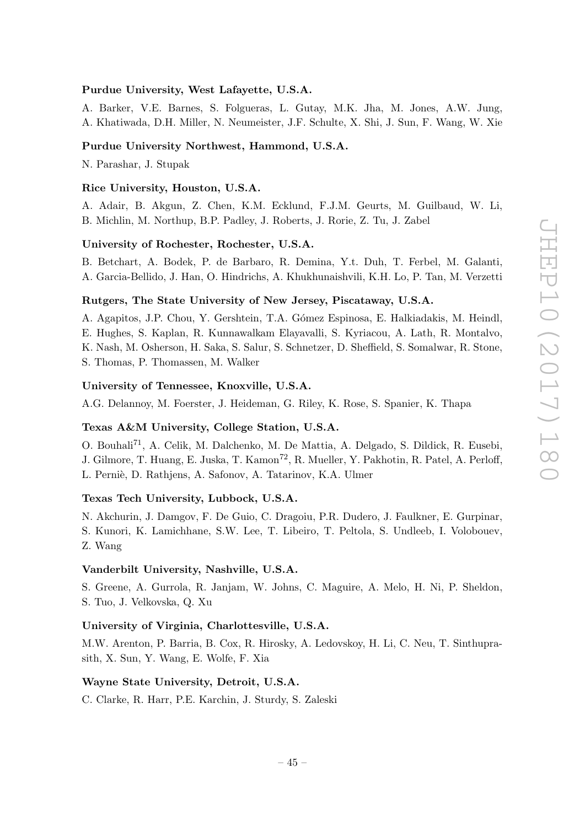#### Purdue University, West Lafayette, U.S.A.

A. Barker, V.E. Barnes, S. Folgueras, L. Gutay, M.K. Jha, M. Jones, A.W. Jung, A. Khatiwada, D.H. Miller, N. Neumeister, J.F. Schulte, X. Shi, J. Sun, F. Wang, W. Xie

#### Purdue University Northwest, Hammond, U.S.A.

N. Parashar, J. Stupak

#### Rice University, Houston, U.S.A.

A. Adair, B. Akgun, Z. Chen, K.M. Ecklund, F.J.M. Geurts, M. Guilbaud, W. Li, B. Michlin, M. Northup, B.P. Padley, J. Roberts, J. Rorie, Z. Tu, J. Zabel

#### University of Rochester, Rochester, U.S.A.

B. Betchart, A. Bodek, P. de Barbaro, R. Demina, Y.t. Duh, T. Ferbel, M. Galanti, A. Garcia-Bellido, J. Han, O. Hindrichs, A. Khukhunaishvili, K.H. Lo, P. Tan, M. Verzetti

#### Rutgers, The State University of New Jersey, Piscataway, U.S.A.

A. Agapitos, J.P. Chou, Y. Gershtein, T.A. Gómez Espinosa, E. Halkiadakis, M. Heindl, E. Hughes, S. Kaplan, R. Kunnawalkam Elayavalli, S. Kyriacou, A. Lath, R. Montalvo, K. Nash, M. Osherson, H. Saka, S. Salur, S. Schnetzer, D. Sheffield, S. Somalwar, R. Stone, S. Thomas, P. Thomassen, M. Walker

#### University of Tennessee, Knoxville, U.S.A.

A.G. Delannoy, M. Foerster, J. Heideman, G. Riley, K. Rose, S. Spanier, K. Thapa

#### Texas A&M University, College Station, U.S.A.

O. Bouhali71, A. Celik, M. Dalchenko, M. De Mattia, A. Delgado, S. Dildick, R. Eusebi, J. Gilmore, T. Huang, E. Juska, T. Kamon<sup>72</sup>, R. Mueller, Y. Pakhotin, R. Patel, A. Perloff, L. Perniè, D. Rathjens, A. Safonov, A. Tatarinov, K.A. Ulmer

#### Texas Tech University, Lubbock, U.S.A.

N. Akchurin, J. Damgov, F. De Guio, C. Dragoiu, P.R. Dudero, J. Faulkner, E. Gurpinar, S. Kunori, K. Lamichhane, S.W. Lee, T. Libeiro, T. Peltola, S. Undleeb, I. Volobouev, Z. Wang

#### Vanderbilt University, Nashville, U.S.A.

S. Greene, A. Gurrola, R. Janjam, W. Johns, C. Maguire, A. Melo, H. Ni, P. Sheldon, S. Tuo, J. Velkovska, Q. Xu

#### University of Virginia, Charlottesville, U.S.A.

M.W. Arenton, P. Barria, B. Cox, R. Hirosky, A. Ledovskoy, H. Li, C. Neu, T. Sinthuprasith, X. Sun, Y. Wang, E. Wolfe, F. Xia

#### Wayne State University, Detroit, U.S.A.

C. Clarke, R. Harr, P.E. Karchin, J. Sturdy, S. Zaleski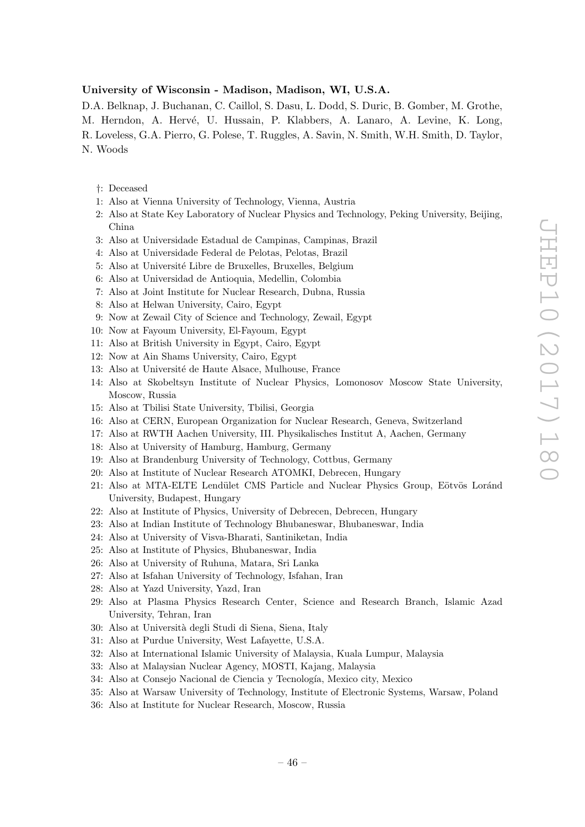#### University of Wisconsin - Madison, Madison, WI, U.S.A.

D.A. Belknap, J. Buchanan, C. Caillol, S. Dasu, L. Dodd, S. Duric, B. Gomber, M. Grothe, M. Herndon, A. Hervé, U. Hussain, P. Klabbers, A. Lanaro, A. Levine, K. Long, R. Loveless, G.A. Pierro, G. Polese, T. Ruggles, A. Savin, N. Smith, W.H. Smith, D. Taylor, N. Woods

- †: Deceased
- 1: Also at Vienna University of Technology, Vienna, Austria
- 2: Also at State Key Laboratory of Nuclear Physics and Technology, Peking University, Beijing, China
- 3: Also at Universidade Estadual de Campinas, Campinas, Brazil
- 4: Also at Universidade Federal de Pelotas, Pelotas, Brazil
- 5: Also at Université Libre de Bruxelles, Bruxelles, Belgium
- 6: Also at Universidad de Antioquia, Medellin, Colombia
- 7: Also at Joint Institute for Nuclear Research, Dubna, Russia
- 8: Also at Helwan University, Cairo, Egypt
- 9: Now at Zewail City of Science and Technology, Zewail, Egypt
- 10: Now at Fayoum University, El-Fayoum, Egypt
- 11: Also at British University in Egypt, Cairo, Egypt
- 12: Now at Ain Shams University, Cairo, Egypt
- 13: Also at Université de Haute Alsace, Mulhouse, France
- 14: Also at Skobeltsyn Institute of Nuclear Physics, Lomonosov Moscow State University, Moscow, Russia
- 15: Also at Tbilisi State University, Tbilisi, Georgia
- 16: Also at CERN, European Organization for Nuclear Research, Geneva, Switzerland
- 17: Also at RWTH Aachen University, III. Physikalisches Institut A, Aachen, Germany
- 18: Also at University of Hamburg, Hamburg, Germany
- 19: Also at Brandenburg University of Technology, Cottbus, Germany
- 20: Also at Institute of Nuclear Research ATOMKI, Debrecen, Hungary
- 21: Also at MTA-ELTE Lendület CMS Particle and Nuclear Physics Group, Eötvös Loránd University, Budapest, Hungary
- 22: Also at Institute of Physics, University of Debrecen, Debrecen, Hungary
- 23: Also at Indian Institute of Technology Bhubaneswar, Bhubaneswar, India
- 24: Also at University of Visva-Bharati, Santiniketan, India
- 25: Also at Institute of Physics, Bhubaneswar, India
- 26: Also at University of Ruhuna, Matara, Sri Lanka
- 27: Also at Isfahan University of Technology, Isfahan, Iran
- 28: Also at Yazd University, Yazd, Iran
- 29: Also at Plasma Physics Research Center, Science and Research Branch, Islamic Azad University, Tehran, Iran
- 30: Also at Universit`a degli Studi di Siena, Siena, Italy
- 31: Also at Purdue University, West Lafayette, U.S.A.
- 32: Also at International Islamic University of Malaysia, Kuala Lumpur, Malaysia
- 33: Also at Malaysian Nuclear Agency, MOSTI, Kajang, Malaysia
- 34: Also at Consejo Nacional de Ciencia y Tecnología, Mexico city, Mexico
- 35: Also at Warsaw University of Technology, Institute of Electronic Systems, Warsaw, Poland
- 36: Also at Institute for Nuclear Research, Moscow, Russia